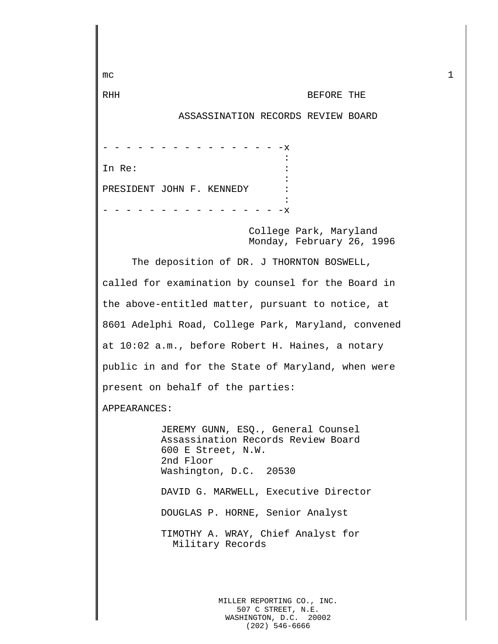mc  $1$ RHH BEFORE THE ASSASSINATION RECORDS REVIEW BOARD - - - - - - - - - - - - - - - -x the contract of the contract of the contract of the contract of the contract of the contract of the contract of In Re: the set of the set of  $\mathbf{R}$  is the set of  $\mathbf{R}$  is the set of  $\mathbf{R}$  is the set of  $\mathbf{R}$ : PRESIDENT JOHN F. KENNEDY :  $- - - - - - - x$ College Park, Maryland Monday, February 26, 1996 The deposition of DR. J THORNTON BOSWELL, called for examination by counsel for the Board in the above-entitled matter, pursuant to notice, at 8601 Adelphi Road, College Park, Maryland, convened at 10:02 a.m., before Robert H. Haines, a notary public in and for the State of Maryland, when were present on behalf of the parties: APPEARANCES: JEREMY GUNN, ESQ., General Counsel Assassination Records Review Board 600 E Street, N.W. 2nd Floor Washington, D.C. 20530 DAVID G. MARWELL, Executive Director DOUGLAS P. HORNE, Senior Analyst TIMOTHY A. WRAY, Chief Analyst for Military Records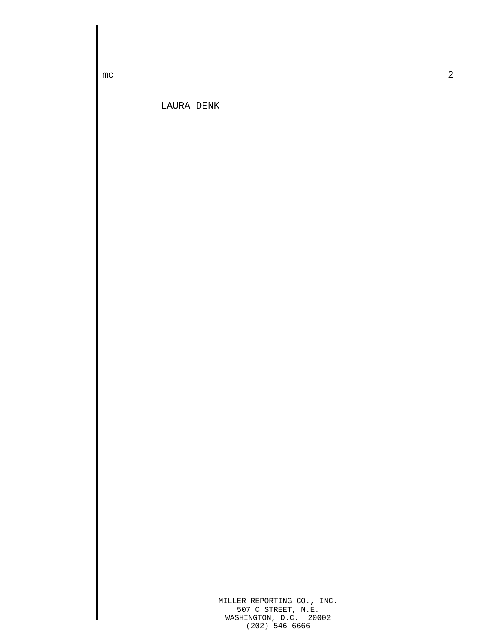mc  $\sim$  2

LAURA DENK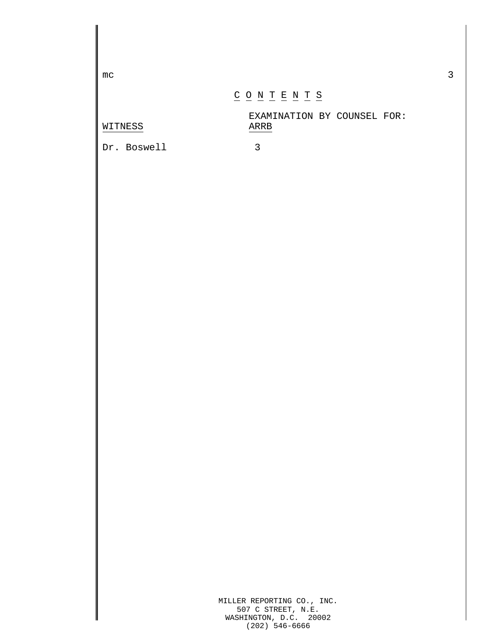$\mathsf{mc}$  3

WITNESS

## $\underline{C} \underline{O} \underline{N} \underline{T} \underline{E} \underline{N} \underline{T} \underline{S}$

EXAMINATION BY COUNSEL FOR:

Dr. Boswell 3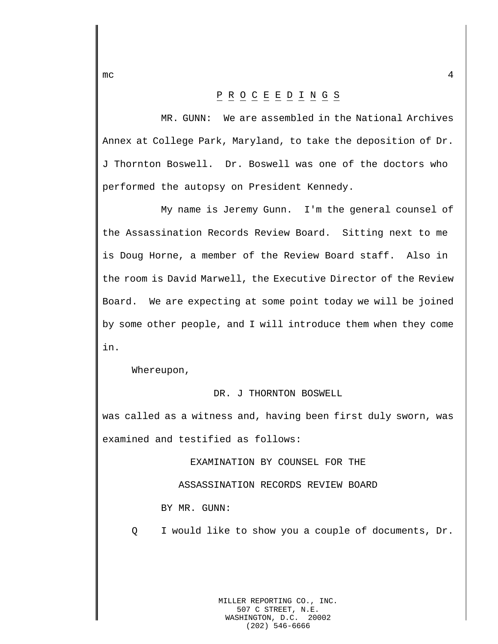## P R O C E E D I N G S

MR. GUNN: We are assembled in the National Archives Annex at College Park, Maryland, to take the deposition of Dr. J Thornton Boswell. Dr. Boswell was one of the doctors who performed the autopsy on President Kennedy.

My name is Jeremy Gunn. I'm the general counsel of the Assassination Records Review Board. Sitting next to me is Doug Horne, a member of the Review Board staff. Also in the room is David Marwell, the Executive Director of the Review Board. We are expecting at some point today we will be joined by some other people, and I will introduce them when they come in.

Whereupon,

## DR. J THORNTON BOSWELL

was called as a witness and, having been first duly sworn, was examined and testified as follows:

EXAMINATION BY COUNSEL FOR THE

ASSASSINATION RECORDS REVIEW BOARD

BY MR. GUNN:

Q I would like to show you a couple of documents, Dr.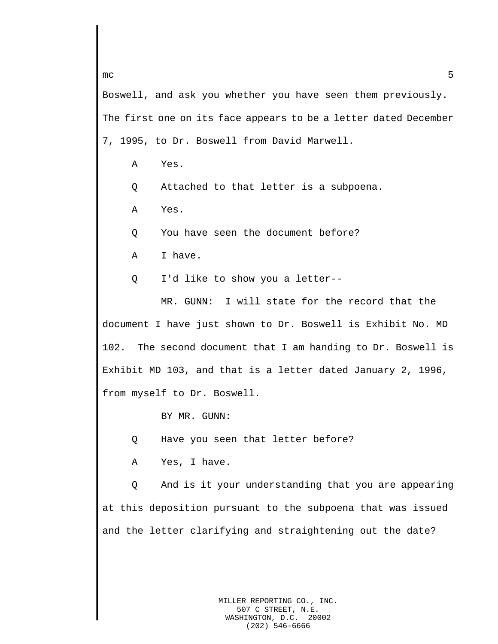Boswell, and ask you whether you have seen them previously. The first one on its face appears to be a letter dated December 7, 1995, to Dr. Boswell from David Marwell.

- A Yes.
- Q Attached to that letter is a subpoena.
- A Yes.

Q You have seen the document before?

- A I have.
- Q I'd like to show you a letter--

MR. GUNN: I will state for the record that the document I have just shown to Dr. Boswell is Exhibit No. MD 102. The second document that I am handing to Dr. Boswell is Exhibit MD 103, and that is a letter dated January 2, 1996, from myself to Dr. Boswell.

BY MR. GUNN:

Q Have you seen that letter before?

A Yes, I have.

Q And is it your understanding that you are appearing at this deposition pursuant to the subpoena that was issued and the letter clarifying and straightening out the date?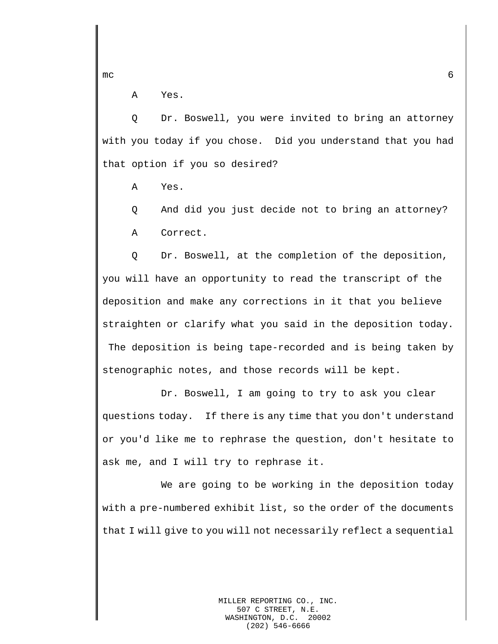A Yes.

Q Dr. Boswell, you were invited to bring an attorney with you today if you chose. Did you understand that you had that option if you so desired?

A Yes.

Q And did you just decide not to bring an attorney? A Correct.

Q Dr. Boswell, at the completion of the deposition, you will have an opportunity to read the transcript of the deposition and make any corrections in it that you believe straighten or clarify what you said in the deposition today. The deposition is being tape-recorded and is being taken by stenographic notes, and those records will be kept.

Dr. Boswell, I am going to try to ask you clear questions today. If there is any time that you don't understand or you'd like me to rephrase the question, don't hesitate to ask me, and I will try to rephrase it.

We are going to be working in the deposition today with a pre-numbered exhibit list, so the order of the documents that I will give to you will not necessarily reflect a sequential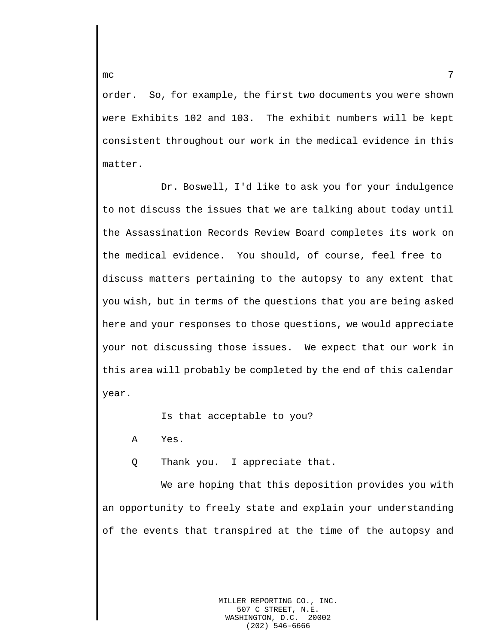order. So, for example, the first two documents you were shown were Exhibits 102 and 103. The exhibit numbers will be kept consistent throughout our work in the medical evidence in this matter.

Dr. Boswell, I'd like to ask you for your indulgence to not discuss the issues that we are talking about today until the Assassination Records Review Board completes its work on the medical evidence. You should, of course, feel free to discuss matters pertaining to the autopsy to any extent that you wish, but in terms of the questions that you are being asked here and your responses to those questions, we would appreciate your not discussing those issues. We expect that our work in this area will probably be completed by the end of this calendar year.

Is that acceptable to you?

A Yes.

Q Thank you. I appreciate that.

We are hoping that this deposition provides you with an opportunity to freely state and explain your understanding of the events that transpired at the time of the autopsy and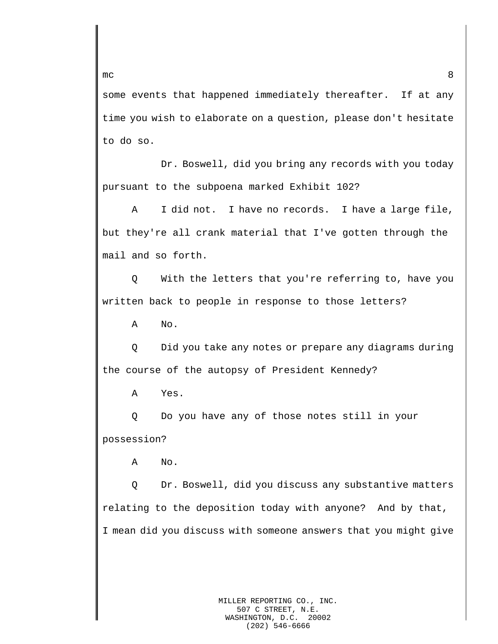some events that happened immediately thereafter. If at any time you wish to elaborate on a question, please don't hesitate to do so.

Dr. Boswell, did you bring any records with you today pursuant to the subpoena marked Exhibit 102?

A I did not. I have no records. I have a large file, but they're all crank material that I've gotten through the mail and so forth.

Q With the letters that you're referring to, have you written back to people in response to those letters?

A No.

Q Did you take any notes or prepare any diagrams during the course of the autopsy of President Kennedy?

A Yes.

Q Do you have any of those notes still in your possession?

A No.

Q Dr. Boswell, did you discuss any substantive matters relating to the deposition today with anyone? And by that, I mean did you discuss with someone answers that you might give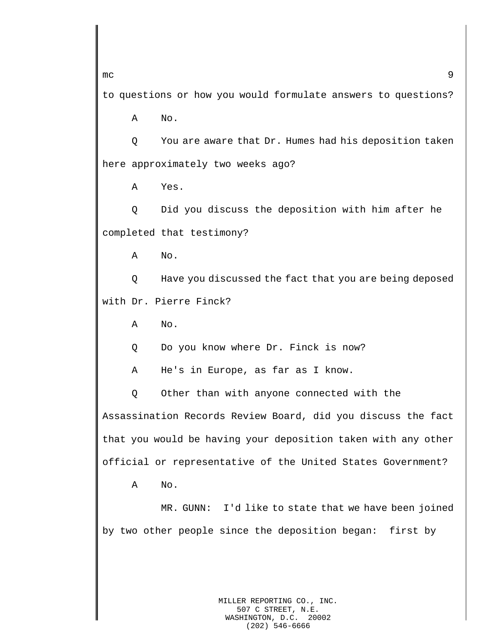$mc$  9

to questions or how you would formulate answers to questions?

A No.

Q You are aware that Dr. Humes had his deposition taken here approximately two weeks ago?

A Yes.

Q Did you discuss the deposition with him after he completed that testimony?

A No.

Q Have you discussed the fact that you are being deposed with Dr. Pierre Finck?

A No.

Q Do you know where Dr. Finck is now?

A He's in Europe, as far as I know.

Q Other than with anyone connected with the Assassination Records Review Board, did you discuss the fact that you would be having your deposition taken with any other official or representative of the United States Government?

A No.

MR. GUNN: I'd like to state that we have been joined by two other people since the deposition began: first by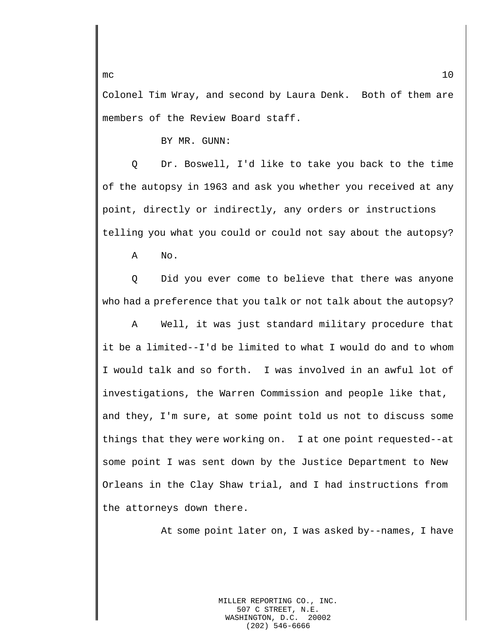Colonel Tim Wray, and second by Laura Denk. Both of them are members of the Review Board staff.

BY MR. GUNN:

Q Dr. Boswell, I'd like to take you back to the time of the autopsy in 1963 and ask you whether you received at any point, directly or indirectly, any orders or instructions telling you what you could or could not say about the autopsy?

A No.

Q Did you ever come to believe that there was anyone who had a preference that you talk or not talk about the autopsy?

A Well, it was just standard military procedure that it be a limited--I'd be limited to what I would do and to whom I would talk and so forth. I was involved in an awful lot of investigations, the Warren Commission and people like that, and they, I'm sure, at some point told us not to discuss some things that they were working on. I at one point requested--at some point I was sent down by the Justice Department to New Orleans in the Clay Shaw trial, and I had instructions from the attorneys down there.

At some point later on, I was asked by--names, I have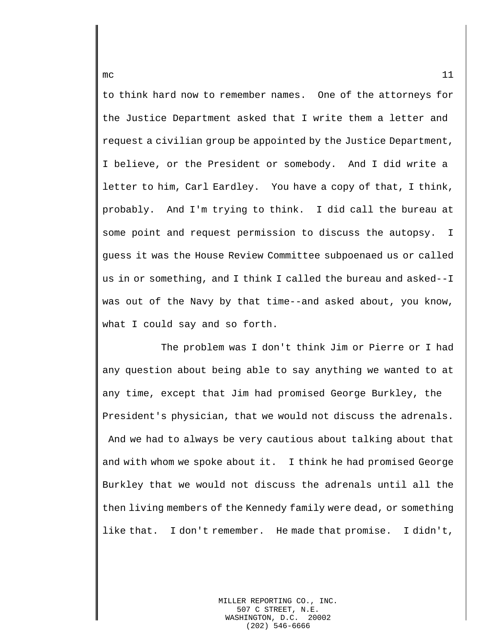to think hard now to remember names. One of the attorneys for the Justice Department asked that I write them a letter and request a civilian group be appointed by the Justice Department, I believe, or the President or somebody. And I did write a letter to him, Carl Eardley. You have a copy of that, I think, probably. And I'm trying to think. I did call the bureau at some point and request permission to discuss the autopsy. I guess it was the House Review Committee subpoenaed us or called us in or something, and I think I called the bureau and asked--I was out of the Navy by that time--and asked about, you know, what I could say and so forth.

The problem was I don't think Jim or Pierre or I had any question about being able to say anything we wanted to at any time, except that Jim had promised George Burkley, the President's physician, that we would not discuss the adrenals. And we had to always be very cautious about talking about that and with whom we spoke about it. I think he had promised George Burkley that we would not discuss the adrenals until all the then living members of the Kennedy family were dead, or something like that. I don't remember. He made that promise. I didn't,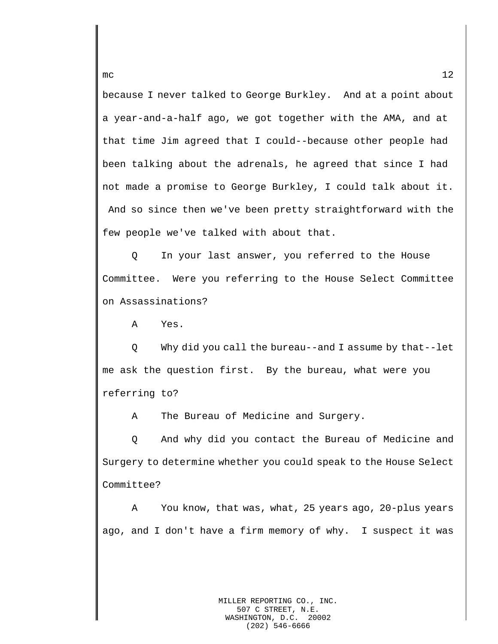because I never talked to George Burkley. And at a point about a year-and-a-half ago, we got together with the AMA, and at that time Jim agreed that I could--because other people had been talking about the adrenals, he agreed that since I had not made a promise to George Burkley, I could talk about it. And so since then we've been pretty straightforward with the few people we've talked with about that.

Q In your last answer, you referred to the House Committee. Were you referring to the House Select Committee on Assassinations?

A Yes.

Q Why did you call the bureau--and I assume by that--let me ask the question first. By the bureau, what were you referring to?

A The Bureau of Medicine and Surgery.

Q And why did you contact the Bureau of Medicine and Surgery to determine whether you could speak to the House Select Committee?

A You know, that was, what, 25 years ago, 20-plus years ago, and I don't have a firm memory of why. I suspect it was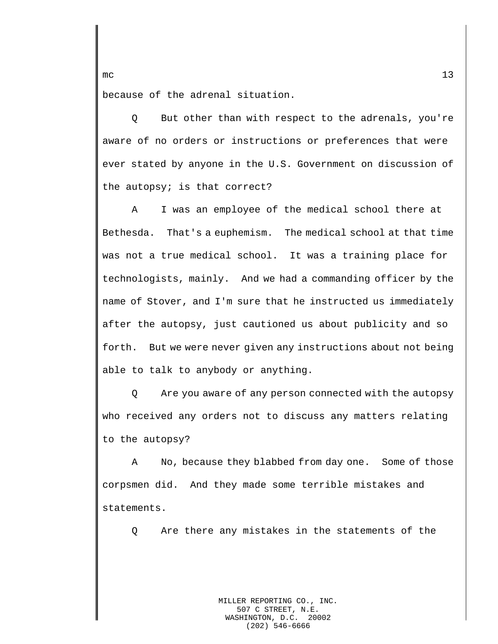because of the adrenal situation.

Q But other than with respect to the adrenals, you're aware of no orders or instructions or preferences that were ever stated by anyone in the U.S. Government on discussion of the autopsy; is that correct?

A I was an employee of the medical school there at Bethesda. That's a euphemism. The medical school at that time was not a true medical school. It was a training place for technologists, mainly. And we had a commanding officer by the name of Stover, and I'm sure that he instructed us immediately after the autopsy, just cautioned us about publicity and so forth. But we were never given any instructions about not being able to talk to anybody or anything.

Q Are you aware of any person connected with the autopsy who received any orders not to discuss any matters relating to the autopsy?

A No, because they blabbed from day one. Some of those corpsmen did. And they made some terrible mistakes and statements.

Q Are there any mistakes in the statements of the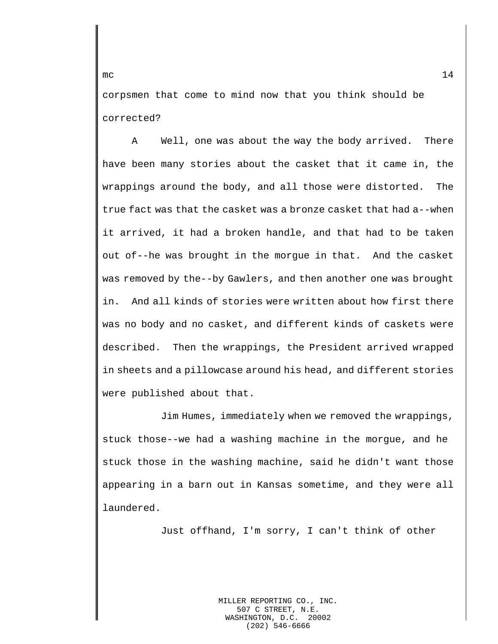corpsmen that come to mind now that you think should be corrected?

A Well, one was about the way the body arrived. There have been many stories about the casket that it came in, the wrappings around the body, and all those were distorted. The true fact was that the casket was a bronze casket that had a--when it arrived, it had a broken handle, and that had to be taken out of--he was brought in the morgue in that. And the casket was removed by the--by Gawlers, and then another one was brought in. And all kinds of stories were written about how first there was no body and no casket, and different kinds of caskets were described. Then the wrappings, the President arrived wrapped in sheets and a pillowcase around his head, and different stories were published about that.

Jim Humes, immediately when we removed the wrappings, stuck those--we had a washing machine in the morgue, and he stuck those in the washing machine, said he didn't want those appearing in a barn out in Kansas sometime, and they were all laundered.

Just offhand, I'm sorry, I can't think of other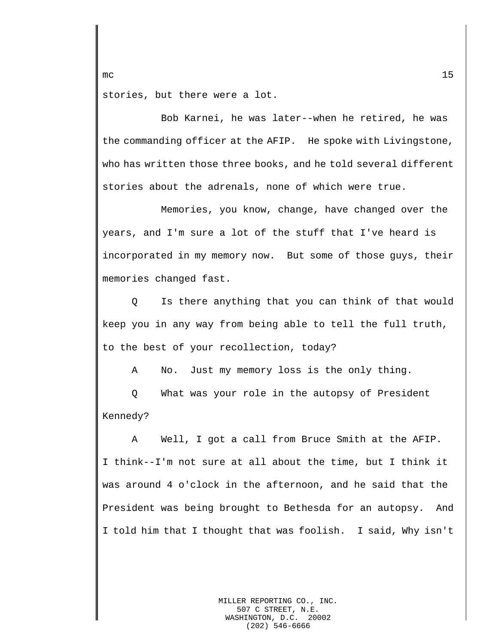stories, but there were a lot.

Bob Karnei, he was later--when he retired, he was the commanding officer at the AFIP. He spoke with Livingstone, who has written those three books, and he told several different stories about the adrenals, none of which were true.

Memories, you know, change, have changed over the years, and I'm sure a lot of the stuff that I've heard is incorporated in my memory now. But some of those guys, their memories changed fast.

Q Is there anything that you can think of that would keep you in any way from being able to tell the full truth, to the best of your recollection, today?

A No. Just my memory loss is the only thing.

Q What was your role in the autopsy of President Kennedy?

A Well, I got a call from Bruce Smith at the AFIP. I think--I'm not sure at all about the time, but I think it was around 4 o'clock in the afternoon, and he said that the President was being brought to Bethesda for an autopsy. And I told him that I thought that was foolish. I said, Why isn't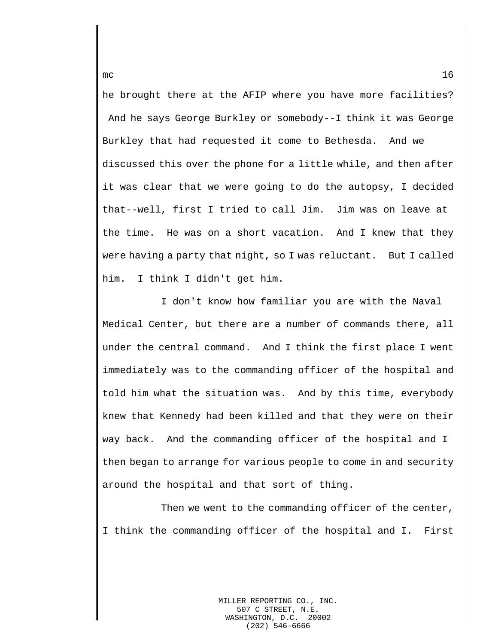he brought there at the AFIP where you have more facilities? And he says George Burkley or somebody--I think it was George Burkley that had requested it come to Bethesda. And we discussed this over the phone for a little while, and then after it was clear that we were going to do the autopsy, I decided that--well, first I tried to call Jim. Jim was on leave at the time. He was on a short vacation. And I knew that they were having a party that night, so I was reluctant. But I called him. I think I didn't get him.

I don't know how familiar you are with the Naval Medical Center, but there are a number of commands there, all under the central command. And I think the first place I went immediately was to the commanding officer of the hospital and told him what the situation was. And by this time, everybody knew that Kennedy had been killed and that they were on their way back. And the commanding officer of the hospital and I then began to arrange for various people to come in and security around the hospital and that sort of thing.

Then we went to the commanding officer of the center, I think the commanding officer of the hospital and I. First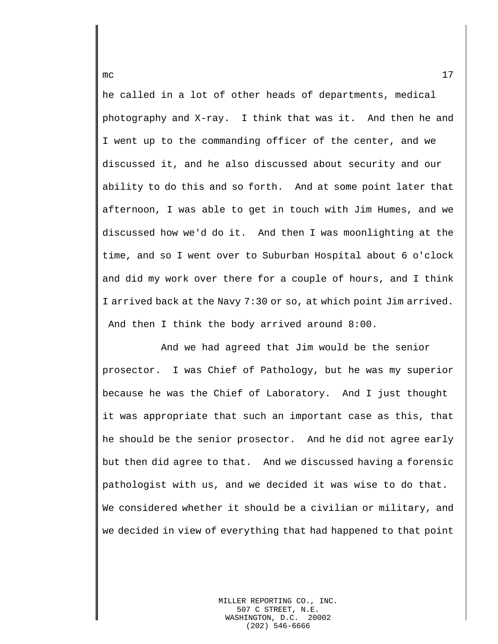he called in a lot of other heads of departments, medical photography and X-ray. I think that was it. And then he and I went up to the commanding officer of the center, and we discussed it, and he also discussed about security and our ability to do this and so forth. And at some point later that afternoon, I was able to get in touch with Jim Humes, and we discussed how we'd do it. And then I was moonlighting at the time, and so I went over to Suburban Hospital about 6 o'clock and did my work over there for a couple of hours, and I think I arrived back at the Navy 7:30 or so, at which point Jim arrived. And then I think the body arrived around 8:00.

And we had agreed that Jim would be the senior prosector. I was Chief of Pathology, but he was my superior because he was the Chief of Laboratory. And I just thought it was appropriate that such an important case as this, that he should be the senior prosector. And he did not agree early but then did agree to that. And we discussed having a forensic pathologist with us, and we decided it was wise to do that. We considered whether it should be a civilian or military, and we decided in view of everything that had happened to that point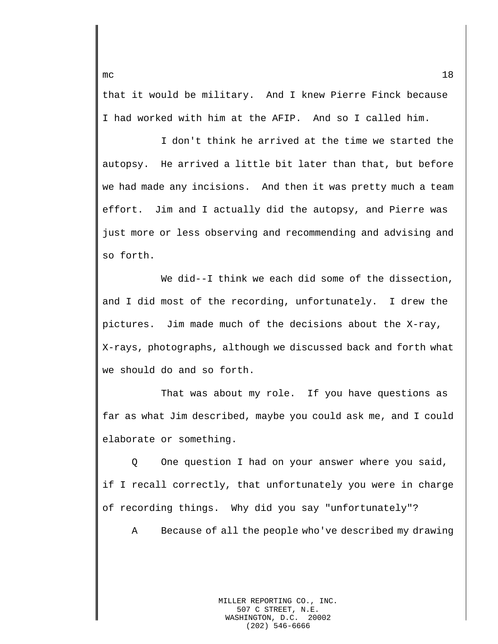that it would be military. And I knew Pierre Finck because I had worked with him at the AFIP. And so I called him.

I don't think he arrived at the time we started the autopsy. He arrived a little bit later than that, but before we had made any incisions. And then it was pretty much a team effort. Jim and I actually did the autopsy, and Pierre was just more or less observing and recommending and advising and so forth.

We did--I think we each did some of the dissection, and I did most of the recording, unfortunately. I drew the pictures. Jim made much of the decisions about the X-ray, X-rays, photographs, although we discussed back and forth what we should do and so forth.

That was about my role. If you have questions as far as what Jim described, maybe you could ask me, and I could elaborate or something.

Q One question I had on your answer where you said, if I recall correctly, that unfortunately you were in charge of recording things. Why did you say "unfortunately"?

A Because of all the people who've described my drawing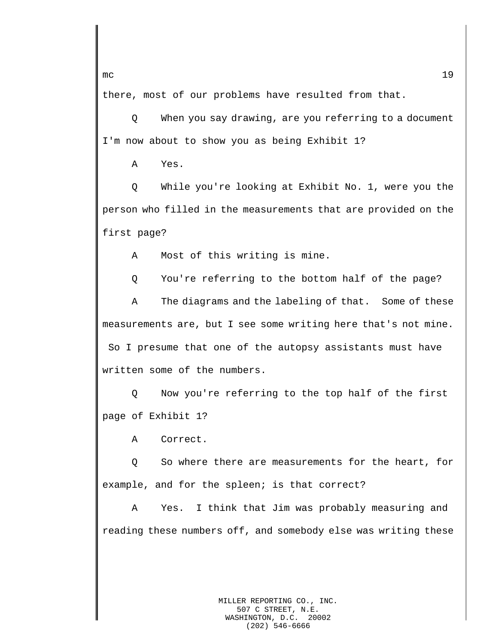there, most of our problems have resulted from that.

Q When you say drawing, are you referring to a document I'm now about to show you as being Exhibit 1?

A Yes.

Q While you're looking at Exhibit No. 1, were you the person who filled in the measurements that are provided on the first page?

A Most of this writing is mine.

Q You're referring to the bottom half of the page?

A The diagrams and the labeling of that. Some of these measurements are, but I see some writing here that's not mine. So I presume that one of the autopsy assistants must have written some of the numbers.

Q Now you're referring to the top half of the first page of Exhibit 1?

A Correct.

Q So where there are measurements for the heart, for example, and for the spleen; is that correct?

A Yes. I think that Jim was probably measuring and reading these numbers off, and somebody else was writing these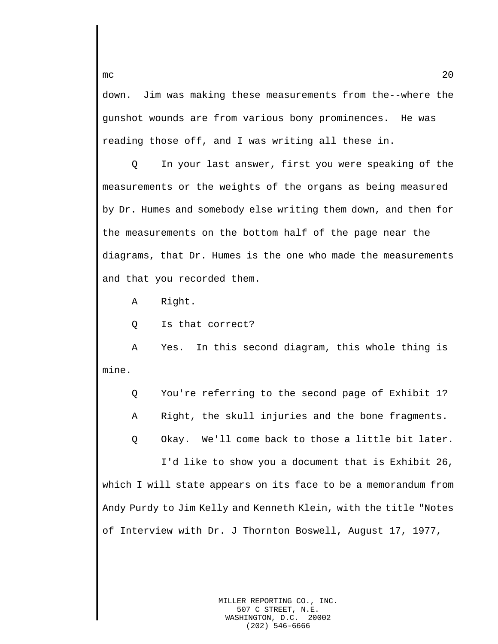down. Jim was making these measurements from the--where the gunshot wounds are from various bony prominences. He was reading those off, and I was writing all these in.

Q In your last answer, first you were speaking of the measurements or the weights of the organs as being measured by Dr. Humes and somebody else writing them down, and then for the measurements on the bottom half of the page near the diagrams, that Dr. Humes is the one who made the measurements and that you recorded them.

A Right.

Q Is that correct?

A Yes. In this second diagram, this whole thing is mine.

Q You're referring to the second page of Exhibit 1?

A Right, the skull injuries and the bone fragments.

Q Okay. We'll come back to those a little bit later.

I'd like to show you a document that is Exhibit 26, which I will state appears on its face to be a memorandum from Andy Purdy to Jim Kelly and Kenneth Klein, with the title "Notes of Interview with Dr. J Thornton Boswell, August 17, 1977,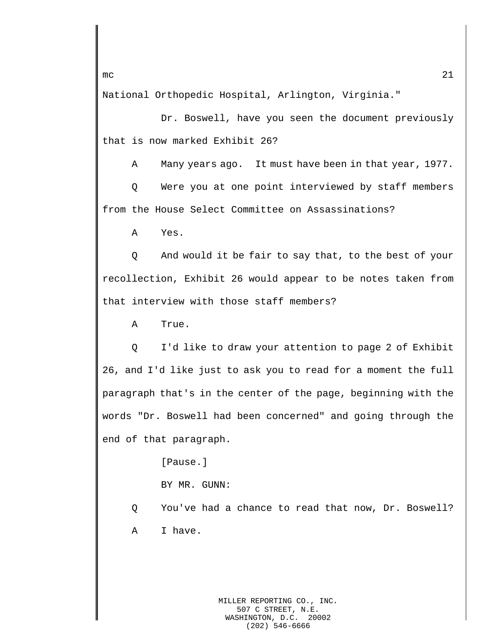National Orthopedic Hospital, Arlington, Virginia."

Dr. Boswell, have you seen the document previously that is now marked Exhibit 26?

A Many years ago. It must have been in that year, 1977.

Q Were you at one point interviewed by staff members from the House Select Committee on Assassinations?

A Yes.

Q And would it be fair to say that, to the best of your recollection, Exhibit 26 would appear to be notes taken from that interview with those staff members?

A True.

Q I'd like to draw your attention to page 2 of Exhibit 26, and I'd like just to ask you to read for a moment the full paragraph that's in the center of the page, beginning with the words "Dr. Boswell had been concerned" and going through the end of that paragraph.

[Pause.]

BY MR. GUNN:

Q You've had a chance to read that now, Dr. Boswell? A I have.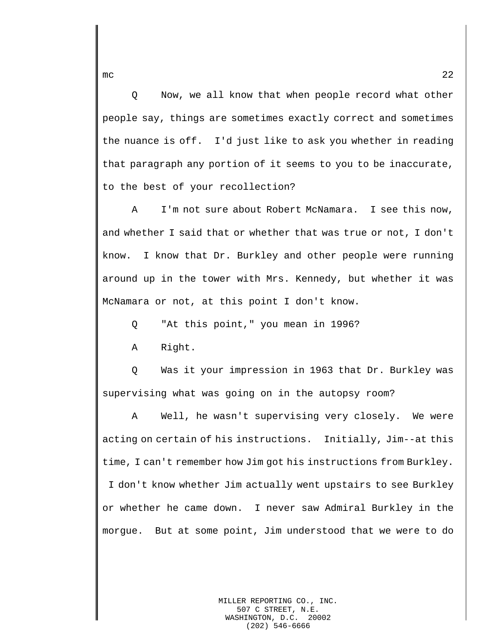Q Now, we all know that when people record what other people say, things are sometimes exactly correct and sometimes the nuance is off. I'd just like to ask you whether in reading that paragraph any portion of it seems to you to be inaccurate, to the best of your recollection?

A I'm not sure about Robert McNamara. I see this now, and whether I said that or whether that was true or not, I don't know. I know that Dr. Burkley and other people were running around up in the tower with Mrs. Kennedy, but whether it was McNamara or not, at this point I don't know.

Q "At this point," you mean in 1996?

A Right.

Q Was it your impression in 1963 that Dr. Burkley was supervising what was going on in the autopsy room?

A Well, he wasn't supervising very closely. We were acting on certain of his instructions. Initially, Jim--at this time, I can't remember how Jim got his instructions from Burkley. I don't know whether Jim actually went upstairs to see Burkley or whether he came down. I never saw Admiral Burkley in the morgue. But at some point, Jim understood that we were to do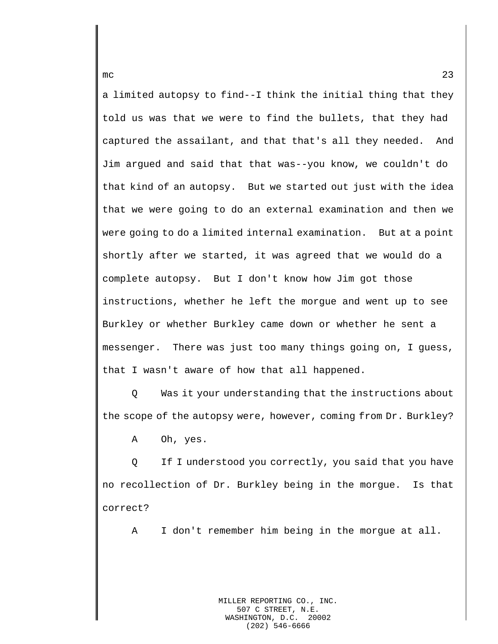a limited autopsy to find--I think the initial thing that they told us was that we were to find the bullets, that they had captured the assailant, and that that's all they needed. And Jim argued and said that that was--you know, we couldn't do that kind of an autopsy. But we started out just with the idea that we were going to do an external examination and then we were going to do a limited internal examination. But at a point shortly after we started, it was agreed that we would do a complete autopsy. But I don't know how Jim got those instructions, whether he left the morgue and went up to see Burkley or whether Burkley came down or whether he sent a messenger. There was just too many things going on, I guess, that I wasn't aware of how that all happened.

Q Was it your understanding that the instructions about the scope of the autopsy were, however, coming from Dr. Burkley?

A Oh, yes.

Q If I understood you correctly, you said that you have no recollection of Dr. Burkley being in the morgue. Is that correct?

A I don't remember him being in the morgue at all.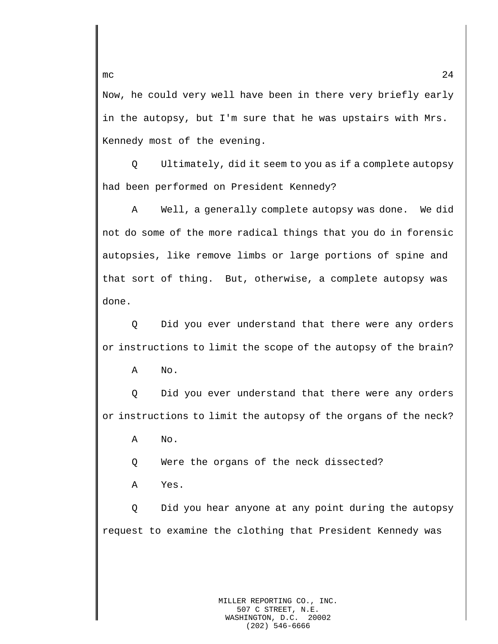Now, he could very well have been in there very briefly early in the autopsy, but I'm sure that he was upstairs with Mrs. Kennedy most of the evening.

Q Ultimately, did it seem to you as if a complete autopsy had been performed on President Kennedy?

A Well, a generally complete autopsy was done. We did not do some of the more radical things that you do in forensic autopsies, like remove limbs or large portions of spine and that sort of thing. But, otherwise, a complete autopsy was done.

Q Did you ever understand that there were any orders or instructions to limit the scope of the autopsy of the brain?

A No.

Q Did you ever understand that there were any orders or instructions to limit the autopsy of the organs of the neck?

A No.

Q Were the organs of the neck dissected?

A Yes.

Q Did you hear anyone at any point during the autopsy request to examine the clothing that President Kennedy was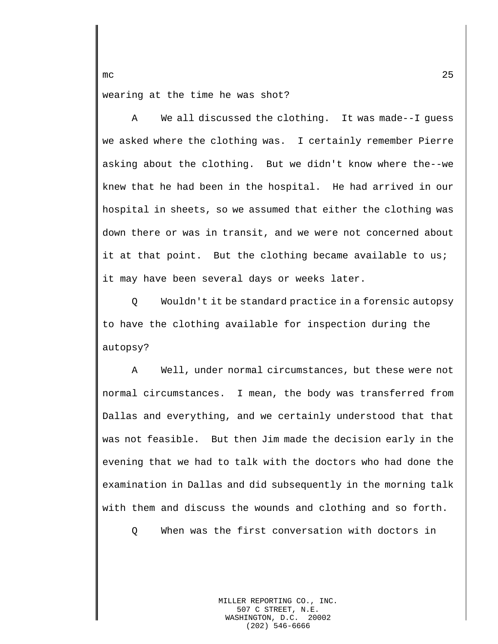wearing at the time he was shot?

A We all discussed the clothing. It was made--I guess we asked where the clothing was. I certainly remember Pierre asking about the clothing. But we didn't know where the--we knew that he had been in the hospital. He had arrived in our hospital in sheets, so we assumed that either the clothing was down there or was in transit, and we were not concerned about it at that point. But the clothing became available to us; it may have been several days or weeks later.

Q Wouldn't it be standard practice in a forensic autopsy to have the clothing available for inspection during the autopsy?

A Well, under normal circumstances, but these were not normal circumstances. I mean, the body was transferred from Dallas and everything, and we certainly understood that that was not feasible. But then Jim made the decision early in the evening that we had to talk with the doctors who had done the examination in Dallas and did subsequently in the morning talk with them and discuss the wounds and clothing and so forth.

Q When was the first conversation with doctors in

MILLER REPORTING CO., INC. 507 C STREET, N.E.<br>SHINGTON, D.C. 20002 WASHINGTON, D.C. (202) 546-6666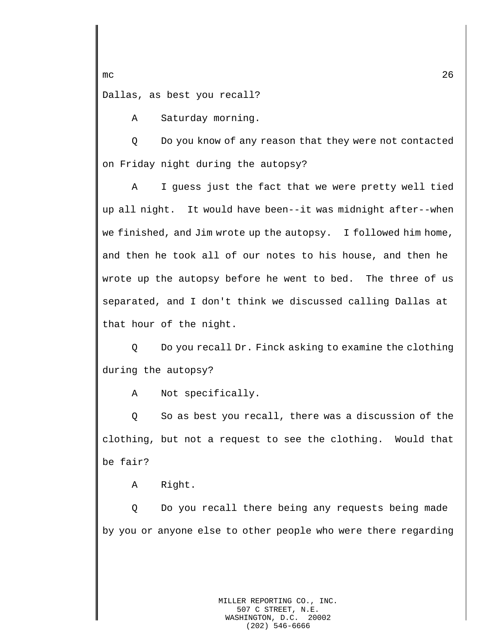Dallas, as best you recall?

A Saturday morning.

Q Do you know of any reason that they were not contacted on Friday night during the autopsy?

A I guess just the fact that we were pretty well tied up all night. It would have been--it was midnight after--when we finished, and Jim wrote up the autopsy. I followed him home, and then he took all of our notes to his house, and then he wrote up the autopsy before he went to bed. The three of us separated, and I don't think we discussed calling Dallas at that hour of the night.

Q Do you recall Dr. Finck asking to examine the clothing during the autopsy?

A Not specifically.

Q So as best you recall, there was a discussion of the clothing, but not a request to see the clothing. Would that be fair?

A Right.

Q Do you recall there being any requests being made by you or anyone else to other people who were there regarding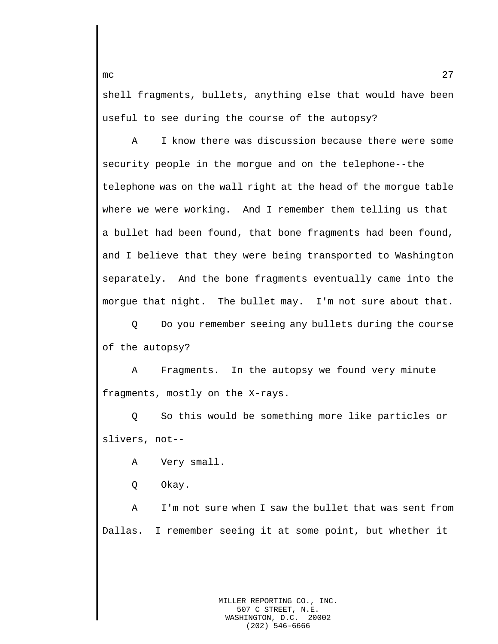shell fragments, bullets, anything else that would have been useful to see during the course of the autopsy?

A I know there was discussion because there were some security people in the morgue and on the telephone--the telephone was on the wall right at the head of the morgue table where we were working. And I remember them telling us that a bullet had been found, that bone fragments had been found, and I believe that they were being transported to Washington separately. And the bone fragments eventually came into the morgue that night. The bullet may. I'm not sure about that.

Q Do you remember seeing any bullets during the course of the autopsy?

A Fragments. In the autopsy we found very minute fragments, mostly on the X-rays.

Q So this would be something more like particles or slivers, not--

A Very small.

Q Okay.

A I'm not sure when I saw the bullet that was sent from Dallas. I remember seeing it at some point, but whether it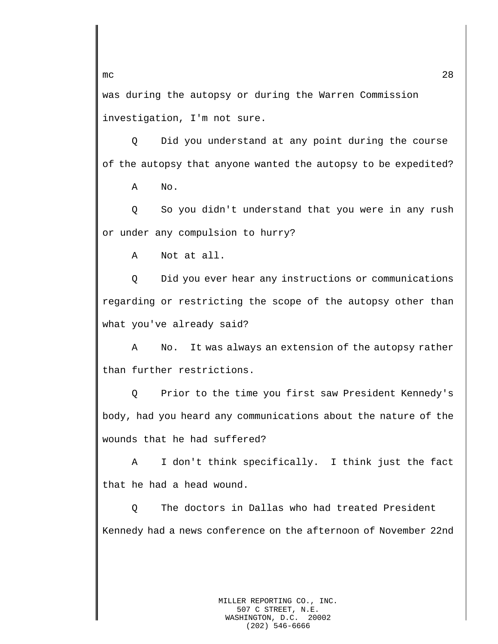was during the autopsy or during the Warren Commission investigation, I'm not sure.

Q Did you understand at any point during the course of the autopsy that anyone wanted the autopsy to be expedited?

A No.

Q So you didn't understand that you were in any rush or under any compulsion to hurry?

A Not at all.

Q Did you ever hear any instructions or communications regarding or restricting the scope of the autopsy other than what you've already said?

A No. It was always an extension of the autopsy rather than further restrictions.

Q Prior to the time you first saw President Kennedy's body, had you heard any communications about the nature of the wounds that he had suffered?

A I don't think specifically. I think just the fact that he had a head wound.

Q The doctors in Dallas who had treated President Kennedy had a news conference on the afternoon of November 22nd

mc  $28$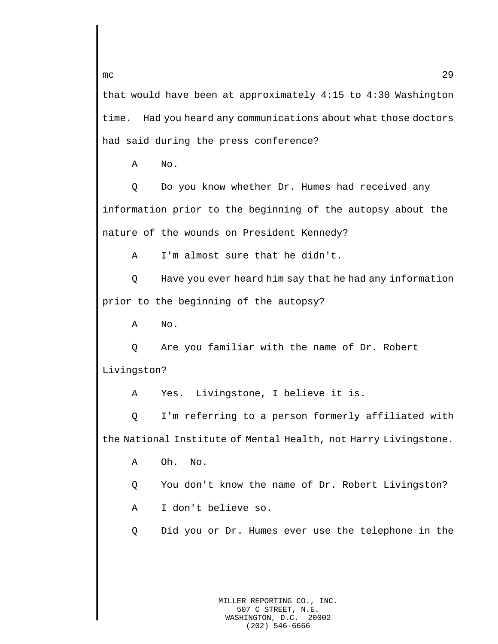that would have been at approximately 4:15 to 4:30 Washington time. Had you heard any communications about what those doctors had said during the press conference?

A No.

Q Do you know whether Dr. Humes had received any information prior to the beginning of the autopsy about the nature of the wounds on President Kennedy?

A I'm almost sure that he didn't.

Q Have you ever heard him say that he had any information prior to the beginning of the autopsy?

A No.

Q Are you familiar with the name of Dr. Robert Livingston?

A Yes. Livingstone, I believe it is.

Q I'm referring to a person formerly affiliated with the National Institute of Mental Health, not Harry Livingstone.

- A Oh. No.
- Q You don't know the name of Dr. Robert Livingston?
- A I don't believe so.

Q Did you or Dr. Humes ever use the telephone in the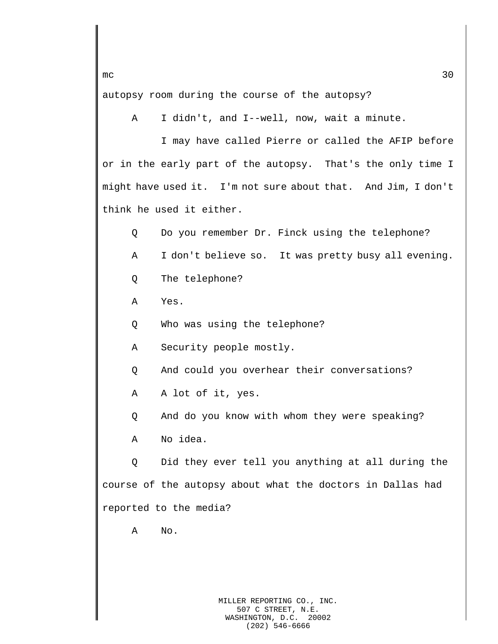autopsy room during the course of the autopsy?

A I didn't, and I--well, now, wait a minute.

I may have called Pierre or called the AFIP before or in the early part of the autopsy. That's the only time I might have used it. I'm not sure about that. And Jim, I don't think he used it either.

- Q Do you remember Dr. Finck using the telephone?
- A I don't believe so. It was pretty busy all evening.
- Q The telephone?
- A Yes.
- Q Who was using the telephone?
- A Security people mostly.
- Q And could you overhear their conversations?
- A A lot of it, yes.
- Q And do you know with whom they were speaking?
- A No idea.

Q Did they ever tell you anything at all during the course of the autopsy about what the doctors in Dallas had reported to the media?

A No.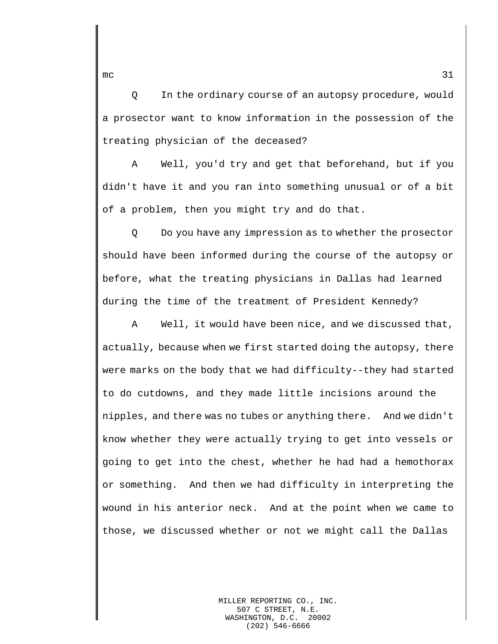Q In the ordinary course of an autopsy procedure, would a prosector want to know information in the possession of the treating physician of the deceased?

A Well, you'd try and get that beforehand, but if you didn't have it and you ran into something unusual or of a bit of a problem, then you might try and do that.

Q Do you have any impression as to whether the prosector should have been informed during the course of the autopsy or before, what the treating physicians in Dallas had learned during the time of the treatment of President Kennedy?

A Well, it would have been nice, and we discussed that, actually, because when we first started doing the autopsy, there were marks on the body that we had difficulty--they had started to do cutdowns, and they made little incisions around the nipples, and there was no tubes or anything there. And we didn't know whether they were actually trying to get into vessels or going to get into the chest, whether he had had a hemothorax or something. And then we had difficulty in interpreting the wound in his anterior neck. And at the point when we came to those, we discussed whether or not we might call the Dallas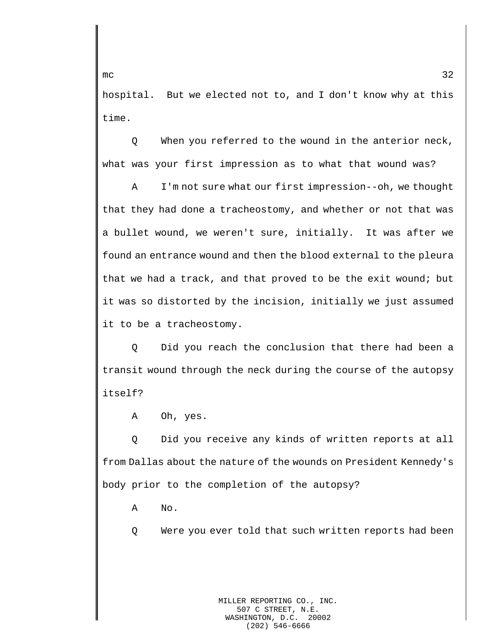hospital. But we elected not to, and I don't know why at this time.

Q When you referred to the wound in the anterior neck, what was your first impression as to what that wound was?

A I'm not sure what our first impression--oh, we thought that they had done a tracheostomy, and whether or not that was a bullet wound, we weren't sure, initially. It was after we found an entrance wound and then the blood external to the pleura that we had a track, and that proved to be the exit wound; but it was so distorted by the incision, initially we just assumed it to be a tracheostomy.

Q Did you reach the conclusion that there had been a transit wound through the neck during the course of the autopsy itself?

A Oh, yes.

Q Did you receive any kinds of written reports at all from Dallas about the nature of the wounds on President Kennedy's body prior to the completion of the autopsy?

A No.

Q Were you ever told that such written reports had been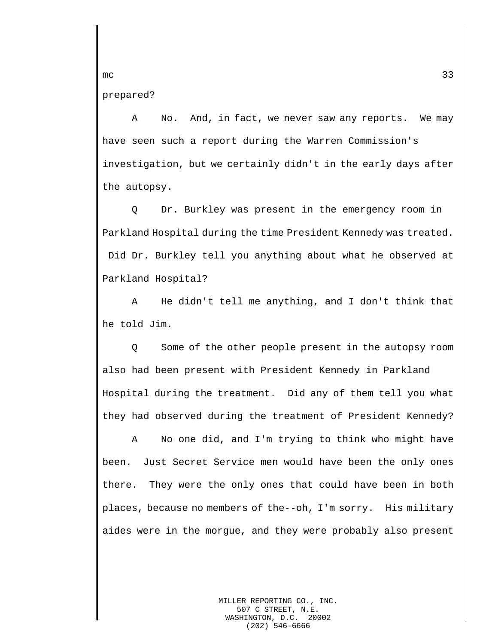prepared?

A No. And, in fact, we never saw any reports. We may have seen such a report during the Warren Commission's investigation, but we certainly didn't in the early days after the autopsy.

Q Dr. Burkley was present in the emergency room in Parkland Hospital during the time President Kennedy was treated. Did Dr. Burkley tell you anything about what he observed at Parkland Hospital?

A He didn't tell me anything, and I don't think that he told Jim.

Q Some of the other people present in the autopsy room also had been present with President Kennedy in Parkland Hospital during the treatment. Did any of them tell you what they had observed during the treatment of President Kennedy?

A No one did, and I'm trying to think who might have been. Just Secret Service men would have been the only ones there. They were the only ones that could have been in both places, because no members of the--oh, I'm sorry. His military aides were in the morgue, and they were probably also present

mc  $\sim$  33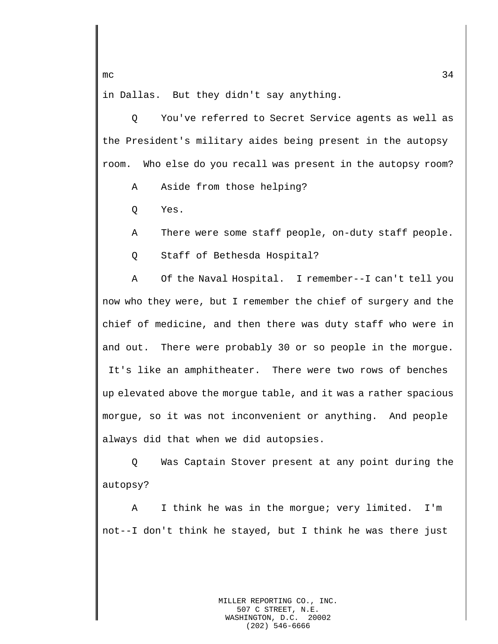in Dallas. But they didn't say anything.

Q You've referred to Secret Service agents as well as the President's military aides being present in the autopsy room. Who else do you recall was present in the autopsy room?

A Aside from those helping?

Q Yes.

A There were some staff people, on-duty staff people.

Q Staff of Bethesda Hospital?

A Of the Naval Hospital. I remember--I can't tell you now who they were, but I remember the chief of surgery and the chief of medicine, and then there was duty staff who were in and out. There were probably 30 or so people in the morgue. It's like an amphitheater. There were two rows of benches up elevated above the morgue table, and it was a rather spacious morgue, so it was not inconvenient or anything. And people always did that when we did autopsies.

Q Was Captain Stover present at any point during the autopsy?

A I think he was in the morgue; very limited. I'm not--I don't think he stayed, but I think he was there just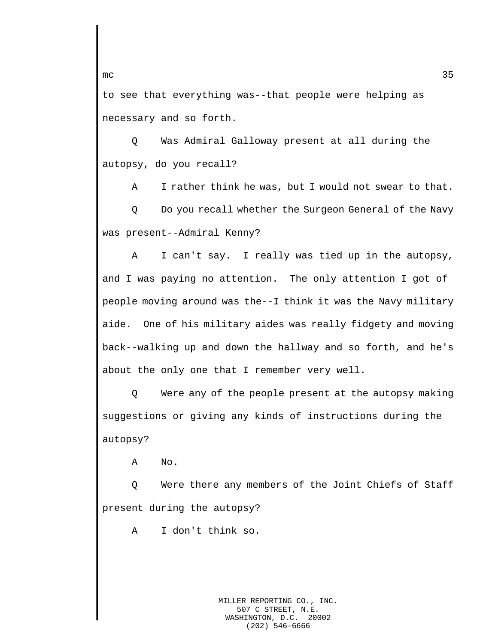to see that everything was--that people were helping as necessary and so forth.

Q Was Admiral Galloway present at all during the autopsy, do you recall?

A I rather think he was, but I would not swear to that.

Q Do you recall whether the Surgeon General of the Navy was present--Admiral Kenny?

A I can't say. I really was tied up in the autopsy, and I was paying no attention. The only attention I got of people moving around was the--I think it was the Navy military aide. One of his military aides was really fidgety and moving back--walking up and down the hallway and so forth, and he's about the only one that I remember very well.

Q Were any of the people present at the autopsy making suggestions or giving any kinds of instructions during the autopsy?

A No.

Q Were there any members of the Joint Chiefs of Staff present during the autopsy?

A I don't think so.

MILLER REPORTING CO., INC. 507 C STREET, N.E.<br>SHINGTON, D.C. 20002 WASHINGTON, D.C. (202) 546-6666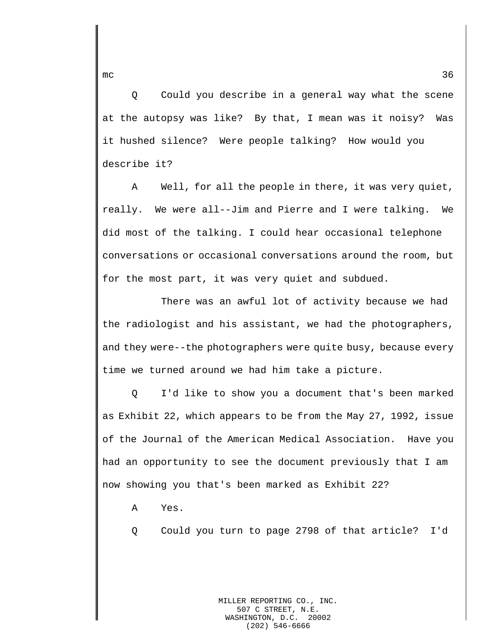Q Could you describe in a general way what the scene at the autopsy was like? By that, I mean was it noisy? Was it hushed silence? Were people talking? How would you describe it?

A Well, for all the people in there, it was very quiet, really. We were all--Jim and Pierre and I were talking. We did most of the talking. I could hear occasional telephone conversations or occasional conversations around the room, but for the most part, it was very quiet and subdued.

There was an awful lot of activity because we had the radiologist and his assistant, we had the photographers, and they were--the photographers were quite busy, because every time we turned around we had him take a picture.

Q I'd like to show you a document that's been marked as Exhibit 22, which appears to be from the May 27, 1992, issue of the Journal of the American Medical Association. Have you had an opportunity to see the document previously that I am now showing you that's been marked as Exhibit 22?

A Yes.

Q Could you turn to page 2798 of that article? I'd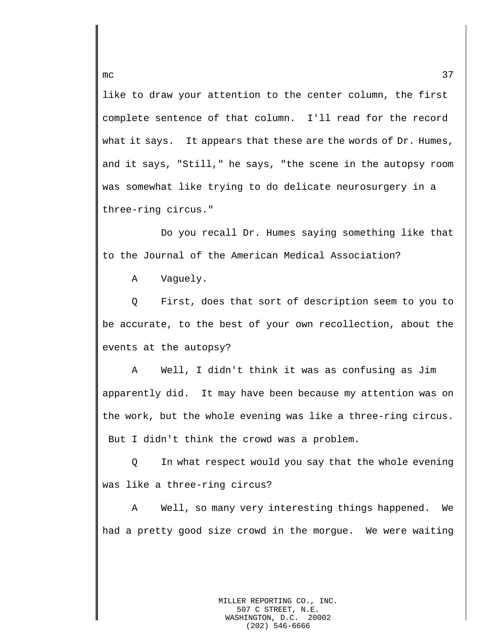like to draw your attention to the center column, the first complete sentence of that column. I'll read for the record what it says. It appears that these are the words of Dr. Humes, and it says, "Still," he says, "the scene in the autopsy room was somewhat like trying to do delicate neurosurgery in a three-ring circus."

Do you recall Dr. Humes saying something like that to the Journal of the American Medical Association?

A Vaguely.

Q First, does that sort of description seem to you to be accurate, to the best of your own recollection, about the events at the autopsy?

A Well, I didn't think it was as confusing as Jim apparently did. It may have been because my attention was on the work, but the whole evening was like a three-ring circus. But I didn't think the crowd was a problem.

Q In what respect would you say that the whole evening was like a three-ring circus?

A Well, so many very interesting things happened. We had a pretty good size crowd in the morgue. We were waiting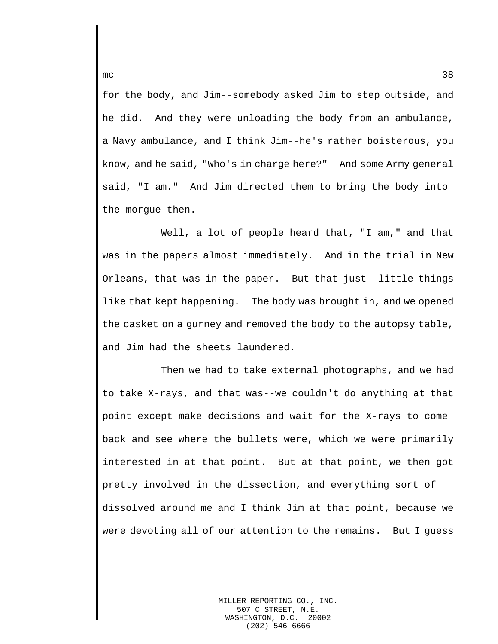for the body, and Jim--somebody asked Jim to step outside, and he did. And they were unloading the body from an ambulance, a Navy ambulance, and I think Jim--he's rather boisterous, you know, and he said, "Who's in charge here?" And some Army general said, "I am." And Jim directed them to bring the body into the morgue then.

Well, a lot of people heard that, "I am," and that was in the papers almost immediately. And in the trial in New Orleans, that was in the paper. But that just--little things like that kept happening. The body was brought in, and we opened the casket on a gurney and removed the body to the autopsy table, and Jim had the sheets laundered.

Then we had to take external photographs, and we had to take X-rays, and that was--we couldn't do anything at that point except make decisions and wait for the X-rays to come back and see where the bullets were, which we were primarily interested in at that point. But at that point, we then got pretty involved in the dissection, and everything sort of dissolved around me and I think Jim at that point, because we were devoting all of our attention to the remains. But I guess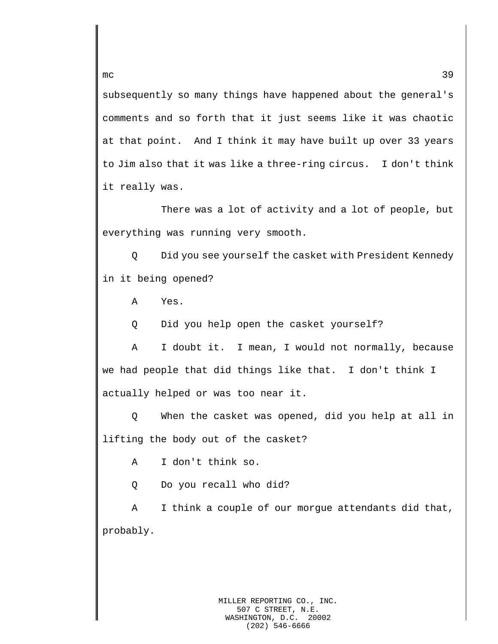subsequently so many things have happened about the general's comments and so forth that it just seems like it was chaotic at that point. And I think it may have built up over 33 years to Jim also that it was like a three-ring circus. I don't think it really was.

There was a lot of activity and a lot of people, but everything was running very smooth.

Q Did you see yourself the casket with President Kennedy in it being opened?

A Yes.

Q Did you help open the casket yourself?

A I doubt it. I mean, I would not normally, because we had people that did things like that. I don't think I actually helped or was too near it.

Q When the casket was opened, did you help at all in lifting the body out of the casket?

A I don't think so.

Q Do you recall who did?

A I think a couple of our morgue attendants did that, probably.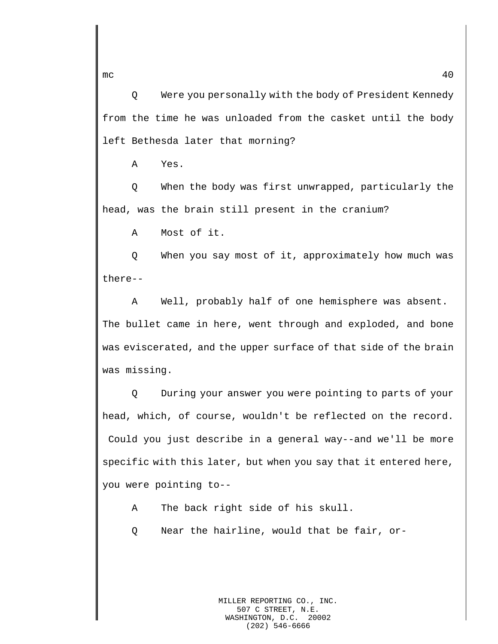Q Were you personally with the body of President Kennedy from the time he was unloaded from the casket until the body left Bethesda later that morning?

A Yes.

Q When the body was first unwrapped, particularly the head, was the brain still present in the cranium?

A Most of it.

Q When you say most of it, approximately how much was there--

A Well, probably half of one hemisphere was absent. The bullet came in here, went through and exploded, and bone was eviscerated, and the upper surface of that side of the brain was missing.

Q During your answer you were pointing to parts of your head, which, of course, wouldn't be reflected on the record. Could you just describe in a general way--and we'll be more specific with this later, but when you say that it entered here, you were pointing to--

A The back right side of his skull.

Q Near the hairline, would that be fair, or-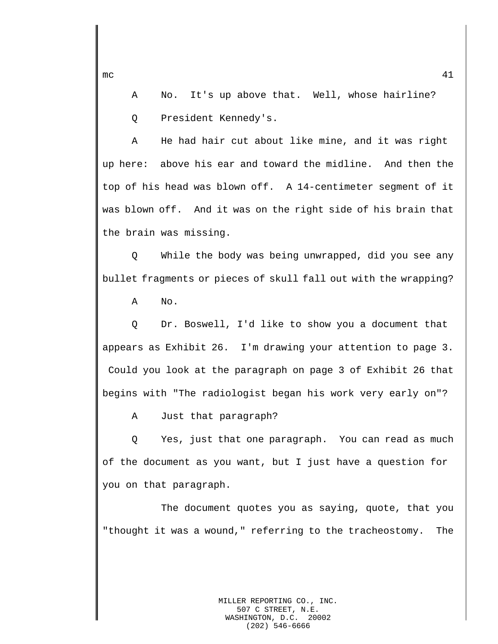A No. It's up above that. Well, whose hairline? Q President Kennedy's.

A He had hair cut about like mine, and it was right up here: above his ear and toward the midline. And then the top of his head was blown off. A 14-centimeter segment of it was blown off. And it was on the right side of his brain that the brain was missing.

Q While the body was being unwrapped, did you see any bullet fragments or pieces of skull fall out with the wrapping?

A No.

Q Dr. Boswell, I'd like to show you a document that appears as Exhibit 26. I'm drawing your attention to page 3. Could you look at the paragraph on page 3 of Exhibit 26 that begins with "The radiologist began his work very early on"?

A Just that paragraph?

Q Yes, just that one paragraph. You can read as much of the document as you want, but I just have a question for you on that paragraph.

The document quotes you as saying, quote, that you "thought it was a wound," referring to the tracheostomy. The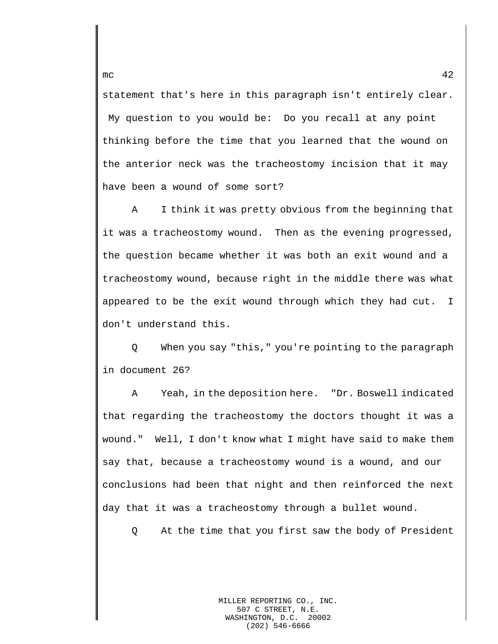statement that's here in this paragraph isn't entirely clear. My question to you would be: Do you recall at any point thinking before the time that you learned that the wound on the anterior neck was the tracheostomy incision that it may have been a wound of some sort?

A I think it was pretty obvious from the beginning that it was a tracheostomy wound. Then as the evening progressed, the question became whether it was both an exit wound and a tracheostomy wound, because right in the middle there was what appeared to be the exit wound through which they had cut. I don't understand this.

Q When you say "this," you're pointing to the paragraph in document 26?

A Yeah, in the deposition here. "Dr. Boswell indicated that regarding the tracheostomy the doctors thought it was a wound." Well, I don't know what I might have said to make them say that, because a tracheostomy wound is a wound, and our conclusions had been that night and then reinforced the next day that it was a tracheostomy through a bullet wound.

Q At the time that you first saw the body of President

MILLER REPORTING CO., INC. 507 C STREET, N.E.<br>SHINGTON, D.C. 20002 WASHINGTON, D.C. (202) 546-6666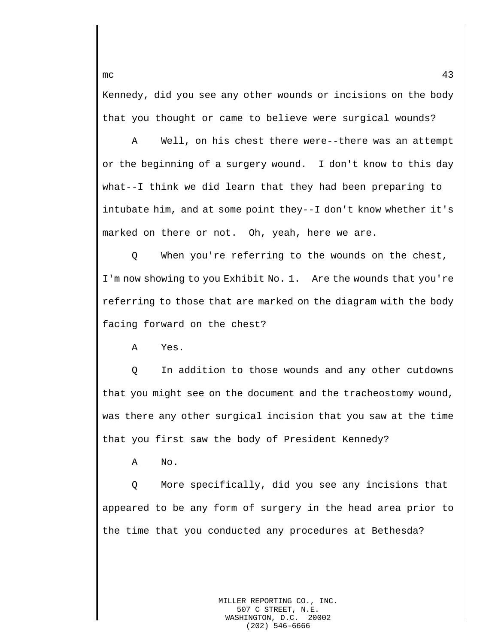Kennedy, did you see any other wounds or incisions on the body that you thought or came to believe were surgical wounds?

A Well, on his chest there were--there was an attempt or the beginning of a surgery wound. I don't know to this day what--I think we did learn that they had been preparing to intubate him, and at some point they--I don't know whether it's marked on there or not. Oh, yeah, here we are.

Q When you're referring to the wounds on the chest, I'm now showing to you Exhibit No. 1. Are the wounds that you're referring to those that are marked on the diagram with the body facing forward on the chest?

A Yes.

Q In addition to those wounds and any other cutdowns that you might see on the document and the tracheostomy wound, was there any other surgical incision that you saw at the time that you first saw the body of President Kennedy?

A No.

Q More specifically, did you see any incisions that appeared to be any form of surgery in the head area prior to the time that you conducted any procedures at Bethesda?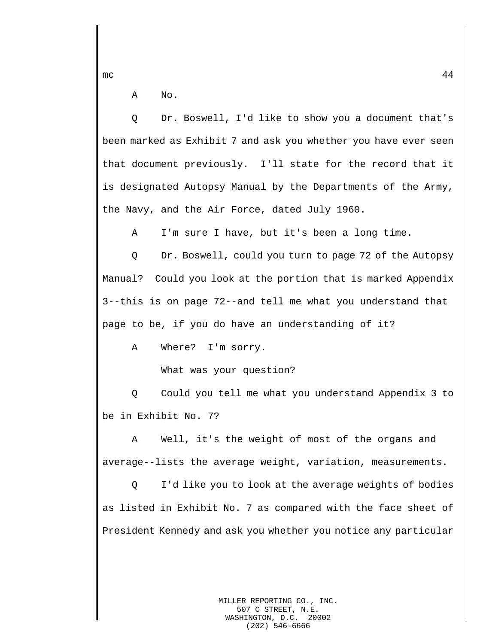mc  $44$ 

A No.

Q Dr. Boswell, I'd like to show you a document that's been marked as Exhibit 7 and ask you whether you have ever seen that document previously. I'll state for the record that it is designated Autopsy Manual by the Departments of the Army, the Navy, and the Air Force, dated July 1960.

A I'm sure I have, but it's been a long time.

Q Dr. Boswell, could you turn to page 72 of the Autopsy Manual? Could you look at the portion that is marked Appendix 3--this is on page 72--and tell me what you understand that page to be, if you do have an understanding of it?

A Where? I'm sorry.

What was your question?

Q Could you tell me what you understand Appendix 3 to be in Exhibit No. 7?

A Well, it's the weight of most of the organs and average--lists the average weight, variation, measurements.

Q I'd like you to look at the average weights of bodies as listed in Exhibit No. 7 as compared with the face sheet of President Kennedy and ask you whether you notice any particular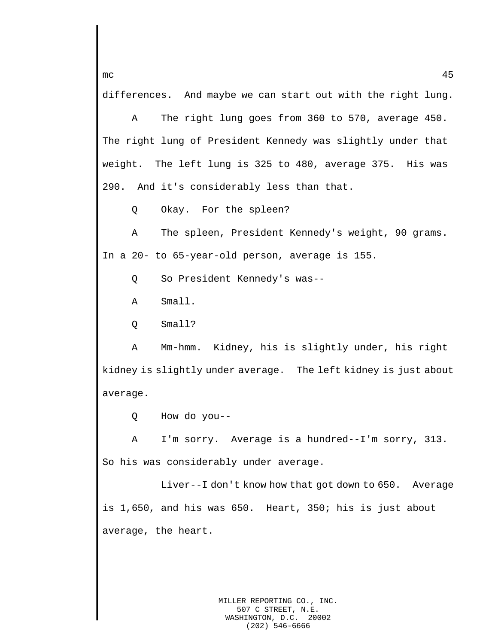differences. And maybe we can start out with the right lung.

A The right lung goes from 360 to 570, average 450. The right lung of President Kennedy was slightly under that weight. The left lung is 325 to 480, average 375. His was 290. And it's considerably less than that.

Q Okay. For the spleen?

A The spleen, President Kennedy's weight, 90 grams. In a 20- to 65-year-old person, average is 155.

Q So President Kennedy's was--

A Small.

Q Small?

A Mm-hmm. Kidney, his is slightly under, his right kidney is slightly under average. The left kidney is just about average.

Q How do you--

A I'm sorry. Average is a hundred--I'm sorry, 313. So his was considerably under average.

Liver--I don't know how that got down to 650. Average is 1,650, and his was 650. Heart, 350; his is just about average, the heart.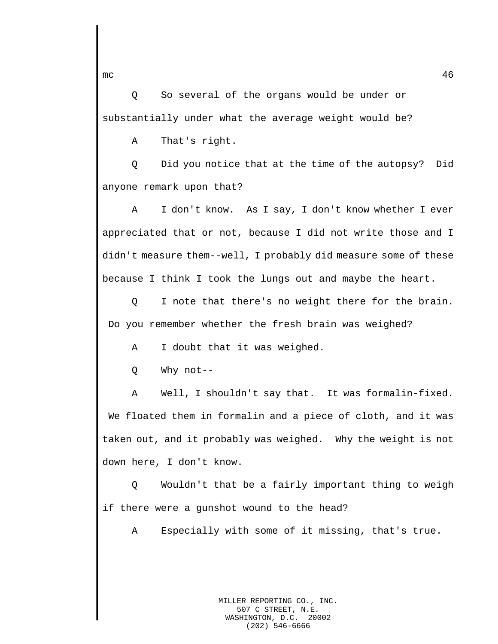Q So several of the organs would be under or substantially under what the average weight would be?

A That's right.

Q Did you notice that at the time of the autopsy? Did anyone remark upon that?

A I don't know. As I say, I don't know whether I ever appreciated that or not, because I did not write those and I didn't measure them--well, I probably did measure some of these because I think I took the lungs out and maybe the heart.

Q I note that there's no weight there for the brain. Do you remember whether the fresh brain was weighed?

A I doubt that it was weighed.

Q Why not--

A Well, I shouldn't say that. It was formalin-fixed. We floated them in formalin and a piece of cloth, and it was taken out, and it probably was weighed. Why the weight is not down here, I don't know.

Q Wouldn't that be a fairly important thing to weigh if there were a gunshot wound to the head?

A Especially with some of it missing, that's true.

 $m$ c 46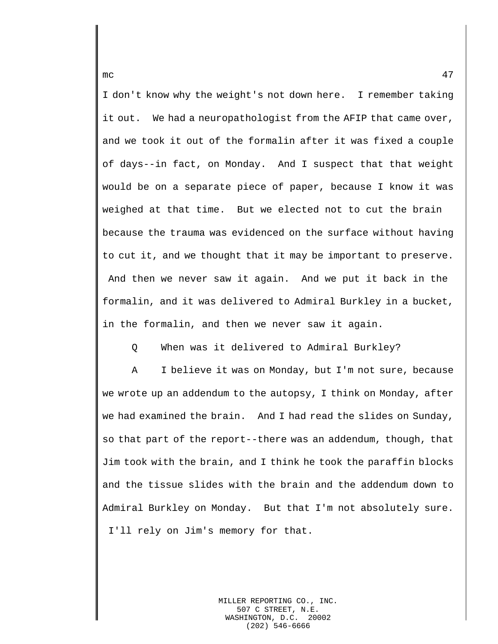I don't know why the weight's not down here. I remember taking it out. We had a neuropathologist from the AFIP that came over, and we took it out of the formalin after it was fixed a couple of days--in fact, on Monday. And I suspect that that weight would be on a separate piece of paper, because I know it was weighed at that time. But we elected not to cut the brain because the trauma was evidenced on the surface without having to cut it, and we thought that it may be important to preserve. And then we never saw it again. And we put it back in the formalin, and it was delivered to Admiral Burkley in a bucket, in the formalin, and then we never saw it again.

Q When was it delivered to Admiral Burkley?

A I believe it was on Monday, but I'm not sure, because we wrote up an addendum to the autopsy, I think on Monday, after we had examined the brain. And I had read the slides on Sunday, so that part of the report--there was an addendum, though, that Jim took with the brain, and I think he took the paraffin blocks and the tissue slides with the brain and the addendum down to Admiral Burkley on Monday. But that I'm not absolutely sure. I'll rely on Jim's memory for that.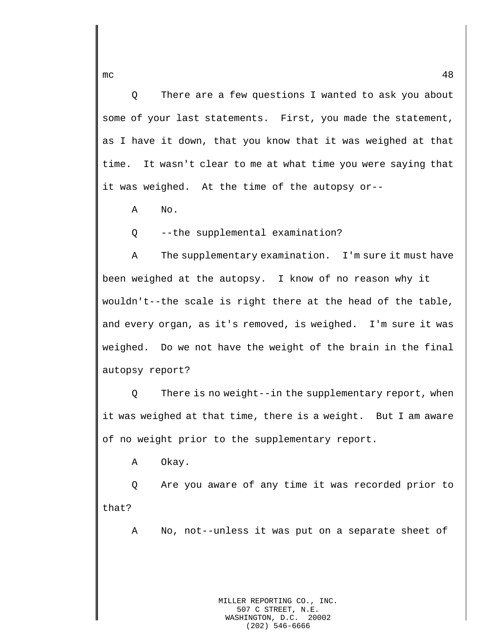Q There are a few questions I wanted to ask you about some of your last statements. First, you made the statement, as I have it down, that you know that it was weighed at that time. It wasn't clear to me at what time you were saying that it was weighed. At the time of the autopsy or--

A No.

Q --the supplemental examination?

A The supplementary examination. I'm sure it must have been weighed at the autopsy. I know of no reason why it wouldn't--the scale is right there at the head of the table, and every organ, as it's removed, is weighed. I'm sure it was weighed. Do we not have the weight of the brain in the final autopsy report?

Q There is no weight--in the supplementary report, when it was weighed at that time, there is a weight. But I am aware of no weight prior to the supplementary report.

A Okay.

Q Are you aware of any time it was recorded prior to that?

A No, not--unless it was put on a separate sheet of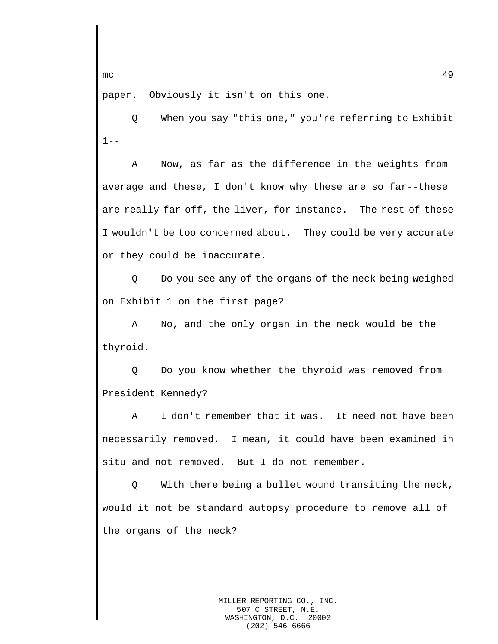$\mathsf{mc}$  and  $\mathsf{49}$ 

paper. Obviously it isn't on this one.

Q When you say "this one," you're referring to Exhibit  $1 - -$ 

A Now, as far as the difference in the weights from average and these, I don't know why these are so far--these are really far off, the liver, for instance. The rest of these I wouldn't be too concerned about. They could be very accurate or they could be inaccurate.

Q Do you see any of the organs of the neck being weighed on Exhibit 1 on the first page?

A No, and the only organ in the neck would be the thyroid.

Q Do you know whether the thyroid was removed from President Kennedy?

A I don't remember that it was. It need not have been necessarily removed. I mean, it could have been examined in situ and not removed. But I do not remember.

Q With there being a bullet wound transiting the neck, would it not be standard autopsy procedure to remove all of the organs of the neck?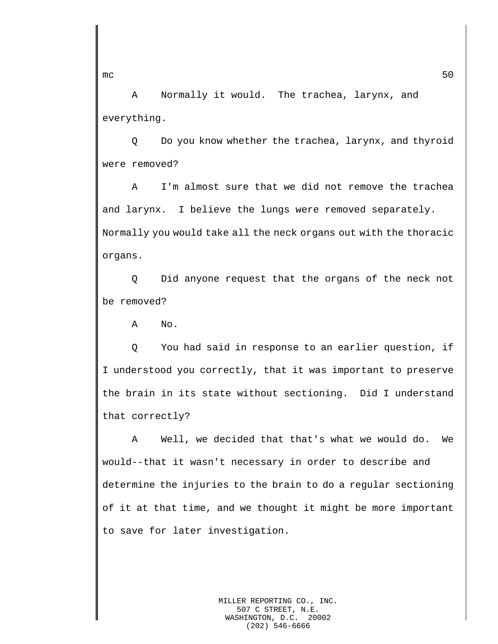A Normally it would. The trachea, larynx, and everything.

Q Do you know whether the trachea, larynx, and thyroid were removed?

A I'm almost sure that we did not remove the trachea and larynx. I believe the lungs were removed separately. Normally you would take all the neck organs out with the thoracic organs.

Q Did anyone request that the organs of the neck not be removed?

A No.

Q You had said in response to an earlier question, if I understood you correctly, that it was important to preserve the brain in its state without sectioning. Did I understand that correctly?

A Well, we decided that that's what we would do. We would--that it wasn't necessary in order to describe and determine the injuries to the brain to do a regular sectioning of it at that time, and we thought it might be more important to save for later investigation.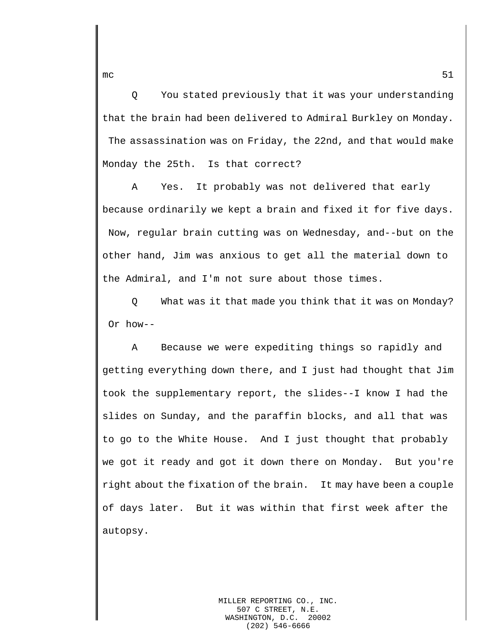Q You stated previously that it was your understanding that the brain had been delivered to Admiral Burkley on Monday. The assassination was on Friday, the 22nd, and that would make Monday the 25th. Is that correct?

A Yes. It probably was not delivered that early because ordinarily we kept a brain and fixed it for five days. Now, regular brain cutting was on Wednesday, and--but on the other hand, Jim was anxious to get all the material down to the Admiral, and I'm not sure about those times.

Q What was it that made you think that it was on Monday? Or how--

A Because we were expediting things so rapidly and getting everything down there, and I just had thought that Jim took the supplementary report, the slides--I know I had the slides on Sunday, and the paraffin blocks, and all that was to go to the White House. And I just thought that probably we got it ready and got it down there on Monday. But you're right about the fixation of the brain. It may have been a couple of days later. But it was within that first week after the autopsy.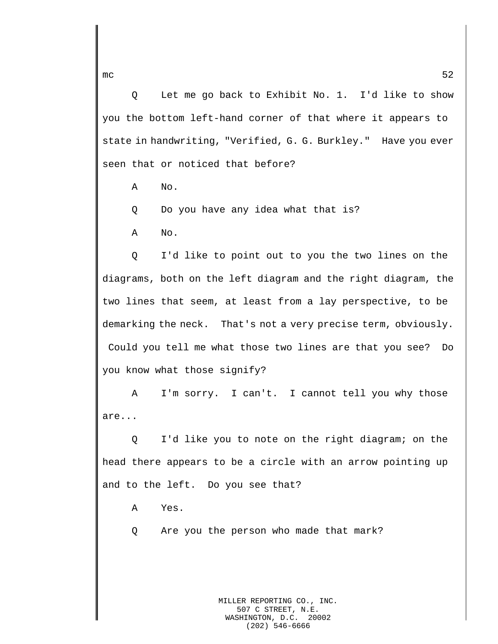Q Let me go back to Exhibit No. 1. I'd like to show you the bottom left-hand corner of that where it appears to state in handwriting, "Verified, G. G. Burkley." Have you ever seen that or noticed that before?

A No.

Q Do you have any idea what that is?

A No.

Q I'd like to point out to you the two lines on the diagrams, both on the left diagram and the right diagram, the two lines that seem, at least from a lay perspective, to be demarking the neck. That's not a very precise term, obviously. Could you tell me what those two lines are that you see? Do you know what those signify?

A I'm sorry. I can't. I cannot tell you why those are...

Q I'd like you to note on the right diagram; on the head there appears to be a circle with an arrow pointing up and to the left. Do you see that?

A Yes.

Q Are you the person who made that mark?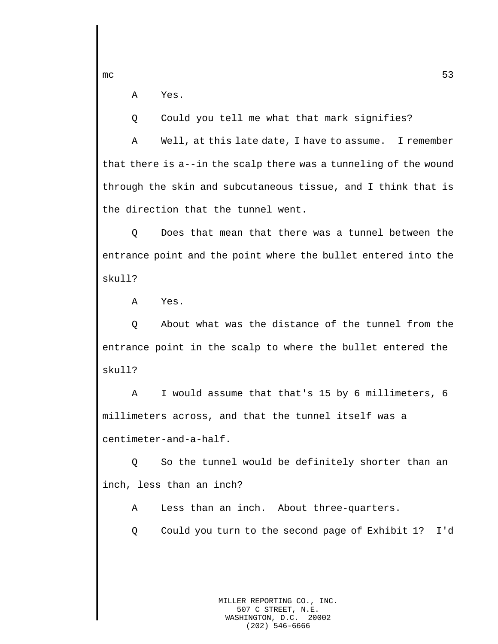mc  $53$ 

A Yes.

Q Could you tell me what that mark signifies?

A Well, at this late date, I have to assume. I remember that there is a--in the scalp there was a tunneling of the wound through the skin and subcutaneous tissue, and I think that is the direction that the tunnel went.

Q Does that mean that there was a tunnel between the entrance point and the point where the bullet entered into the skull?

A Yes.

Q About what was the distance of the tunnel from the entrance point in the scalp to where the bullet entered the skull?

A I would assume that that's 15 by 6 millimeters, 6 millimeters across, and that the tunnel itself was a centimeter-and-a-half.

Q So the tunnel would be definitely shorter than an inch, less than an inch?

A Less than an inch. About three-quarters.

Q Could you turn to the second page of Exhibit 1? I'd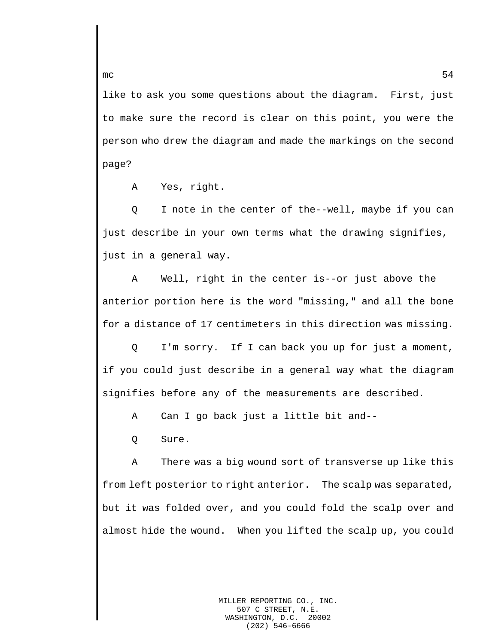like to ask you some questions about the diagram. First, just to make sure the record is clear on this point, you were the person who drew the diagram and made the markings on the second page?

A Yes, right.

Q I note in the center of the--well, maybe if you can just describe in your own terms what the drawing signifies, just in a general way.

A Well, right in the center is--or just above the anterior portion here is the word "missing," and all the bone for a distance of 17 centimeters in this direction was missing.

Q I'm sorry. If I can back you up for just a moment, if you could just describe in a general way what the diagram signifies before any of the measurements are described.

A Can I go back just a little bit and--

Q Sure.

A There was a big wound sort of transverse up like this from left posterior to right anterior. The scalp was separated, but it was folded over, and you could fold the scalp over and almost hide the wound. When you lifted the scalp up, you could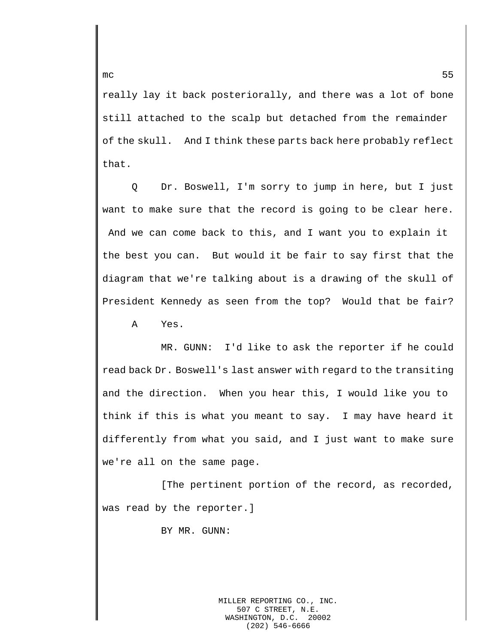really lay it back posteriorally, and there was a lot of bone still attached to the scalp but detached from the remainder of the skull. And I think these parts back here probably reflect that.

Q Dr. Boswell, I'm sorry to jump in here, but I just want to make sure that the record is going to be clear here. And we can come back to this, and I want you to explain it the best you can. But would it be fair to say first that the diagram that we're talking about is a drawing of the skull of President Kennedy as seen from the top? Would that be fair? A Yes.

MR. GUNN: I'd like to ask the reporter if he could read back Dr. Boswell's last answer with regard to the transiting and the direction. When you hear this, I would like you to think if this is what you meant to say. I may have heard it differently from what you said, and I just want to make sure we're all on the same page.

[The pertinent portion of the record, as recorded, was read by the reporter.]

BY MR. GUNN: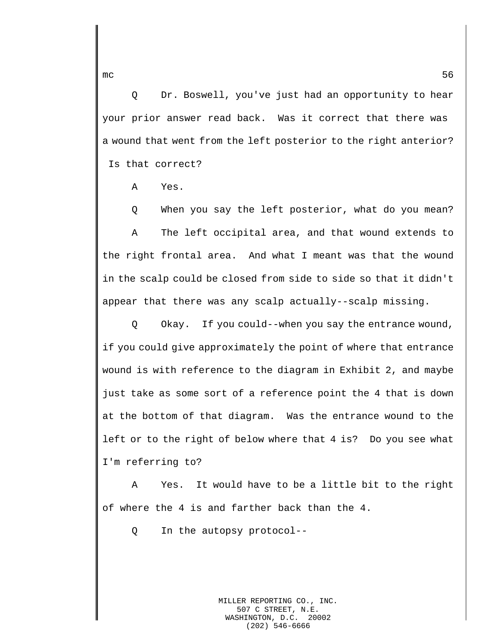Q Dr. Boswell, you've just had an opportunity to hear your prior answer read back. Was it correct that there was a wound that went from the left posterior to the right anterior? Is that correct?

A Yes.

Q When you say the left posterior, what do you mean? A The left occipital area, and that wound extends to the right frontal area. And what I meant was that the wound in the scalp could be closed from side to side so that it didn't appear that there was any scalp actually--scalp missing.

Q Okay. If you could--when you say the entrance wound, if you could give approximately the point of where that entrance wound is with reference to the diagram in Exhibit 2, and maybe just take as some sort of a reference point the 4 that is down at the bottom of that diagram. Was the entrance wound to the left or to the right of below where that 4 is? Do you see what I'm referring to?

A Yes. It would have to be a little bit to the right of where the 4 is and farther back than the 4.

Q In the autopsy protocol--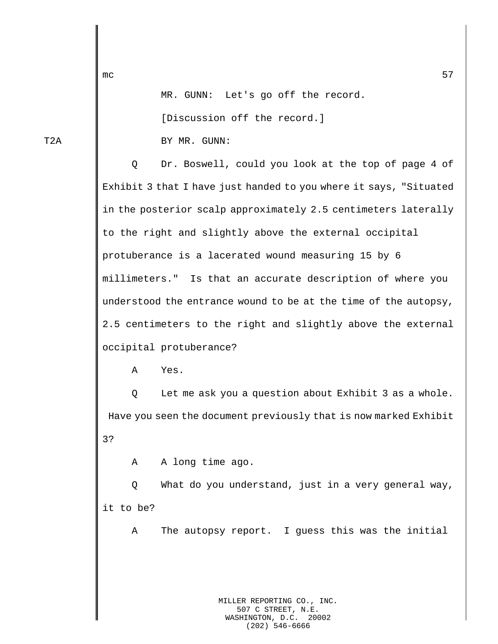MR. GUNN: Let's go off the record.

[Discussion off the record.]

T2A BY MR. GUNN:

Q Dr. Boswell, could you look at the top of page 4 of Exhibit 3 that I have just handed to you where it says, "Situated in the posterior scalp approximately 2.5 centimeters laterally to the right and slightly above the external occipital protuberance is a lacerated wound measuring 15 by 6 millimeters." Is that an accurate description of where you understood the entrance wound to be at the time of the autopsy, 2.5 centimeters to the right and slightly above the external occipital protuberance?

A Yes.

Q Let me ask you a question about Exhibit 3 as a whole. Have you seen the document previously that is now marked Exhibit 3?

A A long time ago.

Q What do you understand, just in a very general way, it to be?

A The autopsy report. I guess this was the initial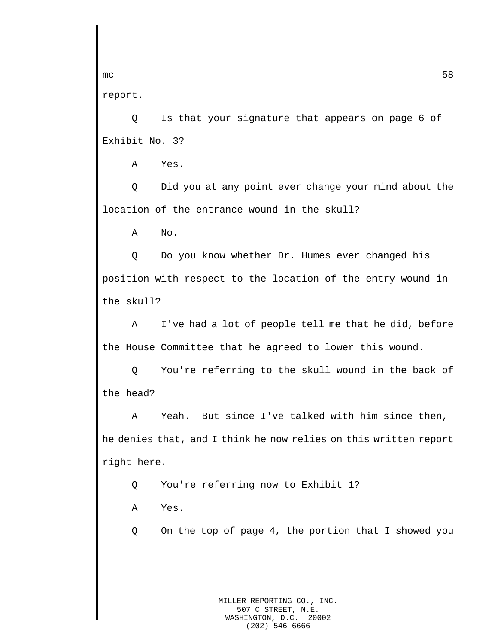report.

Q Is that your signature that appears on page 6 of Exhibit No. 3?

A Yes.

Q Did you at any point ever change your mind about the location of the entrance wound in the skull?

A No.

Q Do you know whether Dr. Humes ever changed his position with respect to the location of the entry wound in the skull?

A I've had a lot of people tell me that he did, before the House Committee that he agreed to lower this wound.

Q You're referring to the skull wound in the back of the head?

A Yeah. But since I've talked with him since then, he denies that, and I think he now relies on this written report right here.

Q You're referring now to Exhibit 1?

A Yes.

Q On the top of page 4, the portion that I showed you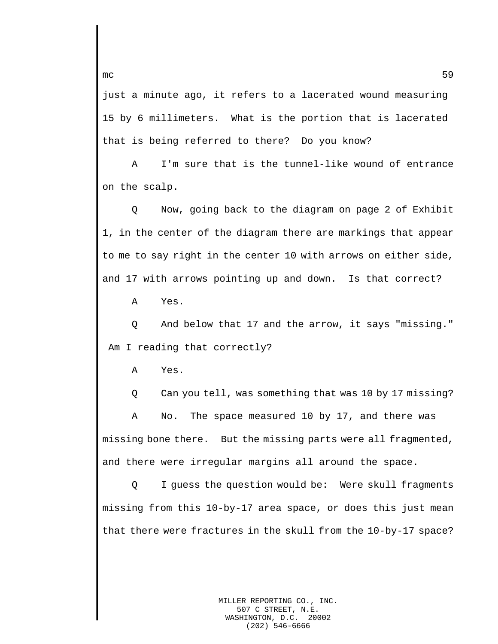just a minute ago, it refers to a lacerated wound measuring 15 by 6 millimeters. What is the portion that is lacerated that is being referred to there? Do you know?

A I'm sure that is the tunnel-like wound of entrance on the scalp.

Q Now, going back to the diagram on page 2 of Exhibit 1, in the center of the diagram there are markings that appear to me to say right in the center 10 with arrows on either side, and 17 with arrows pointing up and down. Is that correct?

A Yes.

Q And below that 17 and the arrow, it says "missing." Am I reading that correctly?

A Yes.

Q Can you tell, was something that was 10 by 17 missing?

A No. The space measured 10 by 17, and there was missing bone there. But the missing parts were all fragmented, and there were irregular margins all around the space.

Q I guess the question would be: Were skull fragments missing from this 10-by-17 area space, or does this just mean that there were fractures in the skull from the 10-by-17 space?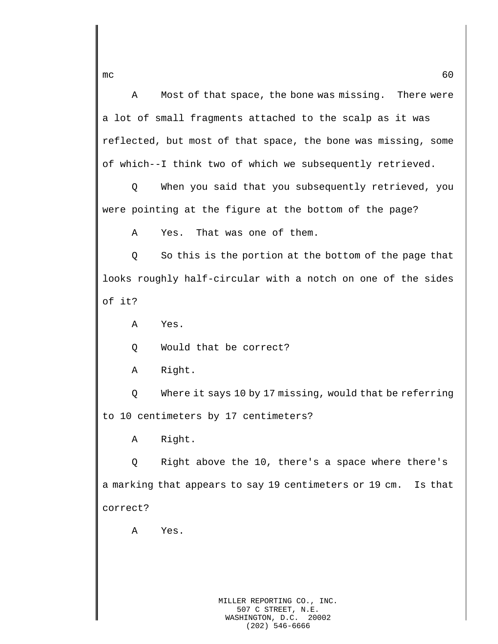A Most of that space, the bone was missing. There were a lot of small fragments attached to the scalp as it was reflected, but most of that space, the bone was missing, some of which--I think two of which we subsequently retrieved.

Q When you said that you subsequently retrieved, you were pointing at the figure at the bottom of the page?

A Yes. That was one of them.

Q So this is the portion at the bottom of the page that looks roughly half-circular with a notch on one of the sides of it?

A Yes.

Q Would that be correct?

A Right.

Q Where it says 10 by 17 missing, would that be referring to 10 centimeters by 17 centimeters?

A Right.

Q Right above the 10, there's a space where there's a marking that appears to say 19 centimeters or 19 cm. Is that correct?

A Yes.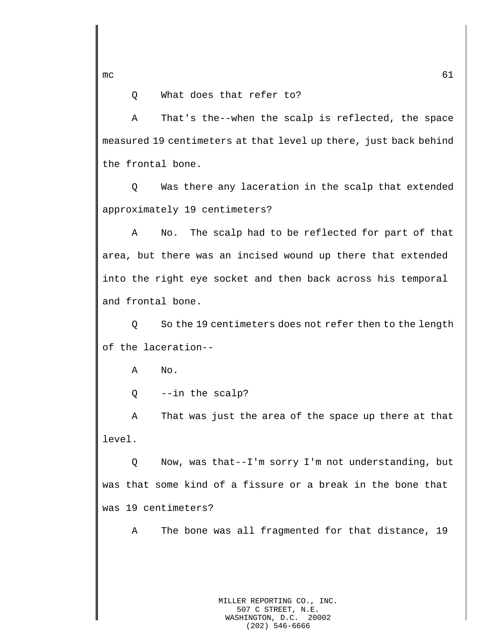mc  $61$ 

Q What does that refer to?

A That's the--when the scalp is reflected, the space measured 19 centimeters at that level up there, just back behind the frontal bone.

Q Was there any laceration in the scalp that extended approximately 19 centimeters?

A No. The scalp had to be reflected for part of that area, but there was an incised wound up there that extended into the right eye socket and then back across his temporal and frontal bone.

Q So the 19 centimeters does not refer then to the length of the laceration--

A No.

Q --in the scalp?

A That was just the area of the space up there at that level.

Q Now, was that--I'm sorry I'm not understanding, but was that some kind of a fissure or a break in the bone that was 19 centimeters?

A The bone was all fragmented for that distance, 19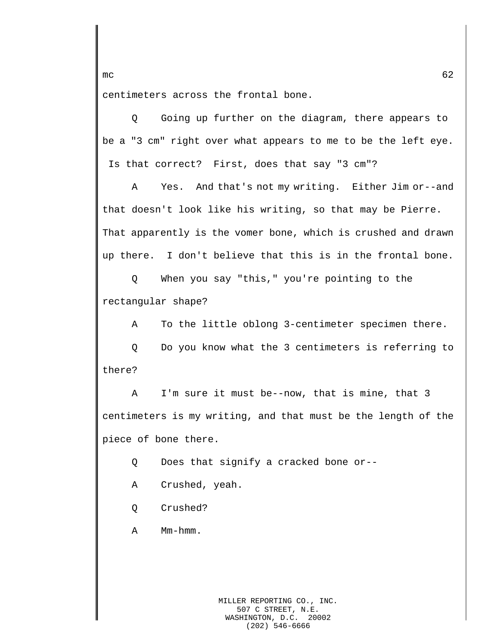centimeters across the frontal bone.

Q Going up further on the diagram, there appears to be a "3 cm" right over what appears to me to be the left eye. Is that correct? First, does that say "3 cm"?

A Yes. And that's not my writing. Either Jim or--and that doesn't look like his writing, so that may be Pierre. That apparently is the vomer bone, which is crushed and drawn up there. I don't believe that this is in the frontal bone.

Q When you say "this," you're pointing to the rectangular shape?

A To the little oblong 3-centimeter specimen there.

Q Do you know what the 3 centimeters is referring to there?

A I'm sure it must be--now, that is mine, that 3 centimeters is my writing, and that must be the length of the piece of bone there.

Q Does that signify a cracked bone or--

- A Crushed, yeah.
- Q Crushed?
- A Mm-hmm.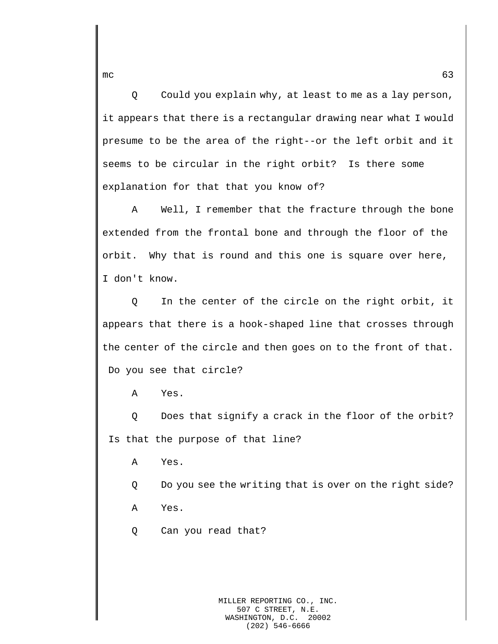Q Could you explain why, at least to me as a lay person, it appears that there is a rectangular drawing near what I would presume to be the area of the right--or the left orbit and it seems to be circular in the right orbit? Is there some explanation for that that you know of?

A Well, I remember that the fracture through the bone extended from the frontal bone and through the floor of the orbit. Why that is round and this one is square over here, I don't know.

Q In the center of the circle on the right orbit, it appears that there is a hook-shaped line that crosses through the center of the circle and then goes on to the front of that. Do you see that circle?

A Yes.

Q Does that signify a crack in the floor of the orbit? Is that the purpose of that line?

A Yes.

Q Do you see the writing that is over on the right side? A Yes.

Q Can you read that?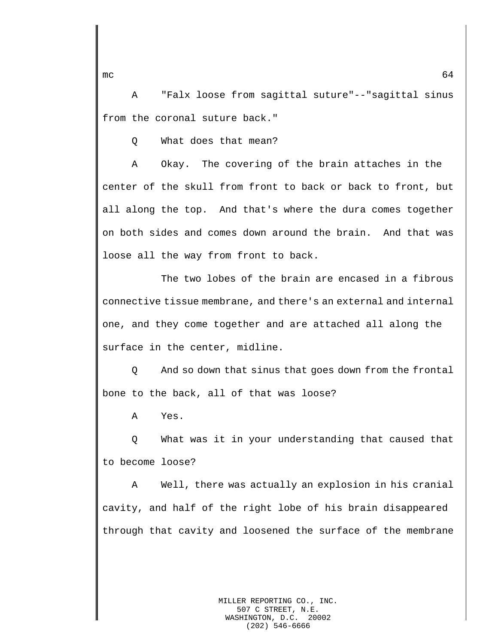A "Falx loose from sagittal suture"--"sagittal sinus from the coronal suture back."

Q What does that mean?

A Okay. The covering of the brain attaches in the center of the skull from front to back or back to front, but all along the top. And that's where the dura comes together on both sides and comes down around the brain. And that was loose all the way from front to back.

The two lobes of the brain are encased in a fibrous connective tissue membrane, and there's an external and internal one, and they come together and are attached all along the surface in the center, midline.

Q And so down that sinus that goes down from the frontal bone to the back, all of that was loose?

A Yes.

Q What was it in your understanding that caused that to become loose?

A Well, there was actually an explosion in his cranial cavity, and half of the right lobe of his brain disappeared through that cavity and loosened the surface of the membrane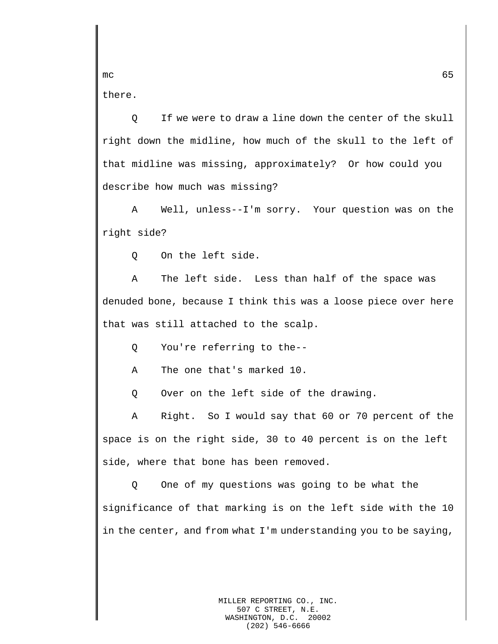there.

Q If we were to draw a line down the center of the skull right down the midline, how much of the skull to the left of that midline was missing, approximately? Or how could you describe how much was missing?

A Well, unless--I'm sorry. Your question was on the right side?

Q On the left side.

A The left side. Less than half of the space was denuded bone, because I think this was a loose piece over here that was still attached to the scalp.

Q You're referring to the--

A The one that's marked 10.

Q Over on the left side of the drawing.

A Right. So I would say that 60 or 70 percent of the space is on the right side, 30 to 40 percent is on the left side, where that bone has been removed.

Q One of my questions was going to be what the significance of that marking is on the left side with the 10 in the center, and from what I'm understanding you to be saying,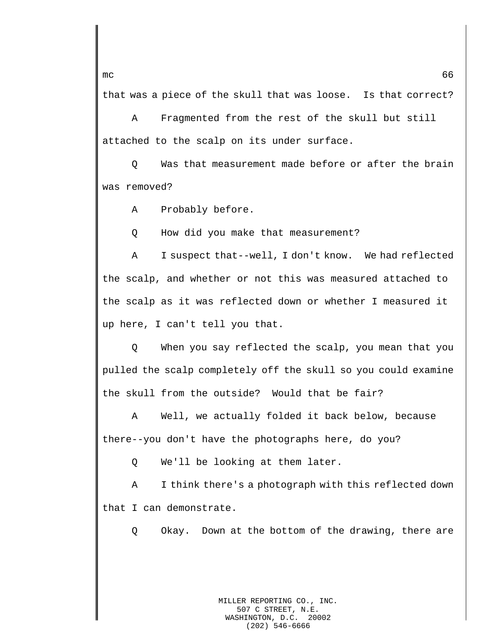that was a piece of the skull that was loose. Is that correct?

A Fragmented from the rest of the skull but still attached to the scalp on its under surface.

Q Was that measurement made before or after the brain was removed?

A Probably before.

Q How did you make that measurement?

A I suspect that--well, I don't know. We had reflected the scalp, and whether or not this was measured attached to the scalp as it was reflected down or whether I measured it up here, I can't tell you that.

Q When you say reflected the scalp, you mean that you pulled the scalp completely off the skull so you could examine the skull from the outside? Would that be fair?

A Well, we actually folded it back below, because there--you don't have the photographs here, do you?

Q We'll be looking at them later.

A I think there's a photograph with this reflected down that I can demonstrate.

Q Okay. Down at the bottom of the drawing, there are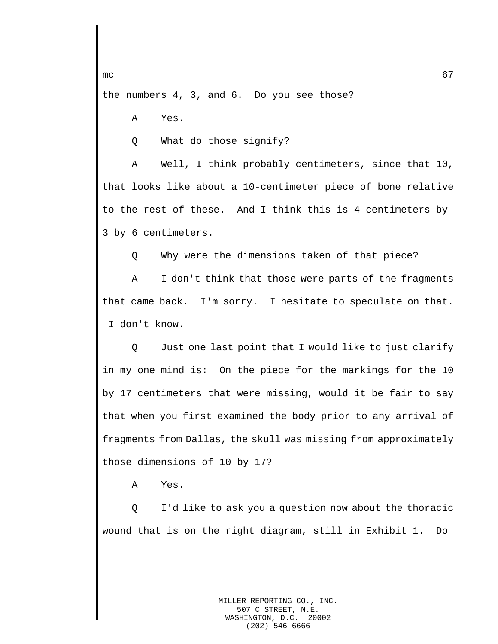the numbers 4, 3, and 6. Do you see those?

A Yes.

Q What do those signify?

A Well, I think probably centimeters, since that 10, that looks like about a 10-centimeter piece of bone relative to the rest of these. And I think this is 4 centimeters by 3 by 6 centimeters.

Q Why were the dimensions taken of that piece?

A I don't think that those were parts of the fragments that came back. I'm sorry. I hesitate to speculate on that. I don't know.

Q Just one last point that I would like to just clarify in my one mind is: On the piece for the markings for the 10 by 17 centimeters that were missing, would it be fair to say that when you first examined the body prior to any arrival of fragments from Dallas, the skull was missing from approximately those dimensions of 10 by 17?

A Yes.

Q I'd like to ask you a question now about the thoracic wound that is on the right diagram, still in Exhibit 1. Do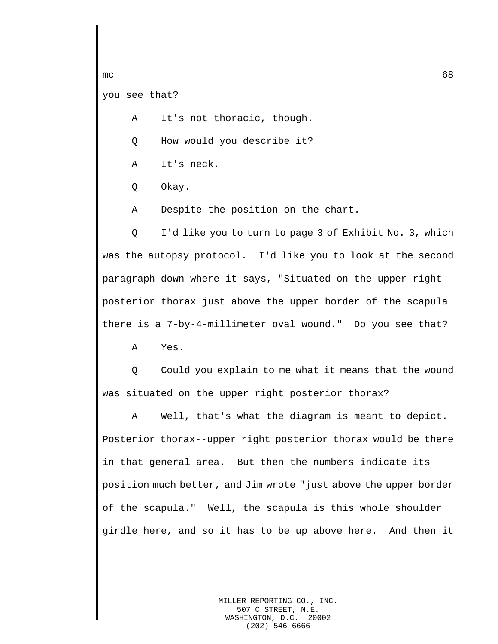```
you see that?
```
A It's not thoracic, though.

Q How would you describe it?

A It's neck.

Q Okay.

A Despite the position on the chart.

Q I'd like you to turn to page 3 of Exhibit No. 3, which was the autopsy protocol. I'd like you to look at the second paragraph down where it says, "Situated on the upper right posterior thorax just above the upper border of the scapula there is a 7-by-4-millimeter oval wound." Do you see that?

A Yes.

Q Could you explain to me what it means that the wound was situated on the upper right posterior thorax?

A Well, that's what the diagram is meant to depict. Posterior thorax--upper right posterior thorax would be there in that general area. But then the numbers indicate its position much better, and Jim wrote "just above the upper border of the scapula." Well, the scapula is this whole shoulder girdle here, and so it has to be up above here. And then it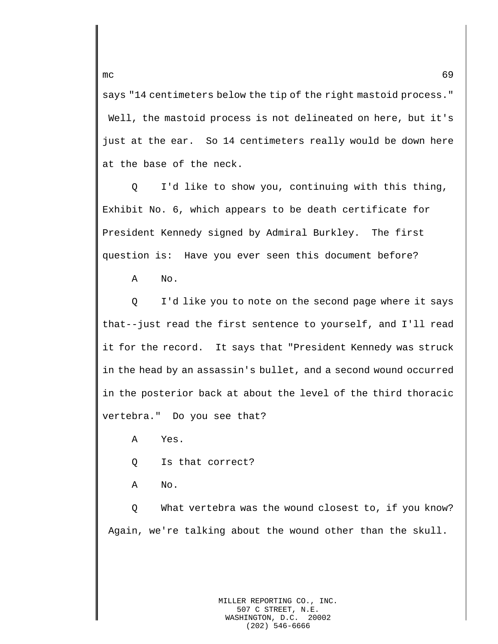says "14 centimeters below the tip of the right mastoid process." Well, the mastoid process is not delineated on here, but it's just at the ear. So 14 centimeters really would be down here at the base of the neck.

Q I'd like to show you, continuing with this thing, Exhibit No. 6, which appears to be death certificate for President Kennedy signed by Admiral Burkley. The first question is: Have you ever seen this document before?

A No.

Q I'd like you to note on the second page where it says that--just read the first sentence to yourself, and I'll read it for the record. It says that "President Kennedy was struck in the head by an assassin's bullet, and a second wound occurred in the posterior back at about the level of the third thoracic vertebra." Do you see that?

A Yes.

Q Is that correct?

A No.

Q What vertebra was the wound closest to, if you know? Again, we're talking about the wound other than the skull.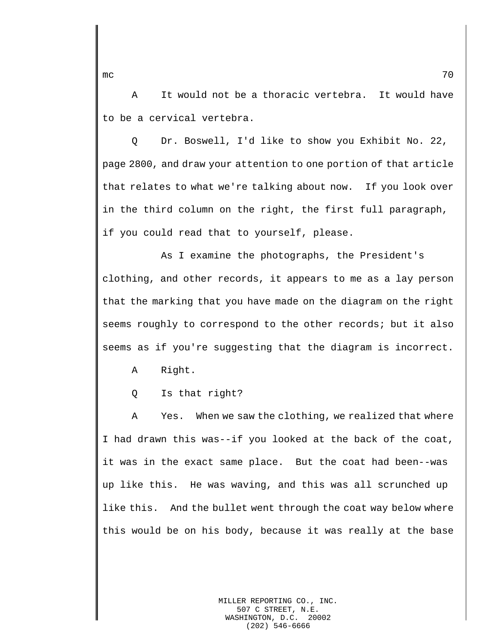A It would not be a thoracic vertebra. It would have to be a cervical vertebra.

Q Dr. Boswell, I'd like to show you Exhibit No. 22, page 2800, and draw your attention to one portion of that article that relates to what we're talking about now. If you look over in the third column on the right, the first full paragraph, if you could read that to yourself, please.

As I examine the photographs, the President's clothing, and other records, it appears to me as a lay person that the marking that you have made on the diagram on the right seems roughly to correspond to the other records; but it also seems as if you're suggesting that the diagram is incorrect.

A Right.

Q Is that right?

A Yes. When we saw the clothing, we realized that where I had drawn this was--if you looked at the back of the coat, it was in the exact same place. But the coat had been--was up like this. He was waving, and this was all scrunched up like this. And the bullet went through the coat way below where this would be on his body, because it was really at the base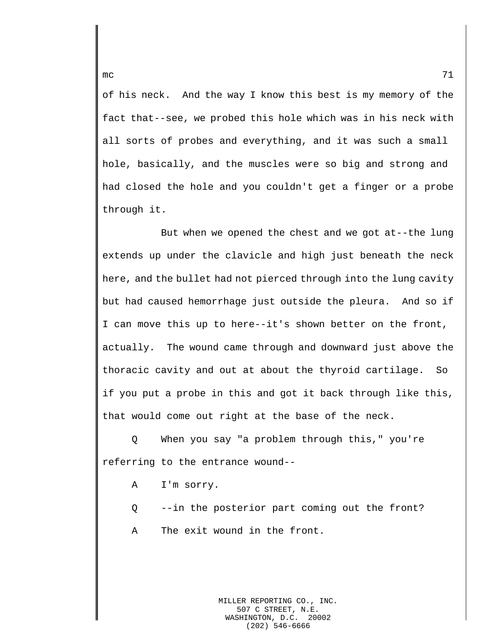of his neck. And the way I know this best is my memory of the fact that--see, we probed this hole which was in his neck with all sorts of probes and everything, and it was such a small hole, basically, and the muscles were so big and strong and had closed the hole and you couldn't get a finger or a probe through it.

But when we opened the chest and we got at--the lung extends up under the clavicle and high just beneath the neck here, and the bullet had not pierced through into the lung cavity but had caused hemorrhage just outside the pleura. And so if I can move this up to here--it's shown better on the front, actually. The wound came through and downward just above the thoracic cavity and out at about the thyroid cartilage. So if you put a probe in this and got it back through like this, that would come out right at the base of the neck.

Q When you say "a problem through this," you're referring to the entrance wound--

- A I'm sorry.
- Q --in the posterior part coming out the front?
- A The exit wound in the front.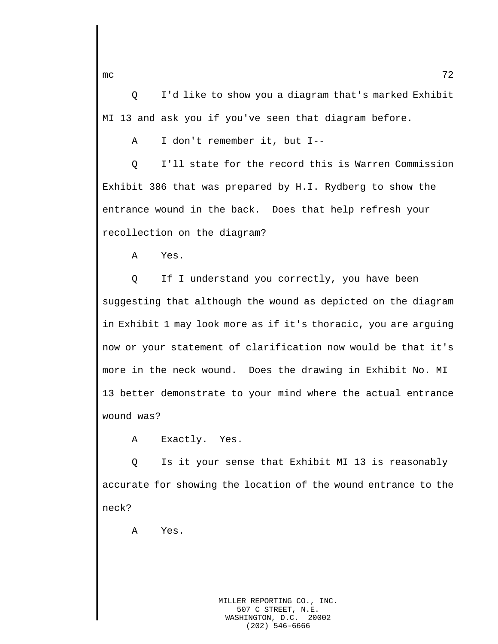Q I'd like to show you a diagram that's marked Exhibit MI 13 and ask you if you've seen that diagram before.

A I don't remember it, but I--

Q I'll state for the record this is Warren Commission Exhibit 386 that was prepared by H.I. Rydberg to show the entrance wound in the back. Does that help refresh your recollection on the diagram?

A Yes.

Q If I understand you correctly, you have been suggesting that although the wound as depicted on the diagram in Exhibit 1 may look more as if it's thoracic, you are arguing now or your statement of clarification now would be that it's more in the neck wound. Does the drawing in Exhibit No. MI 13 better demonstrate to your mind where the actual entrance wound was?

A Exactly. Yes.

Q Is it your sense that Exhibit MI 13 is reasonably accurate for showing the location of the wound entrance to the neck?

A Yes.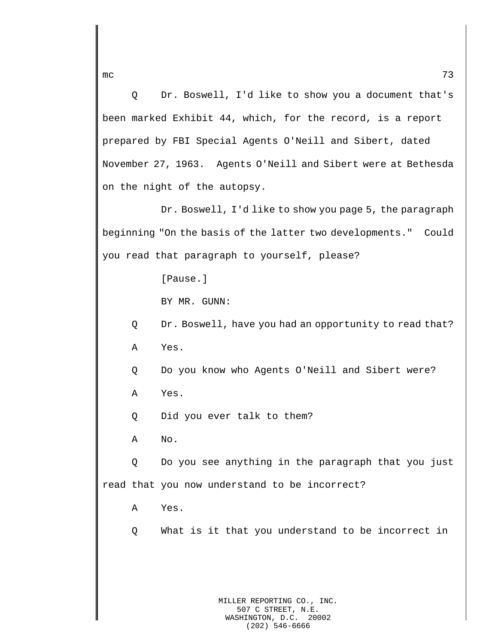Q Dr. Boswell, I'd like to show you a document that's been marked Exhibit 44, which, for the record, is a report prepared by FBI Special Agents O'Neill and Sibert, dated November 27, 1963. Agents O'Neill and Sibert were at Bethesda on the night of the autopsy.

Dr. Boswell, I'd like to show you page 5, the paragraph beginning "On the basis of the latter two developments." Could you read that paragraph to yourself, please?

[Pause.]

BY MR. GUNN:

Q Dr. Boswell, have you had an opportunity to read that? A Yes.

Q Do you know who Agents O'Neill and Sibert were?

A Yes.

Q Did you ever talk to them?

A No.

Q Do you see anything in the paragraph that you just read that you now understand to be incorrect?

A Yes.

Q What is it that you understand to be incorrect in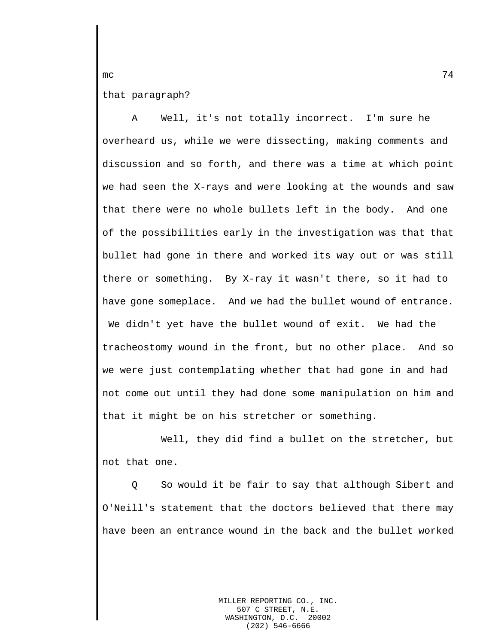that paragraph?

A Well, it's not totally incorrect. I'm sure he overheard us, while we were dissecting, making comments and discussion and so forth, and there was a time at which point we had seen the X-rays and were looking at the wounds and saw that there were no whole bullets left in the body. And one of the possibilities early in the investigation was that that bullet had gone in there and worked its way out or was still there or something. By X-ray it wasn't there, so it had to have gone someplace. And we had the bullet wound of entrance. We didn't yet have the bullet wound of exit. We had the tracheostomy wound in the front, but no other place. And so we were just contemplating whether that had gone in and had not come out until they had done some manipulation on him and that it might be on his stretcher or something.

Well, they did find a bullet on the stretcher, but not that one.

Q So would it be fair to say that although Sibert and O'Neill's statement that the doctors believed that there may have been an entrance wound in the back and the bullet worked

> MILLER REPORTING CO., INC. 507 C STREET, N.E.<br>SHINGTON, D.C. 20002 WASHINGTON, D.C. (202) 546-6666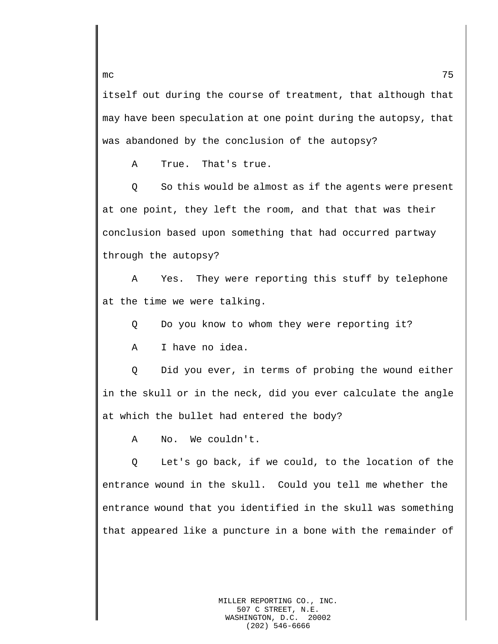itself out during the course of treatment, that although that may have been speculation at one point during the autopsy, that was abandoned by the conclusion of the autopsy?

A True. That's true.

Q So this would be almost as if the agents were present at one point, they left the room, and that that was their conclusion based upon something that had occurred partway through the autopsy?

A Yes. They were reporting this stuff by telephone at the time we were talking.

Q Do you know to whom they were reporting it?

A I have no idea.

Q Did you ever, in terms of probing the wound either in the skull or in the neck, did you ever calculate the angle at which the bullet had entered the body?

A No. We couldn't.

Q Let's go back, if we could, to the location of the entrance wound in the skull. Could you tell me whether the entrance wound that you identified in the skull was something that appeared like a puncture in a bone with the remainder of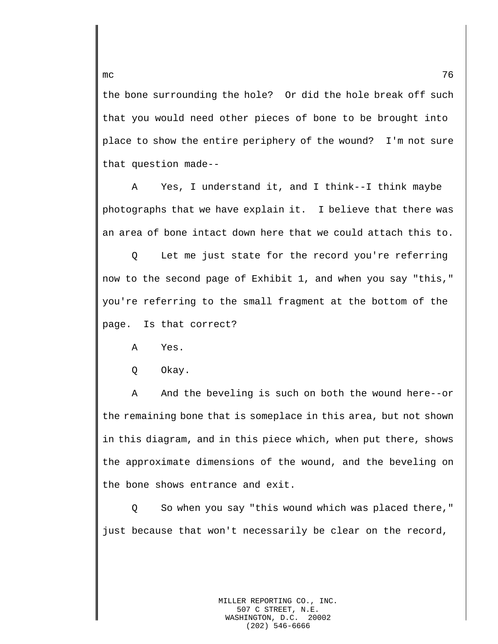the bone surrounding the hole? Or did the hole break off such that you would need other pieces of bone to be brought into place to show the entire periphery of the wound? I'm not sure that question made--

A Yes, I understand it, and I think--I think maybe photographs that we have explain it. I believe that there was an area of bone intact down here that we could attach this to.

Q Let me just state for the record you're referring now to the second page of Exhibit 1, and when you say "this," you're referring to the small fragment at the bottom of the page. Is that correct?

A Yes.

Q Okay.

A And the beveling is such on both the wound here--or the remaining bone that is someplace in this area, but not shown in this diagram, and in this piece which, when put there, shows the approximate dimensions of the wound, and the beveling on the bone shows entrance and exit.

Q So when you say "this wound which was placed there," just because that won't necessarily be clear on the record,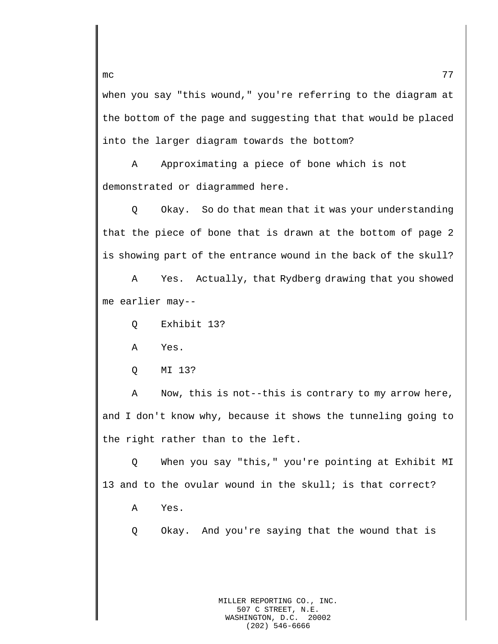when you say "this wound," you're referring to the diagram at the bottom of the page and suggesting that that would be placed into the larger diagram towards the bottom?

A Approximating a piece of bone which is not demonstrated or diagrammed here.

Q Okay. So do that mean that it was your understanding that the piece of bone that is drawn at the bottom of page 2 is showing part of the entrance wound in the back of the skull?

A Yes. Actually, that Rydberg drawing that you showed me earlier may--

Q Exhibit 13?

A Yes.

Q MI 13?

A Now, this is not--this is contrary to my arrow here, and I don't know why, because it shows the tunneling going to the right rather than to the left.

Q When you say "this," you're pointing at Exhibit MI 13 and to the ovular wound in the skull; is that correct?

A Yes.

Q Okay. And you're saying that the wound that is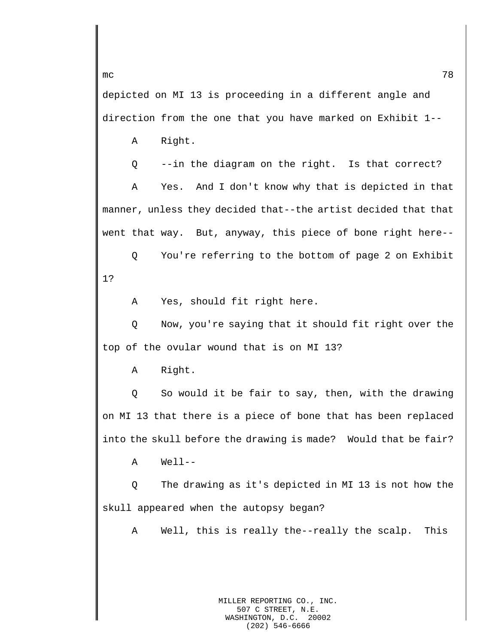depicted on MI 13 is proceeding in a different angle and direction from the one that you have marked on Exhibit 1--

A Right.

Q --in the diagram on the right. Is that correct?

A Yes. And I don't know why that is depicted in that manner, unless they decided that--the artist decided that that went that way. But, anyway, this piece of bone right here--

Q You're referring to the bottom of page 2 on Exhibit 1?

A Yes, should fit right here.

Q Now, you're saying that it should fit right over the top of the ovular wound that is on MI 13?

A Right.

Q So would it be fair to say, then, with the drawing on MI 13 that there is a piece of bone that has been replaced into the skull before the drawing is made? Would that be fair?

A Well--

Q The drawing as it's depicted in MI 13 is not how the skull appeared when the autopsy began?

A Well, this is really the--really the scalp. This

 $mc$  78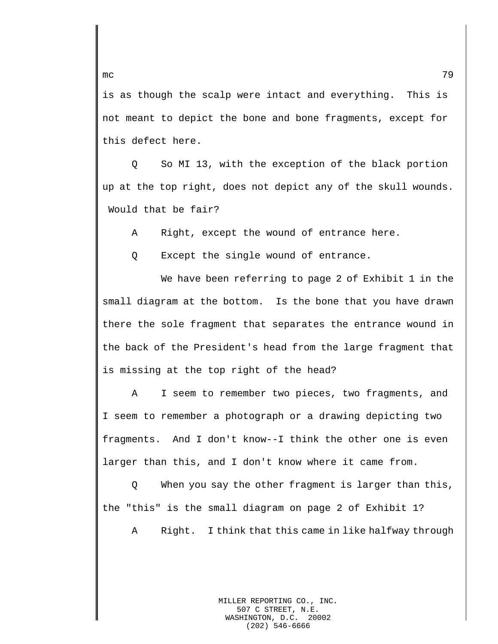is as though the scalp were intact and everything. This is not meant to depict the bone and bone fragments, except for this defect here.

Q So MI 13, with the exception of the black portion up at the top right, does not depict any of the skull wounds. Would that be fair?

A Right, except the wound of entrance here.

Q Except the single wound of entrance.

We have been referring to page 2 of Exhibit 1 in the small diagram at the bottom. Is the bone that you have drawn there the sole fragment that separates the entrance wound in the back of the President's head from the large fragment that is missing at the top right of the head?

A I seem to remember two pieces, two fragments, and I seem to remember a photograph or a drawing depicting two fragments. And I don't know--I think the other one is even larger than this, and I don't know where it came from.

Q When you say the other fragment is larger than this, the "this" is the small diagram on page 2 of Exhibit 1?

A Right. I think that this came in like halfway through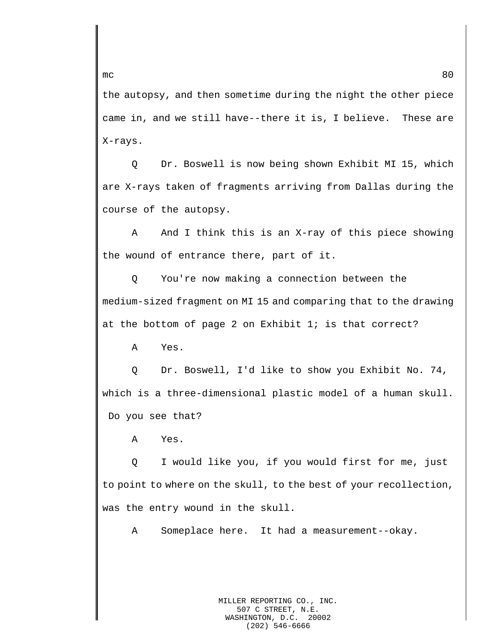the autopsy, and then sometime during the night the other piece came in, and we still have--there it is, I believe. These are X-rays.

Q Dr. Boswell is now being shown Exhibit MI 15, which are X-rays taken of fragments arriving from Dallas during the course of the autopsy.

A And I think this is an X-ray of this piece showing the wound of entrance there, part of it.

Q You're now making a connection between the medium-sized fragment on MI 15 and comparing that to the drawing at the bottom of page 2 on Exhibit  $1$ ; is that correct?

A Yes.

Q Dr. Boswell, I'd like to show you Exhibit No. 74, which is a three-dimensional plastic model of a human skull. Do you see that?

A Yes.

Q I would like you, if you would first for me, just to point to where on the skull, to the best of your recollection, was the entry wound in the skull.

A Someplace here. It had a measurement--okay.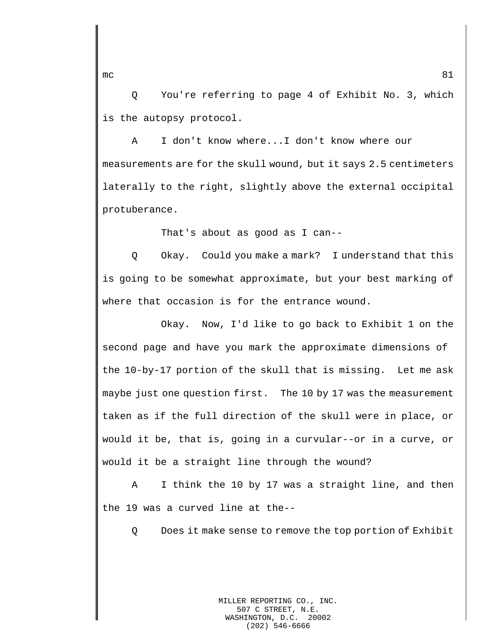Q You're referring to page 4 of Exhibit No. 3, which is the autopsy protocol.

A I don't know where...I don't know where our measurements are for the skull wound, but it says 2.5 centimeters laterally to the right, slightly above the external occipital protuberance.

That's about as good as I can--

Q Okay. Could you make a mark? I understand that this is going to be somewhat approximate, but your best marking of where that occasion is for the entrance wound.

Okay. Now, I'd like to go back to Exhibit 1 on the second page and have you mark the approximate dimensions of the 10-by-17 portion of the skull that is missing. Let me ask maybe just one question first. The 10 by 17 was the measurement taken as if the full direction of the skull were in place, or would it be, that is, going in a curvular--or in a curve, or would it be a straight line through the wound?

A I think the 10 by 17 was a straight line, and then the 19 was a curved line at the--

Q Does it make sense to remove the top portion of Exhibit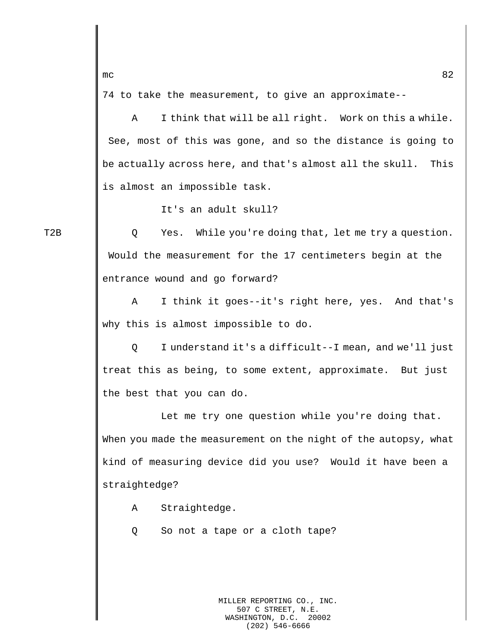74 to take the measurement, to give an approximate--

A I think that will be all right. Work on this a while. See, most of this was gone, and so the distance is going to be actually across here, and that's almost all the skull. This is almost an impossible task.

It's an adult skull?

T2B Q Yes. While you're doing that, let me try a question. Would the measurement for the 17 centimeters begin at the entrance wound and go forward?

> A I think it goes--it's right here, yes. And that's why this is almost impossible to do.

> Q I understand it's a difficult--I mean, and we'll just treat this as being, to some extent, approximate. But just the best that you can do.

> Let me try one question while you're doing that. When you made the measurement on the night of the autopsy, what kind of measuring device did you use? Would it have been a straightedge?

A Straightedge.

Q So not a tape or a cloth tape?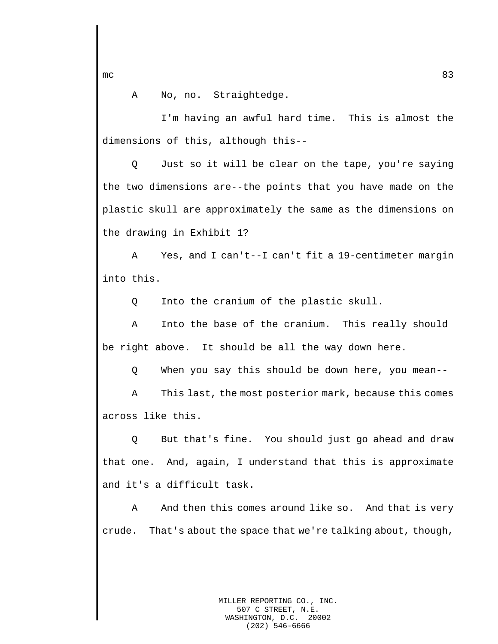A No, no. Straightedge.

I'm having an awful hard time. This is almost the dimensions of this, although this--

Q Just so it will be clear on the tape, you're saying the two dimensions are--the points that you have made on the plastic skull are approximately the same as the dimensions on the drawing in Exhibit 1?

A Yes, and I can't--I can't fit a 19-centimeter margin into this.

Q Into the cranium of the plastic skull.

A Into the base of the cranium. This really should be right above. It should be all the way down here.

Q When you say this should be down here, you mean--

A This last, the most posterior mark, because this comes across like this.

Q But that's fine. You should just go ahead and draw that one. And, again, I understand that this is approximate and it's a difficult task.

A And then this comes around like so. And that is very crude. That's about the space that we're talking about, though,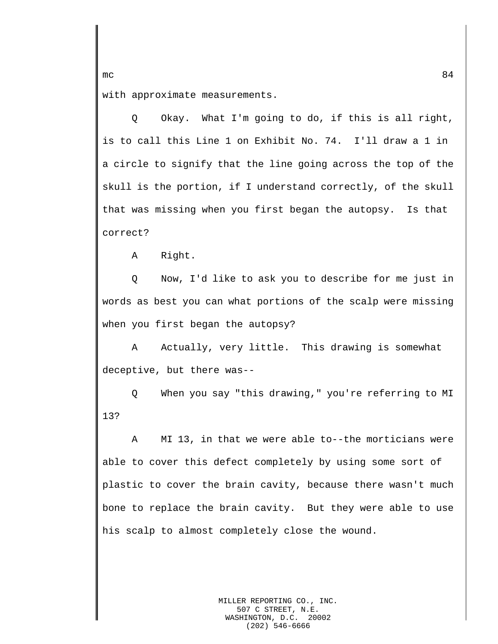with approximate measurements.

Q Okay. What I'm going to do, if this is all right, is to call this Line 1 on Exhibit No. 74. I'll draw a 1 in a circle to signify that the line going across the top of the skull is the portion, if I understand correctly, of the skull that was missing when you first began the autopsy. Is that correct?

A Right.

Q Now, I'd like to ask you to describe for me just in words as best you can what portions of the scalp were missing when you first began the autopsy?

A Actually, very little. This drawing is somewhat deceptive, but there was--

Q When you say "this drawing," you're referring to MI 13?

A MI 13, in that we were able to--the morticians were able to cover this defect completely by using some sort of plastic to cover the brain cavity, because there wasn't much bone to replace the brain cavity. But they were able to use his scalp to almost completely close the wound.

mc  $84$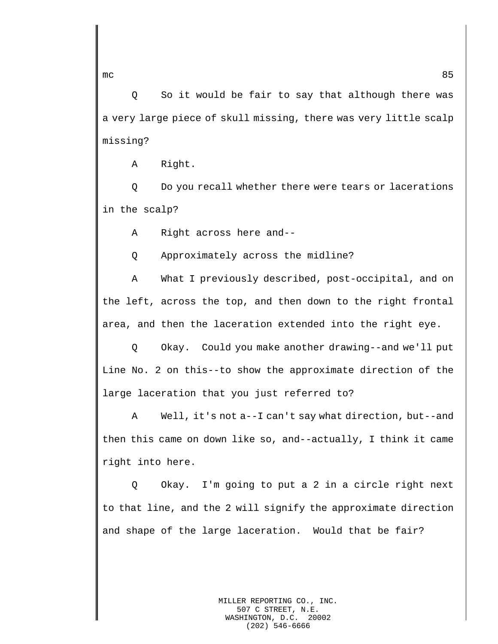Q So it would be fair to say that although there was a very large piece of skull missing, there was very little scalp missing?

A Right.

Q Do you recall whether there were tears or lacerations in the scalp?

A Right across here and--

Q Approximately across the midline?

A What I previously described, post-occipital, and on the left, across the top, and then down to the right frontal area, and then the laceration extended into the right eye.

Q Okay. Could you make another drawing--and we'll put Line No. 2 on this--to show the approximate direction of the large laceration that you just referred to?

A Well, it's not a--I can't say what direction, but--and then this came on down like so, and--actually, I think it came right into here.

Q Okay. I'm going to put a 2 in a circle right next to that line, and the 2 will signify the approximate direction and shape of the large laceration. Would that be fair?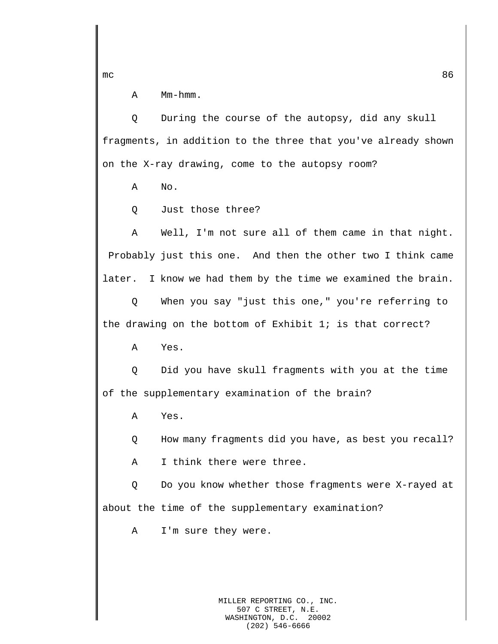A Mm-hmm.

Q During the course of the autopsy, did any skull fragments, in addition to the three that you've already shown on the X-ray drawing, come to the autopsy room?

A No.

Q Just those three?

A Well, I'm not sure all of them came in that night. Probably just this one. And then the other two I think came later. I know we had them by the time we examined the brain.

Q When you say "just this one," you're referring to the drawing on the bottom of Exhibit 1; is that correct?

A Yes.

Q Did you have skull fragments with you at the time of the supplementary examination of the brain?

A Yes.

Q How many fragments did you have, as best you recall?

A I think there were three.

Q Do you know whether those fragments were X-rayed at about the time of the supplementary examination?

A I'm sure they were.

MILLER REPORTING CO., INC. 507 C STREET, N.E. WASHINGTON, D.C. 20002 (202) 546-6666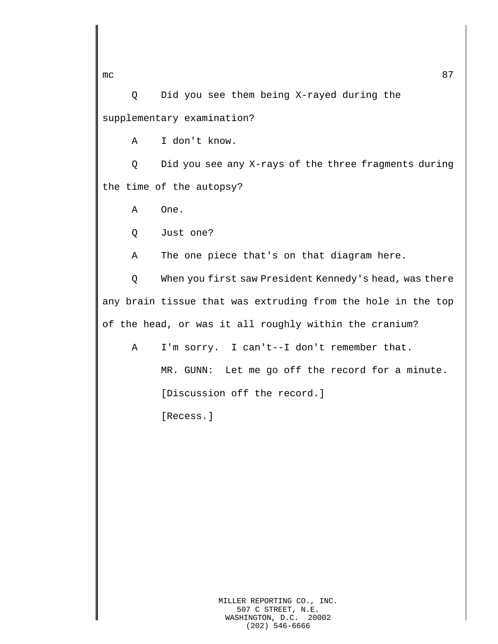Q Did you see them being X-rayed during the supplementary examination?

A I don't know.

Q Did you see any X-rays of the three fragments during the time of the autopsy?

A One.

Q Just one?

A The one piece that's on that diagram here.

Q When you first saw President Kennedy's head, was there any brain tissue that was extruding from the hole in the top of the head, or was it all roughly within the cranium?

A I'm sorry. I can't--I don't remember that.

MR. GUNN: Let me go off the record for a minute.

[Discussion off the record.]

[Recess.]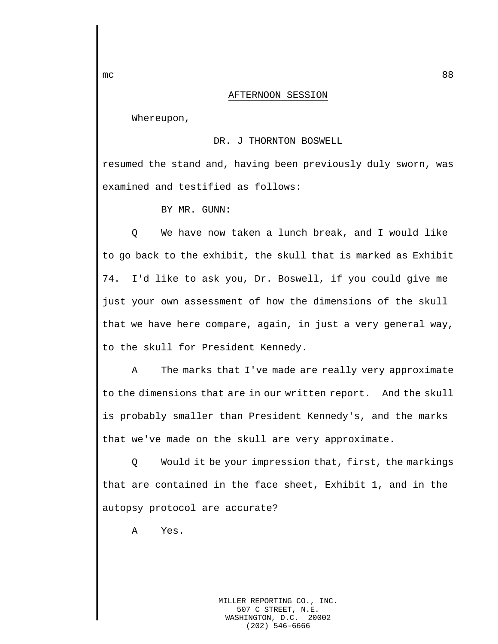## AFTERNOON SESSION

Whereupon,

## DR. J THORNTON BOSWELL

resumed the stand and, having been previously duly sworn, was examined and testified as follows:

BY MR. GUNN:

Q We have now taken a lunch break, and I would like to go back to the exhibit, the skull that is marked as Exhibit 74. I'd like to ask you, Dr. Boswell, if you could give me just your own assessment of how the dimensions of the skull that we have here compare, again, in just a very general way, to the skull for President Kennedy.

A The marks that I've made are really very approximate to the dimensions that are in our written report. And the skull is probably smaller than President Kennedy's, and the marks that we've made on the skull are very approximate.

Q Would it be your impression that, first, the markings that are contained in the face sheet, Exhibit 1, and in the autopsy protocol are accurate?

A Yes.

MILLER REPORTING CO., INC. 507 C STREET, N.E. WASHINGTON, D.C. 20002 (202) 546-6666

mc  $88$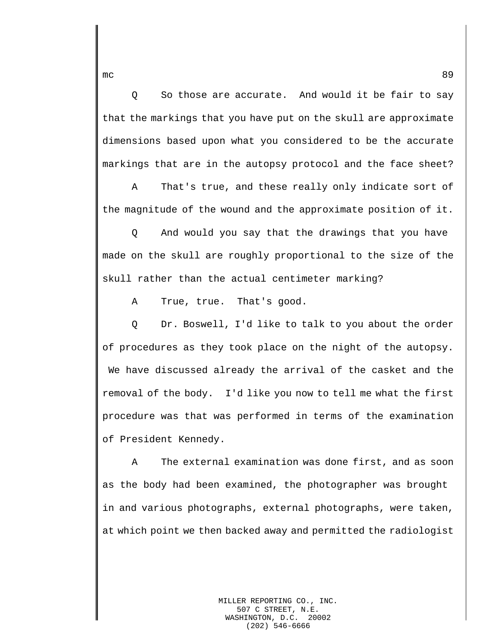Q So those are accurate. And would it be fair to say that the markings that you have put on the skull are approximate dimensions based upon what you considered to be the accurate markings that are in the autopsy protocol and the face sheet?

A That's true, and these really only indicate sort of the magnitude of the wound and the approximate position of it.

Q And would you say that the drawings that you have made on the skull are roughly proportional to the size of the skull rather than the actual centimeter marking?

A True, true. That's good.

Q Dr. Boswell, I'd like to talk to you about the order of procedures as they took place on the night of the autopsy. We have discussed already the arrival of the casket and the removal of the body. I'd like you now to tell me what the first procedure was that was performed in terms of the examination of President Kennedy.

A The external examination was done first, and as soon as the body had been examined, the photographer was brought in and various photographs, external photographs, were taken, at which point we then backed away and permitted the radiologist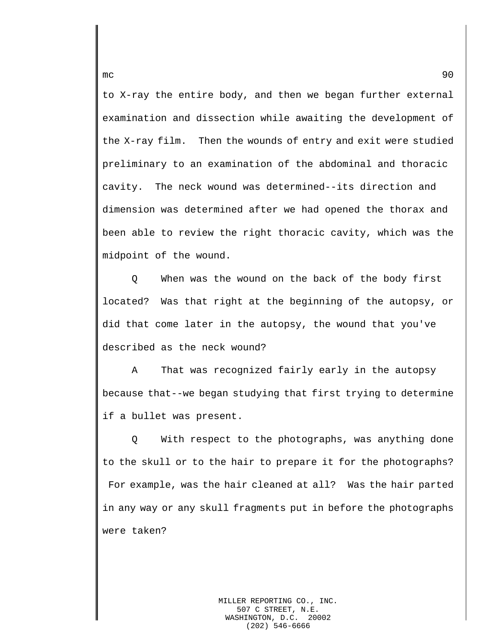to X-ray the entire body, and then we began further external examination and dissection while awaiting the development of the X-ray film. Then the wounds of entry and exit were studied preliminary to an examination of the abdominal and thoracic cavity. The neck wound was determined--its direction and dimension was determined after we had opened the thorax and been able to review the right thoracic cavity, which was the midpoint of the wound.

Q When was the wound on the back of the body first located? Was that right at the beginning of the autopsy, or did that come later in the autopsy, the wound that you've described as the neck wound?

A That was recognized fairly early in the autopsy because that--we began studying that first trying to determine if a bullet was present.

Q With respect to the photographs, was anything done to the skull or to the hair to prepare it for the photographs? For example, was the hair cleaned at all? Was the hair parted in any way or any skull fragments put in before the photographs were taken?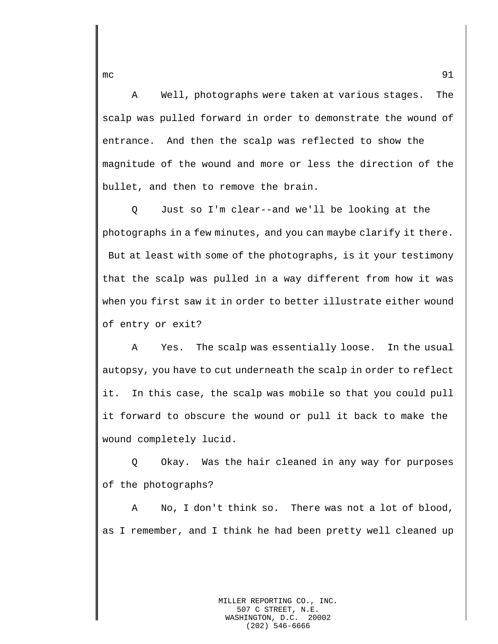A Well, photographs were taken at various stages. The scalp was pulled forward in order to demonstrate the wound of entrance. And then the scalp was reflected to show the magnitude of the wound and more or less the direction of the bullet, and then to remove the brain.

Q Just so I'm clear--and we'll be looking at the photographs in a few minutes, and you can maybe clarify it there. But at least with some of the photographs, is it your testimony that the scalp was pulled in a way different from how it was when you first saw it in order to better illustrate either wound of entry or exit?

A Yes. The scalp was essentially loose. In the usual autopsy, you have to cut underneath the scalp in order to reflect it. In this case, the scalp was mobile so that you could pull it forward to obscure the wound or pull it back to make the wound completely lucid.

Q Okay. Was the hair cleaned in any way for purposes of the photographs?

A No, I don't think so. There was not a lot of blood, as I remember, and I think he had been pretty well cleaned up

mc  $\sim$  91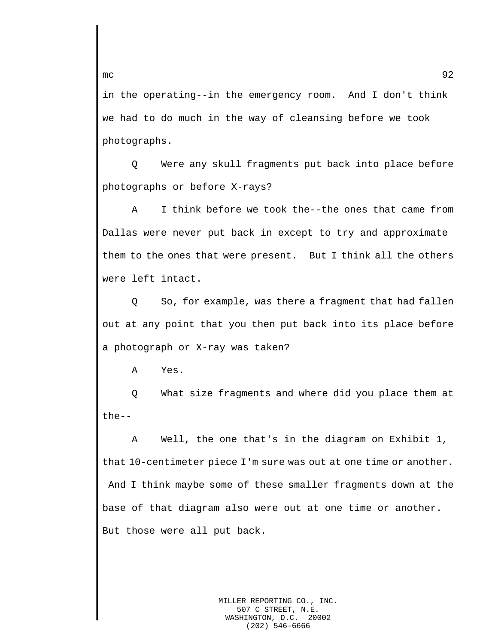in the operating--in the emergency room. And I don't think we had to do much in the way of cleansing before we took photographs.

Q Were any skull fragments put back into place before photographs or before X-rays?

A I think before we took the--the ones that came from Dallas were never put back in except to try and approximate them to the ones that were present. But I think all the others were left intact.

Q So, for example, was there a fragment that had fallen out at any point that you then put back into its place before a photograph or X-ray was taken?

A Yes.

Q What size fragments and where did you place them at the--

A Well, the one that's in the diagram on Exhibit 1, that 10-centimeter piece I'm sure was out at one time or another. And I think maybe some of these smaller fragments down at the base of that diagram also were out at one time or another. But those were all put back.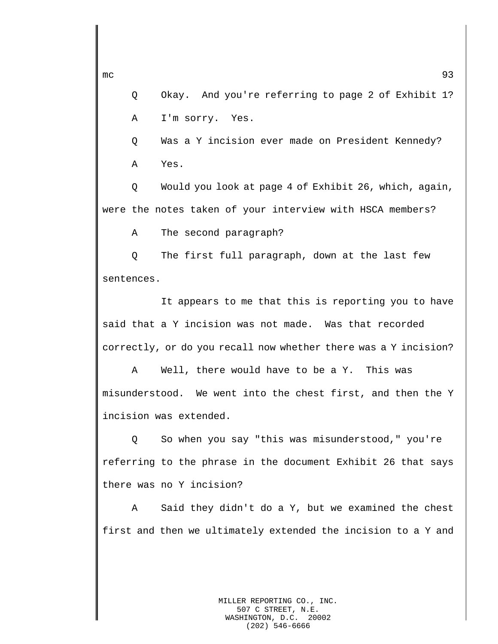Q Okay. And you're referring to page 2 of Exhibit 1? A I'm sorry. Yes.

Q Was a Y incision ever made on President Kennedy? A Yes.

Q Would you look at page 4 of Exhibit 26, which, again, were the notes taken of your interview with HSCA members?

A The second paragraph?

Q The first full paragraph, down at the last few sentences.

It appears to me that this is reporting you to have said that a Y incision was not made. Was that recorded correctly, or do you recall now whether there was a Y incision?

A Well, there would have to be a Y. This was misunderstood. We went into the chest first, and then the Y incision was extended.

Q So when you say "this was misunderstood," you're referring to the phrase in the document Exhibit 26 that says there was no Y incision?

A Said they didn't do a Y, but we examined the chest first and then we ultimately extended the incision to a Y and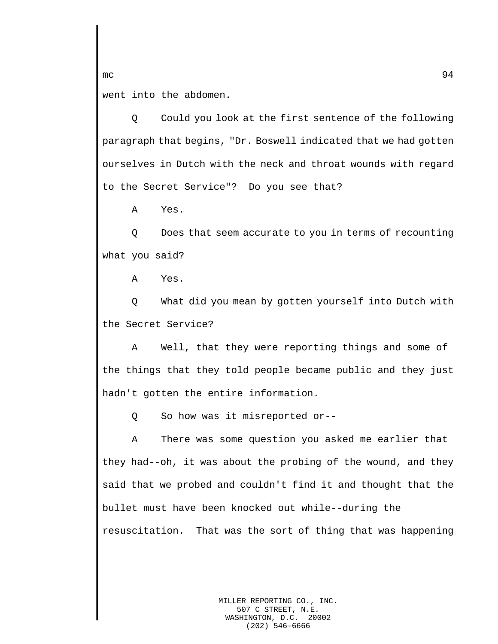went into the abdomen.

Q Could you look at the first sentence of the following paragraph that begins, "Dr. Boswell indicated that we had gotten ourselves in Dutch with the neck and throat wounds with regard to the Secret Service"? Do you see that?

A Yes.

Q Does that seem accurate to you in terms of recounting what you said?

A Yes.

Q What did you mean by gotten yourself into Dutch with the Secret Service?

A Well, that they were reporting things and some of the things that they told people became public and they just hadn't gotten the entire information.

Q So how was it misreported or--

A There was some question you asked me earlier that they had--oh, it was about the probing of the wound, and they said that we probed and couldn't find it and thought that the bullet must have been knocked out while--during the resuscitation. That was the sort of thing that was happening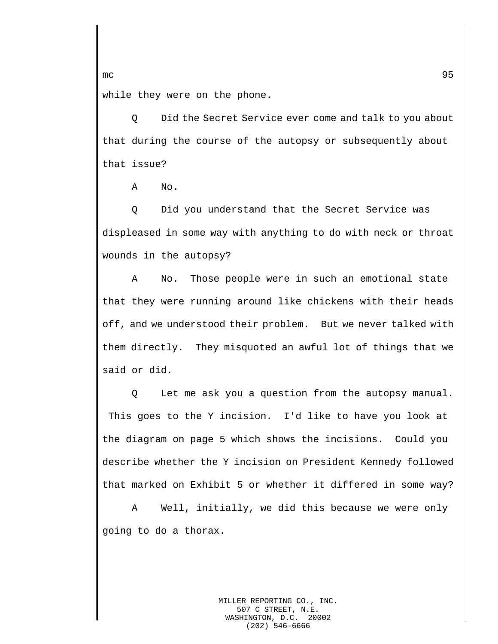while they were on the phone.

Q Did the Secret Service ever come and talk to you about that during the course of the autopsy or subsequently about that issue?

A No.

Q Did you understand that the Secret Service was displeased in some way with anything to do with neck or throat wounds in the autopsy?

A No. Those people were in such an emotional state that they were running around like chickens with their heads off, and we understood their problem. But we never talked with them directly. They misquoted an awful lot of things that we said or did.

Q Let me ask you a question from the autopsy manual. This goes to the Y incision. I'd like to have you look at the diagram on page 5 which shows the incisions. Could you describe whether the Y incision on President Kennedy followed that marked on Exhibit 5 or whether it differed in some way?

A Well, initially, we did this because we were only going to do a thorax.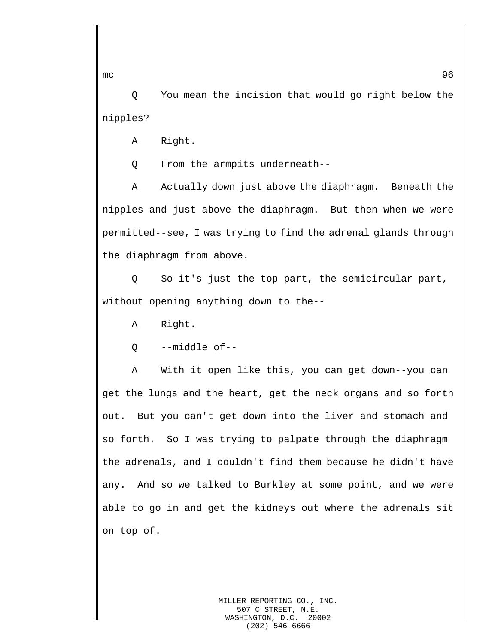Q You mean the incision that would go right below the nipples?

A Right.

Q From the armpits underneath--

A Actually down just above the diaphragm. Beneath the nipples and just above the diaphragm. But then when we were permitted--see, I was trying to find the adrenal glands through the diaphragm from above.

Q So it's just the top part, the semicircular part, without opening anything down to the--

A Right.

Q --middle of--

A With it open like this, you can get down--you can get the lungs and the heart, get the neck organs and so forth out. But you can't get down into the liver and stomach and so forth. So I was trying to palpate through the diaphragm the adrenals, and I couldn't find them because he didn't have any. And so we talked to Burkley at some point, and we were able to go in and get the kidneys out where the adrenals sit on top of.

mc  $\sim$  96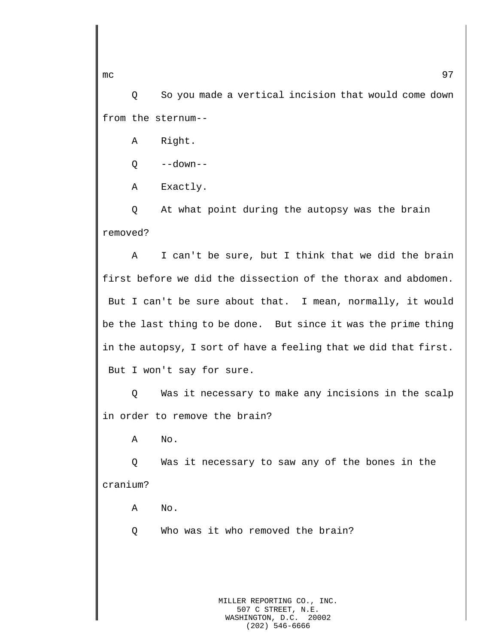Q So you made a vertical incision that would come down from the sternum--

A Right.

Q --down--

A Exactly.

Q At what point during the autopsy was the brain removed?

A I can't be sure, but I think that we did the brain first before we did the dissection of the thorax and abdomen. But I can't be sure about that. I mean, normally, it would be the last thing to be done. But since it was the prime thing in the autopsy, I sort of have a feeling that we did that first. But I won't say for sure.

Q Was it necessary to make any incisions in the scalp in order to remove the brain?

A No.

Q Was it necessary to saw any of the bones in the cranium?

A No.

Q Who was it who removed the brain?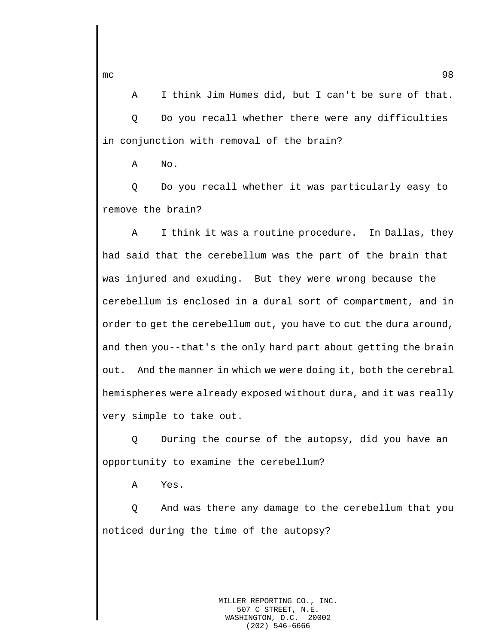A I think Jim Humes did, but I can't be sure of that. Q Do you recall whether there were any difficulties in conjunction with removal of the brain?

A No.

Q Do you recall whether it was particularly easy to remove the brain?

A I think it was a routine procedure. In Dallas, they had said that the cerebellum was the part of the brain that was injured and exuding. But they were wrong because the cerebellum is enclosed in a dural sort of compartment, and in order to get the cerebellum out, you have to cut the dura around, and then you--that's the only hard part about getting the brain out. And the manner in which we were doing it, both the cerebral hemispheres were already exposed without dura, and it was really very simple to take out.

Q During the course of the autopsy, did you have an opportunity to examine the cerebellum?

A Yes.

Q And was there any damage to the cerebellum that you noticed during the time of the autopsy?

> MILLER REPORTING CO., INC. 507 C STREET, N.E. WASHINGTON, D.C. 20002 (202) 546-6666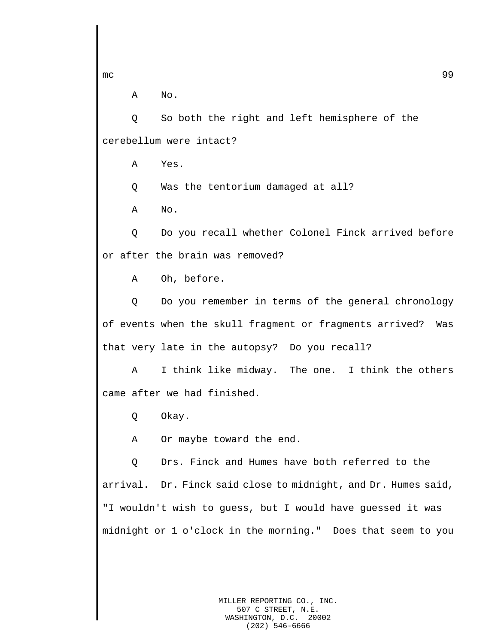A No.

Q So both the right and left hemisphere of the cerebellum were intact?

A Yes.

Q Was the tentorium damaged at all?

A No.

Q Do you recall whether Colonel Finck arrived before or after the brain was removed?

A Oh, before.

Q Do you remember in terms of the general chronology of events when the skull fragment or fragments arrived? Was that very late in the autopsy? Do you recall?

A I think like midway. The one. I think the others came after we had finished.

Q Okay.

A Or maybe toward the end.

Q Drs. Finck and Humes have both referred to the arrival. Dr. Finck said close to midnight, and Dr. Humes said, "I wouldn't wish to guess, but I would have guessed it was midnight or 1 o'clock in the morning." Does that seem to you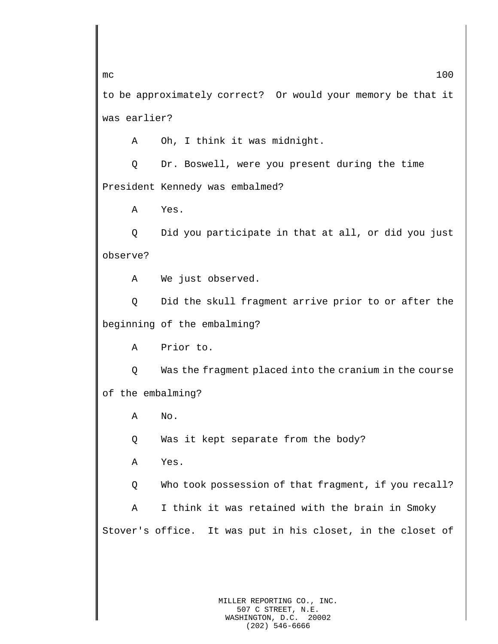to be approximately correct? Or would your memory be that it was earlier?

A Oh, I think it was midnight.

Q Dr. Boswell, were you present during the time President Kennedy was embalmed?

A Yes.

Q Did you participate in that at all, or did you just observe?

A We just observed.

Q Did the skull fragment arrive prior to or after the beginning of the embalming?

A Prior to.

Q Was the fragment placed into the cranium in the course of the embalming?

A No.

Q Was it kept separate from the body?

A Yes.

Q Who took possession of that fragment, if you recall?

A I think it was retained with the brain in Smoky Stover's office. It was put in his closet, in the closet of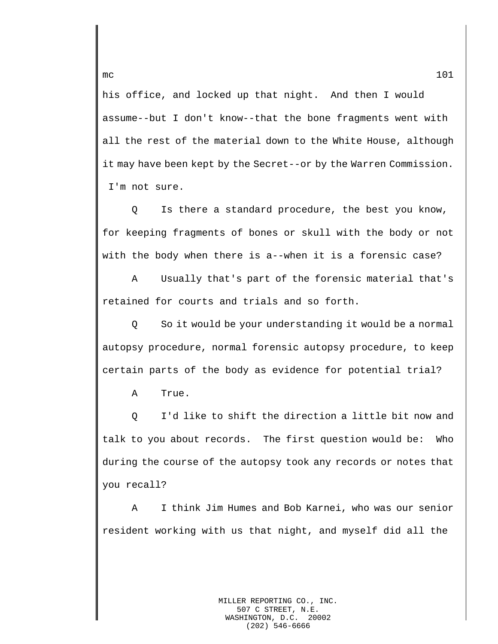his office, and locked up that night. And then I would assume--but I don't know--that the bone fragments went with all the rest of the material down to the White House, although it may have been kept by the Secret--or by the Warren Commission. I'm not sure.

Q Is there a standard procedure, the best you know, for keeping fragments of bones or skull with the body or not with the body when there is a--when it is a forensic case?

A Usually that's part of the forensic material that's retained for courts and trials and so forth.

Q So it would be your understanding it would be a normal autopsy procedure, normal forensic autopsy procedure, to keep certain parts of the body as evidence for potential trial?

A True.

Q I'd like to shift the direction a little bit now and talk to you about records. The first question would be: Who during the course of the autopsy took any records or notes that you recall?

A I think Jim Humes and Bob Karnei, who was our senior resident working with us that night, and myself did all the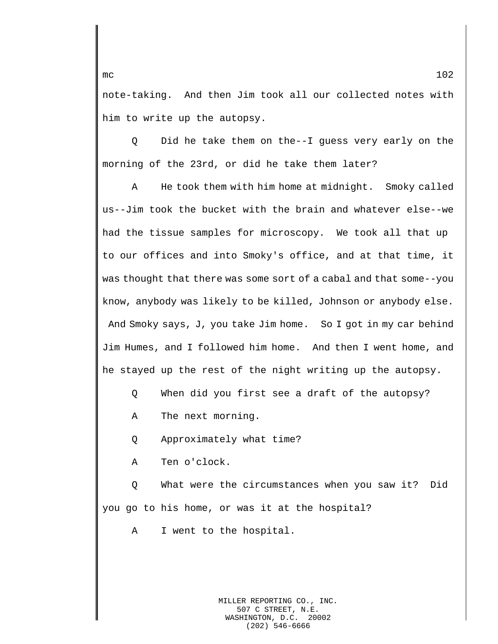note-taking. And then Jim took all our collected notes with him to write up the autopsy.

Q Did he take them on the--I guess very early on the morning of the 23rd, or did he take them later?

A He took them with him home at midnight. Smoky called us--Jim took the bucket with the brain and whatever else--we had the tissue samples for microscopy. We took all that up to our offices and into Smoky's office, and at that time, it was thought that there was some sort of a cabal and that some--you know, anybody was likely to be killed, Johnson or anybody else. And Smoky says, J, you take Jim home. So I got in my car behind Jim Humes, and I followed him home. And then I went home, and he stayed up the rest of the night writing up the autopsy.

- Q When did you first see a draft of the autopsy?
- A The next morning.
- Q Approximately what time?
- A Ten o'clock.

Q What were the circumstances when you saw it? Did you go to his home, or was it at the hospital?

A I went to the hospital.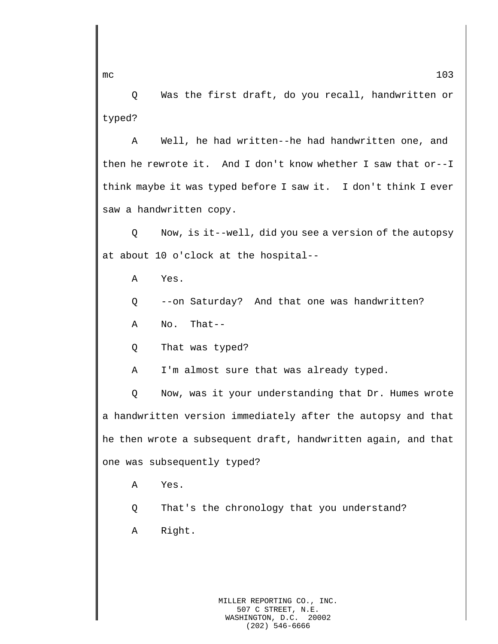Q Was the first draft, do you recall, handwritten or typed?

A Well, he had written--he had handwritten one, and then he rewrote it. And I don't know whether I saw that or--I think maybe it was typed before I saw it. I don't think I ever saw a handwritten copy.

Q Now, is it--well, did you see a version of the autopsy at about 10 o'clock at the hospital--

A Yes.

Q --on Saturday? And that one was handwritten?

A No. That--

Q That was typed?

A I'm almost sure that was already typed.

Q Now, was it your understanding that Dr. Humes wrote a handwritten version immediately after the autopsy and that he then wrote a subsequent draft, handwritten again, and that one was subsequently typed?

A Yes.

Q That's the chronology that you understand?

A Right.

MILLER REPORTING CO., INC. 507 C STREET, N.E. WASHINGTON, D.C. 20002 (202) 546-6666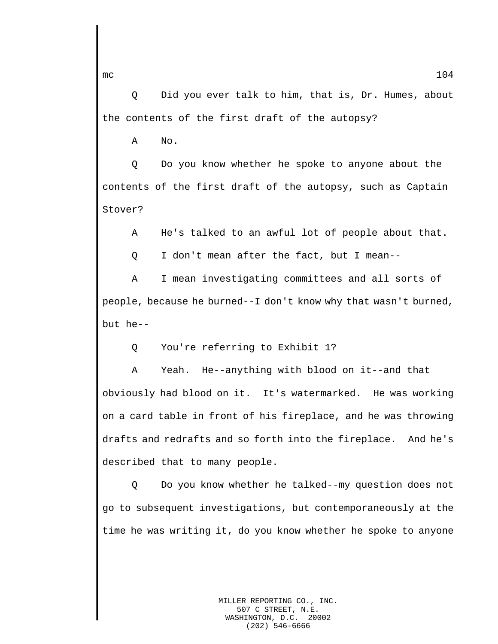Q Did you ever talk to him, that is, Dr. Humes, about the contents of the first draft of the autopsy?

A No.

Q Do you know whether he spoke to anyone about the contents of the first draft of the autopsy, such as Captain Stover?

A He's talked to an awful lot of people about that.

Q I don't mean after the fact, but I mean--

A I mean investigating committees and all sorts of people, because he burned--I don't know why that wasn't burned, but he--

Q You're referring to Exhibit 1?

A Yeah. He--anything with blood on it--and that obviously had blood on it. It's watermarked. He was working on a card table in front of his fireplace, and he was throwing drafts and redrafts and so forth into the fireplace. And he's described that to many people.

Q Do you know whether he talked--my question does not go to subsequent investigations, but contemporaneously at the time he was writing it, do you know whether he spoke to anyone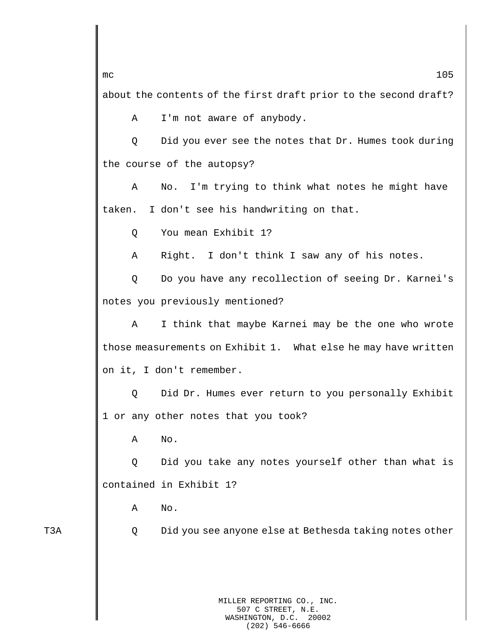about the contents of the first draft prior to the second draft?

A I'm not aware of anybody.

Q Did you ever see the notes that Dr. Humes took during the course of the autopsy?

A No. I'm trying to think what notes he might have taken. I don't see his handwriting on that.

Q You mean Exhibit 1?

A Right. I don't think I saw any of his notes.

Q Do you have any recollection of seeing Dr. Karnei's notes you previously mentioned?

A I think that maybe Karnei may be the one who wrote those measurements on Exhibit 1. What else he may have written on it, I don't remember.

Q Did Dr. Humes ever return to you personally Exhibit 1 or any other notes that you took?

A No.

Q Did you take any notes yourself other than what is contained in Exhibit 1?

A No.

T3A Q Did you see anyone else at Bethesda taking notes other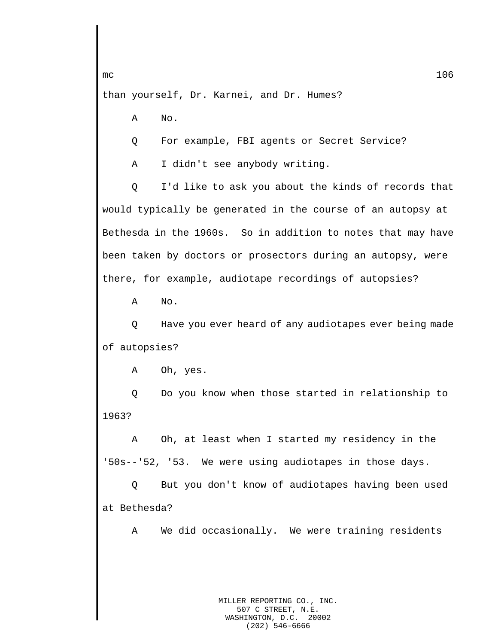than yourself, Dr. Karnei, and Dr. Humes?

A No.

Q For example, FBI agents or Secret Service?

A I didn't see anybody writing.

Q I'd like to ask you about the kinds of records that would typically be generated in the course of an autopsy at Bethesda in the 1960s. So in addition to notes that may have been taken by doctors or prosectors during an autopsy, were there, for example, audiotape recordings of autopsies?

A No.

Q Have you ever heard of any audiotapes ever being made of autopsies?

A Oh, yes.

Q Do you know when those started in relationship to 1963?

A Oh, at least when I started my residency in the '50s--'52, '53. We were using audiotapes in those days.

Q But you don't know of audiotapes having been used at Bethesda?

A We did occasionally. We were training residents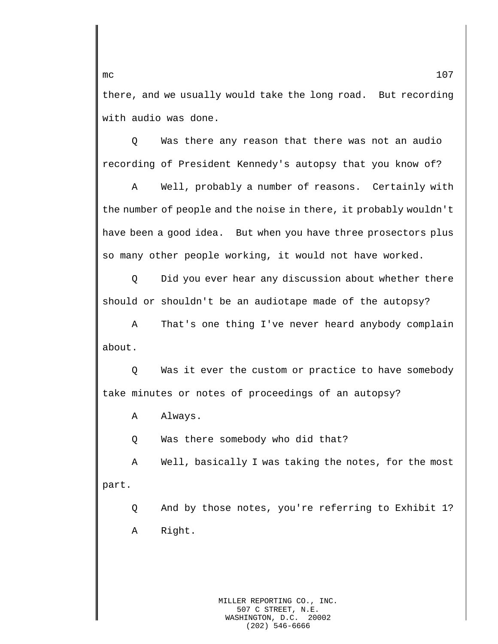there, and we usually would take the long road. But recording with audio was done.

Q Was there any reason that there was not an audio recording of President Kennedy's autopsy that you know of?

A Well, probably a number of reasons. Certainly with the number of people and the noise in there, it probably wouldn't have been a good idea. But when you have three prosectors plus so many other people working, it would not have worked.

Q Did you ever hear any discussion about whether there should or shouldn't be an audiotape made of the autopsy?

A That's one thing I've never heard anybody complain about.

Q Was it ever the custom or practice to have somebody take minutes or notes of proceedings of an autopsy?

A Always.

Q Was there somebody who did that?

A Well, basically I was taking the notes, for the most part.

Q And by those notes, you're referring to Exhibit 1? A Right.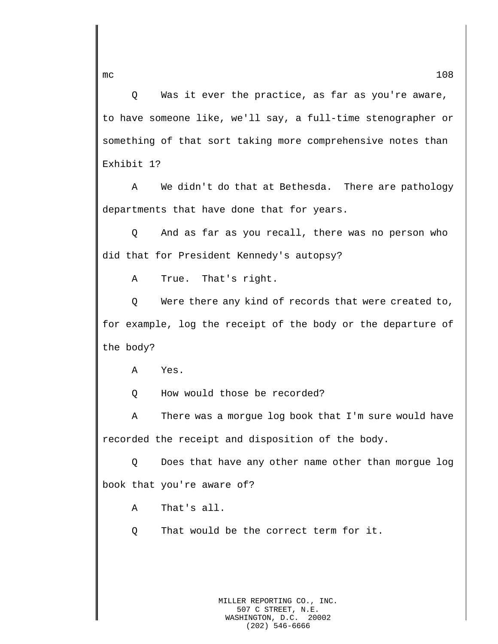Q Was it ever the practice, as far as you're aware, to have someone like, we'll say, a full-time stenographer or something of that sort taking more comprehensive notes than Exhibit 1?

A We didn't do that at Bethesda. There are pathology departments that have done that for years.

Q And as far as you recall, there was no person who did that for President Kennedy's autopsy?

A True. That's right.

Q Were there any kind of records that were created to, for example, log the receipt of the body or the departure of the body?

A Yes.

Q How would those be recorded?

A There was a morgue log book that I'm sure would have recorded the receipt and disposition of the body.

Q Does that have any other name other than morgue log book that you're aware of?

A That's all.

Q That would be the correct term for it.

MILLER REPORTING CO., INC. 507 C STREET, N.E. WASHINGTON, D.C. 20002 (202) 546-6666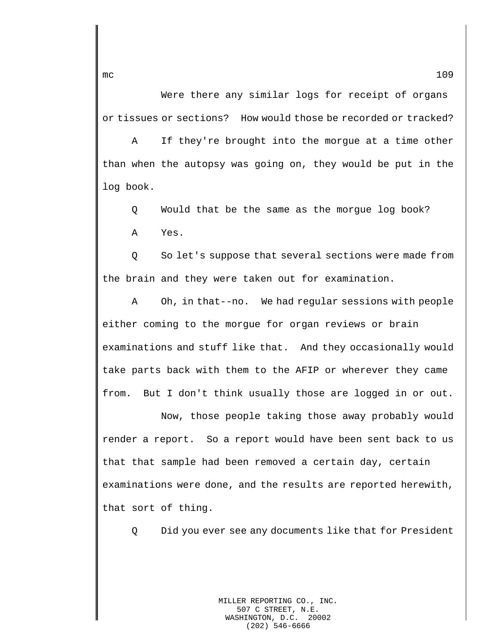Were there any similar logs for receipt of organs or tissues or sections? How would those be recorded or tracked?

A If they're brought into the morgue at a time other than when the autopsy was going on, they would be put in the log book.

Q Would that be the same as the morgue log book?

A Yes.

Q So let's suppose that several sections were made from the brain and they were taken out for examination.

A Oh, in that--no. We had regular sessions with people either coming to the morgue for organ reviews or brain examinations and stuff like that. And they occasionally would take parts back with them to the AFIP or wherever they came from. But I don't think usually those are logged in or out.

Now, those people taking those away probably would render a report. So a report would have been sent back to us that that sample had been removed a certain day, certain examinations were done, and the results are reported herewith, that sort of thing.

Q Did you ever see any documents like that for President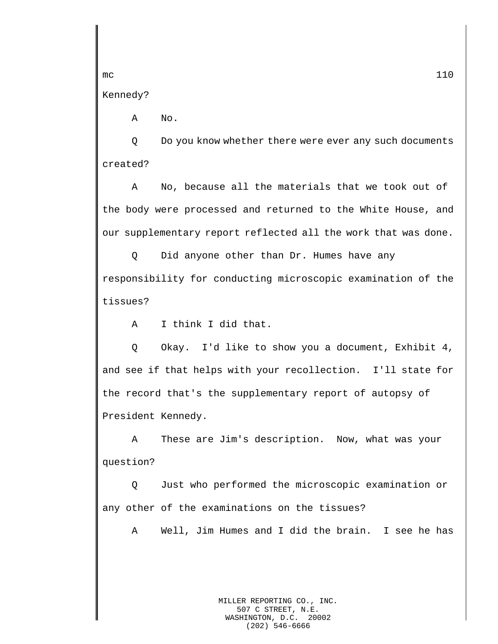Kennedy?

A No.

Q Do you know whether there were ever any such documents created?

A No, because all the materials that we took out of the body were processed and returned to the White House, and our supplementary report reflected all the work that was done.

Q Did anyone other than Dr. Humes have any responsibility for conducting microscopic examination of the tissues?

A I think I did that.

Q Okay. I'd like to show you a document, Exhibit 4, and see if that helps with your recollection. I'll state for the record that's the supplementary report of autopsy of President Kennedy.

A These are Jim's description. Now, what was your question?

Q Just who performed the microscopic examination or any other of the examinations on the tissues?

A Well, Jim Humes and I did the brain. I see he has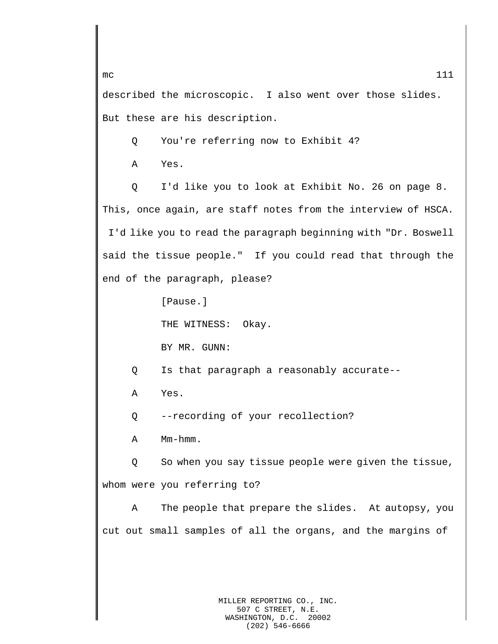described the microscopic. I also went over those slides. But these are his description.

Q You're referring now to Exhibit 4?

A Yes.

Q I'd like you to look at Exhibit No. 26 on page 8. This, once again, are staff notes from the interview of HSCA. I'd like you to read the paragraph beginning with "Dr. Boswell said the tissue people." If you could read that through the end of the paragraph, please?

[Pause.]

THE WITNESS: Okay.

BY MR. GUNN:

Q Is that paragraph a reasonably accurate--

A Yes.

Q --recording of your recollection?

A Mm-hmm.

Q So when you say tissue people were given the tissue, whom were you referring to?

A The people that prepare the slides. At autopsy, you cut out small samples of all the organs, and the margins of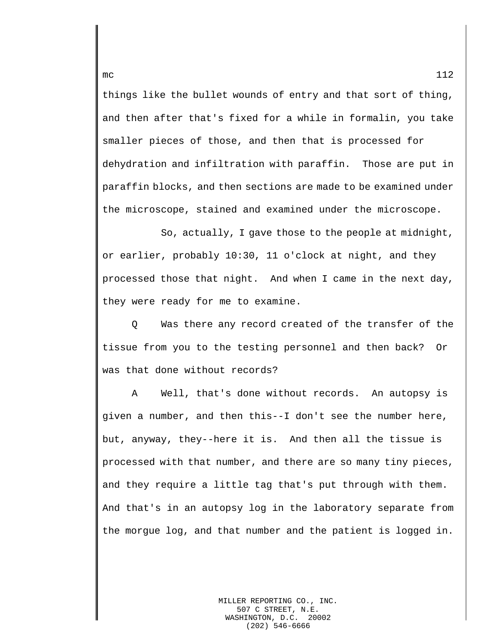things like the bullet wounds of entry and that sort of thing, and then after that's fixed for a while in formalin, you take smaller pieces of those, and then that is processed for dehydration and infiltration with paraffin. Those are put in paraffin blocks, and then sections are made to be examined under the microscope, stained and examined under the microscope.

So, actually, I gave those to the people at midnight, or earlier, probably 10:30, 11 o'clock at night, and they processed those that night. And when I came in the next day, they were ready for me to examine.

Q Was there any record created of the transfer of the tissue from you to the testing personnel and then back? Or was that done without records?

A Well, that's done without records. An autopsy is given a number, and then this--I don't see the number here, but, anyway, they--here it is. And then all the tissue is processed with that number, and there are so many tiny pieces, and they require a little tag that's put through with them. And that's in an autopsy log in the laboratory separate from the morgue log, and that number and the patient is logged in.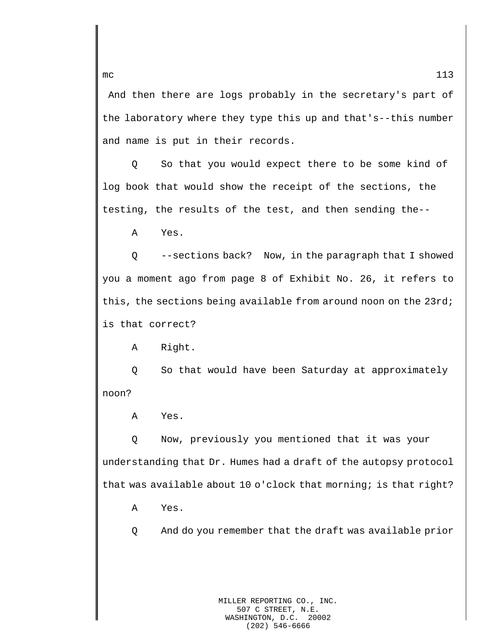And then there are logs probably in the secretary's part of the laboratory where they type this up and that's--this number and name is put in their records.

Q So that you would expect there to be some kind of log book that would show the receipt of the sections, the testing, the results of the test, and then sending the--

A Yes.

Q --sections back? Now, in the paragraph that I showed you a moment ago from page 8 of Exhibit No. 26, it refers to this, the sections being available from around noon on the 23rd; is that correct?

A Right.

Q So that would have been Saturday at approximately noon?

A Yes.

Q Now, previously you mentioned that it was your understanding that Dr. Humes had a draft of the autopsy protocol that was available about 10 o'clock that morning; is that right?

A Yes.

Q And do you remember that the draft was available prior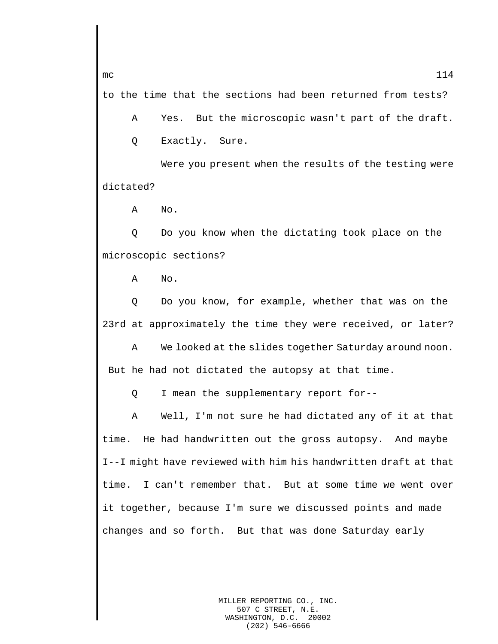to the time that the sections had been returned from tests?

A Yes. But the microscopic wasn't part of the draft. Q Exactly. Sure.

Were you present when the results of the testing were dictated?

A No.

Q Do you know when the dictating took place on the microscopic sections?

A No.

Q Do you know, for example, whether that was on the 23rd at approximately the time they were received, or later?

A We looked at the slides together Saturday around noon. But he had not dictated the autopsy at that time.

Q I mean the supplementary report for--

A Well, I'm not sure he had dictated any of it at that time. He had handwritten out the gross autopsy. And maybe I--I might have reviewed with him his handwritten draft at that time. I can't remember that. But at some time we went over it together, because I'm sure we discussed points and made changes and so forth. But that was done Saturday early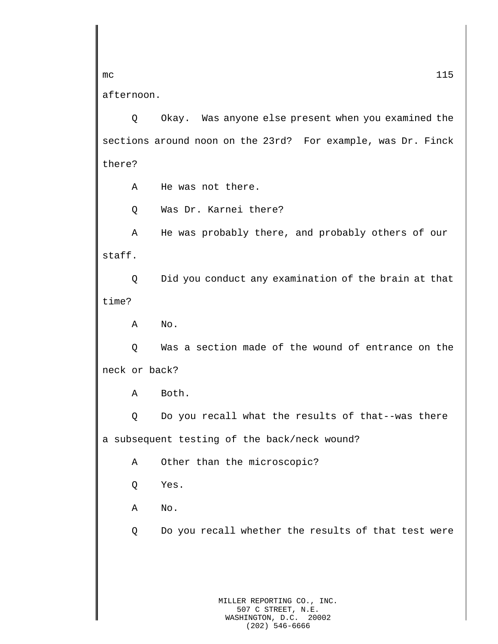afternoon.

Q Okay. Was anyone else present when you examined the sections around noon on the 23rd? For example, was Dr. Finck there?

A He was not there.

Q Was Dr. Karnei there?

A He was probably there, and probably others of our staff.

Q Did you conduct any examination of the brain at that time?

A No.

Q Was a section made of the wound of entrance on the neck or back?

A Both.

Q Do you recall what the results of that--was there a subsequent testing of the back/neck wound?

A Other than the microscopic?

Q Yes.

A No.

Q Do you recall whether the results of that test were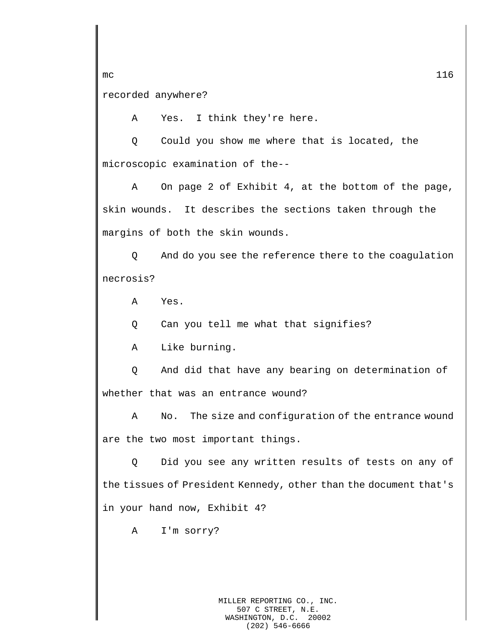recorded anywhere?

A Yes. I think they're here.

Q Could you show me where that is located, the microscopic examination of the--

A On page 2 of Exhibit 4, at the bottom of the page, skin wounds. It describes the sections taken through the margins of both the skin wounds.

Q And do you see the reference there to the coagulation necrosis?

A Yes.

Q Can you tell me what that signifies?

A Like burning.

Q And did that have any bearing on determination of whether that was an entrance wound?

A No. The size and configuration of the entrance wound are the two most important things.

Q Did you see any written results of tests on any of the tissues of President Kennedy, other than the document that's in your hand now, Exhibit 4?

A I'm sorry?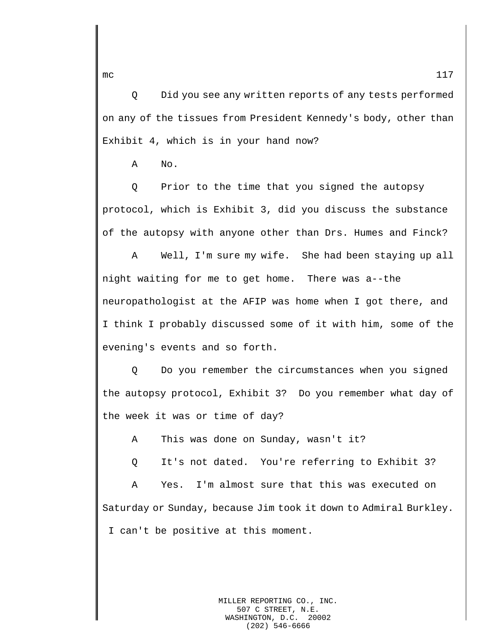Q Did you see any written reports of any tests performed on any of the tissues from President Kennedy's body, other than Exhibit 4, which is in your hand now?

A No.

Q Prior to the time that you signed the autopsy protocol, which is Exhibit 3, did you discuss the substance of the autopsy with anyone other than Drs. Humes and Finck?

A Well, I'm sure my wife. She had been staying up all night waiting for me to get home. There was a--the neuropathologist at the AFIP was home when I got there, and I think I probably discussed some of it with him, some of the evening's events and so forth.

Q Do you remember the circumstances when you signed the autopsy protocol, Exhibit 3? Do you remember what day of the week it was or time of day?

A This was done on Sunday, wasn't it?

Q It's not dated. You're referring to Exhibit 3?

A Yes. I'm almost sure that this was executed on Saturday or Sunday, because Jim took it down to Admiral Burkley. I can't be positive at this moment.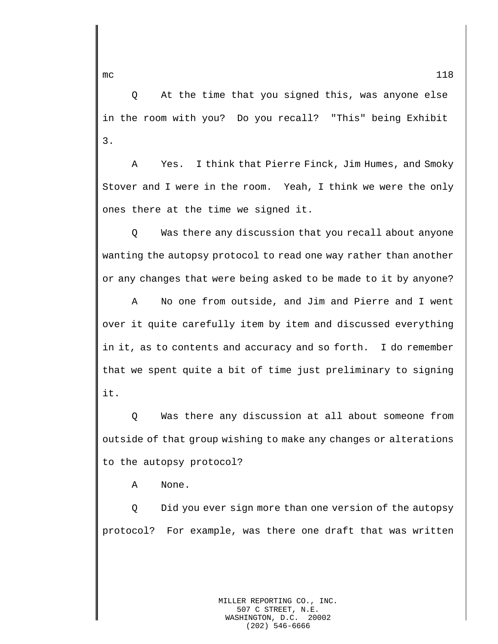Q At the time that you signed this, was anyone else in the room with you? Do you recall? "This" being Exhibit 3.

A Yes. I think that Pierre Finck, Jim Humes, and Smoky Stover and I were in the room. Yeah, I think we were the only ones there at the time we signed it.

Q Was there any discussion that you recall about anyone wanting the autopsy protocol to read one way rather than another or any changes that were being asked to be made to it by anyone?

A No one from outside, and Jim and Pierre and I went over it quite carefully item by item and discussed everything in it, as to contents and accuracy and so forth. I do remember that we spent quite a bit of time just preliminary to signing it.

Q Was there any discussion at all about someone from outside of that group wishing to make any changes or alterations to the autopsy protocol?

A None.

Q Did you ever sign more than one version of the autopsy protocol? For example, was there one draft that was written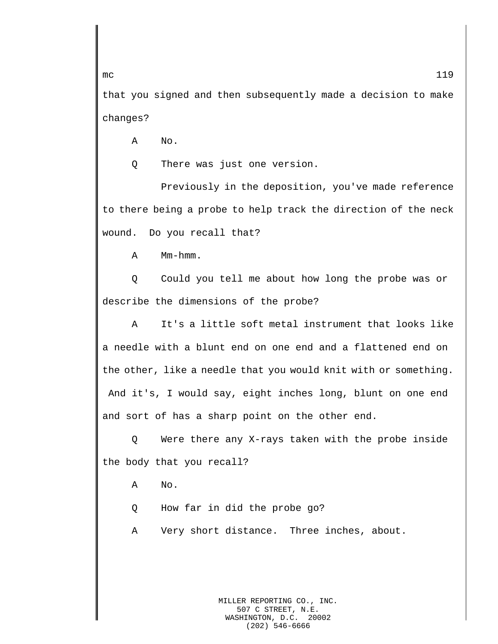that you signed and then subsequently made a decision to make changes?

A No.

Q There was just one version.

Previously in the deposition, you've made reference to there being a probe to help track the direction of the neck wound. Do you recall that?

A Mm-hmm.

Q Could you tell me about how long the probe was or describe the dimensions of the probe?

A It's a little soft metal instrument that looks like a needle with a blunt end on one end and a flattened end on the other, like a needle that you would knit with or something. And it's, I would say, eight inches long, blunt on one end and sort of has a sharp point on the other end.

Q Were there any X-rays taken with the probe inside the body that you recall?

A No.

Q How far in did the probe go?

A Very short distance. Three inches, about.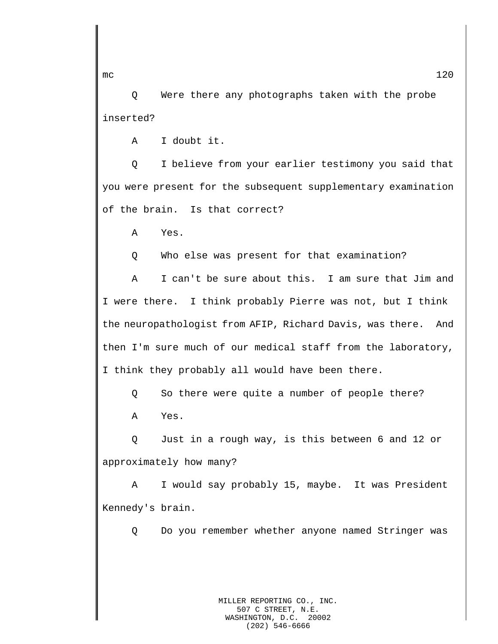Q Were there any photographs taken with the probe inserted?

A I doubt it.

Q I believe from your earlier testimony you said that you were present for the subsequent supplementary examination of the brain. Is that correct?

A Yes.

Q Who else was present for that examination?

A I can't be sure about this. I am sure that Jim and I were there. I think probably Pierre was not, but I think the neuropathologist from AFIP, Richard Davis, was there. And then I'm sure much of our medical staff from the laboratory, I think they probably all would have been there.

Q So there were quite a number of people there?

A Yes.

Q Just in a rough way, is this between 6 and 12 or approximately how many?

A I would say probably 15, maybe. It was President Kennedy's brain.

Q Do you remember whether anyone named Stringer was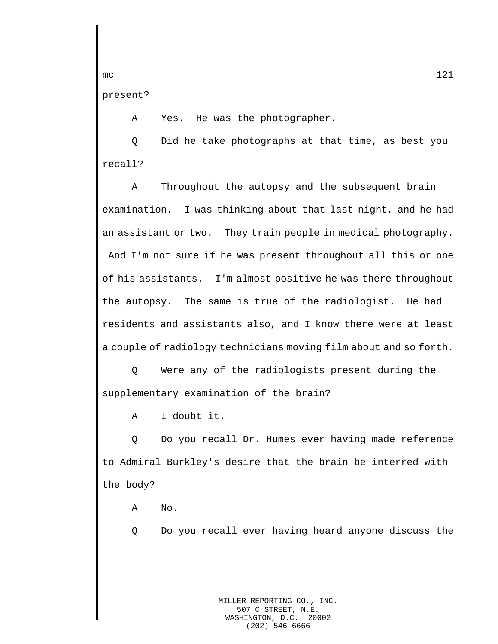present?

A Yes. He was the photographer.

Q Did he take photographs at that time, as best you recall?

A Throughout the autopsy and the subsequent brain examination. I was thinking about that last night, and he had an assistant or two. They train people in medical photography. And I'm not sure if he was present throughout all this or one of his assistants. I'm almost positive he was there throughout the autopsy. The same is true of the radiologist. He had residents and assistants also, and I know there were at least a couple of radiology technicians moving film about and so forth.

Q Were any of the radiologists present during the supplementary examination of the brain?

A I doubt it.

Q Do you recall Dr. Humes ever having made reference to Admiral Burkley's desire that the brain be interred with the body?

A No.

Q Do you recall ever having heard anyone discuss the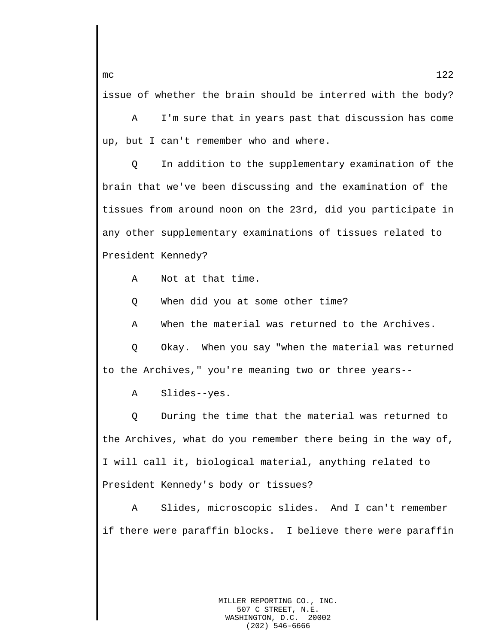issue of whether the brain should be interred with the body?

A I'm sure that in years past that discussion has come up, but I can't remember who and where.

Q In addition to the supplementary examination of the brain that we've been discussing and the examination of the tissues from around noon on the 23rd, did you participate in any other supplementary examinations of tissues related to President Kennedy?

A Not at that time.

Q When did you at some other time?

A When the material was returned to the Archives.

Q Okay. When you say "when the material was returned to the Archives," you're meaning two or three years--

A Slides--yes.

Q During the time that the material was returned to the Archives, what do you remember there being in the way of, I will call it, biological material, anything related to President Kennedy's body or tissues?

A Slides, microscopic slides. And I can't remember if there were paraffin blocks. I believe there were paraffin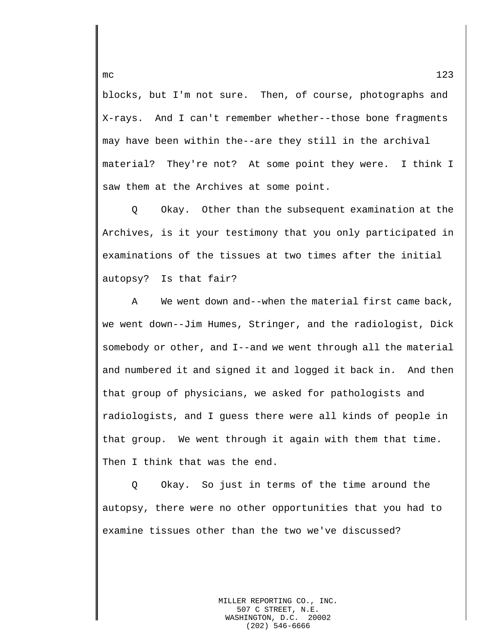blocks, but I'm not sure. Then, of course, photographs and X-rays. And I can't remember whether--those bone fragments may have been within the--are they still in the archival material? They're not? At some point they were. I think I saw them at the Archives at some point.

Q Okay. Other than the subsequent examination at the Archives, is it your testimony that you only participated in examinations of the tissues at two times after the initial autopsy? Is that fair?

A We went down and--when the material first came back, we went down--Jim Humes, Stringer, and the radiologist, Dick somebody or other, and I--and we went through all the material and numbered it and signed it and logged it back in. And then that group of physicians, we asked for pathologists and radiologists, and I guess there were all kinds of people in that group. We went through it again with them that time. Then I think that was the end.

Q Okay. So just in terms of the time around the autopsy, there were no other opportunities that you had to examine tissues other than the two we've discussed?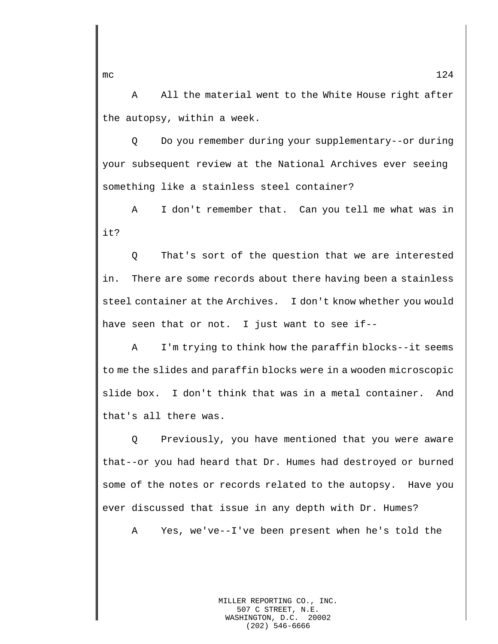A All the material went to the White House right after the autopsy, within a week.

Q Do you remember during your supplementary--or during your subsequent review at the National Archives ever seeing something like a stainless steel container?

A I don't remember that. Can you tell me what was in it?

Q That's sort of the question that we are interested in. There are some records about there having been a stainless steel container at the Archives. I don't know whether you would have seen that or not. I just want to see if--

A I'm trying to think how the paraffin blocks--it seems to me the slides and paraffin blocks were in a wooden microscopic slide box. I don't think that was in a metal container. And that's all there was.

Q Previously, you have mentioned that you were aware that--or you had heard that Dr. Humes had destroyed or burned some of the notes or records related to the autopsy. Have you ever discussed that issue in any depth with Dr. Humes?

A Yes, we've--I've been present when he's told the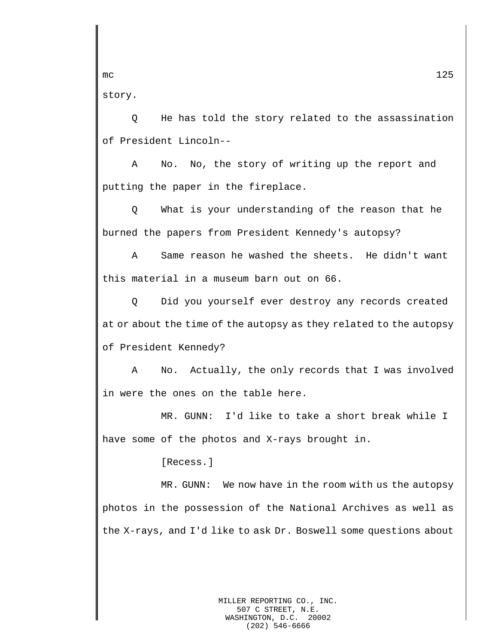story.

Q He has told the story related to the assassination of President Lincoln--

A No. No, the story of writing up the report and putting the paper in the fireplace.

Q What is your understanding of the reason that he burned the papers from President Kennedy's autopsy?

A Same reason he washed the sheets. He didn't want this material in a museum barn out on 66.

Q Did you yourself ever destroy any records created at or about the time of the autopsy as they related to the autopsy of President Kennedy?

A No. Actually, the only records that I was involved in were the ones on the table here.

MR. GUNN: I'd like to take a short break while I have some of the photos and X-rays brought in.

[Recess.]

MR. GUNN: We now have in the room with us the autopsy photos in the possession of the National Archives as well as the X-rays, and I'd like to ask Dr. Boswell some questions about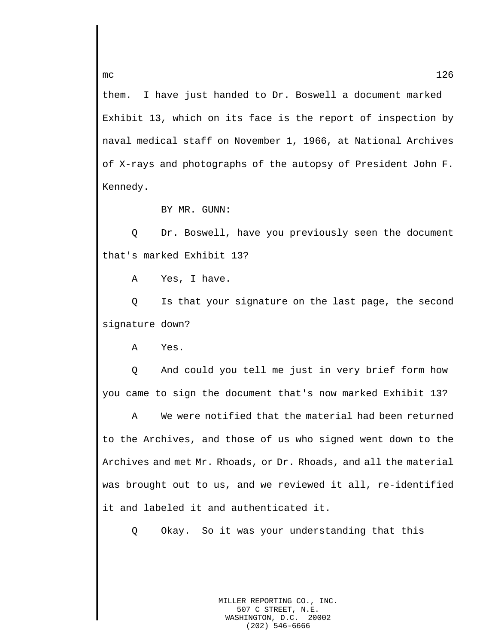them. I have just handed to Dr. Boswell a document marked Exhibit 13, which on its face is the report of inspection by naval medical staff on November 1, 1966, at National Archives of X-rays and photographs of the autopsy of President John F. Kennedy.

BY MR. GUNN:

Q Dr. Boswell, have you previously seen the document that's marked Exhibit 13?

A Yes, I have.

Q Is that your signature on the last page, the second signature down?

A Yes.

Q And could you tell me just in very brief form how you came to sign the document that's now marked Exhibit 13?

A We were notified that the material had been returned to the Archives, and those of us who signed went down to the Archives and met Mr. Rhoads, or Dr. Rhoads, and all the material was brought out to us, and we reviewed it all, re-identified it and labeled it and authenticated it.

Q Okay. So it was your understanding that this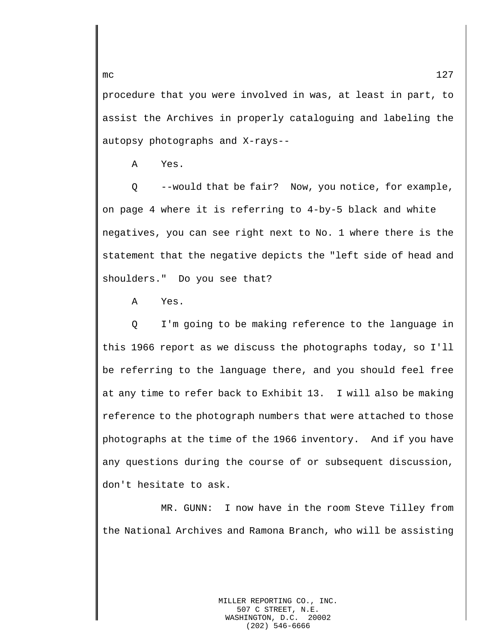procedure that you were involved in was, at least in part, to assist the Archives in properly cataloguing and labeling the autopsy photographs and X-rays--

A Yes.

Q --would that be fair? Now, you notice, for example, on page 4 where it is referring to 4-by-5 black and white negatives, you can see right next to No. 1 where there is the statement that the negative depicts the "left side of head and shoulders." Do you see that?

A Yes.

Q I'm going to be making reference to the language in this 1966 report as we discuss the photographs today, so I'll be referring to the language there, and you should feel free at any time to refer back to Exhibit 13. I will also be making reference to the photograph numbers that were attached to those photographs at the time of the 1966 inventory. And if you have any questions during the course of or subsequent discussion, don't hesitate to ask.

MR. GUNN: I now have in the room Steve Tilley from the National Archives and Ramona Branch, who will be assisting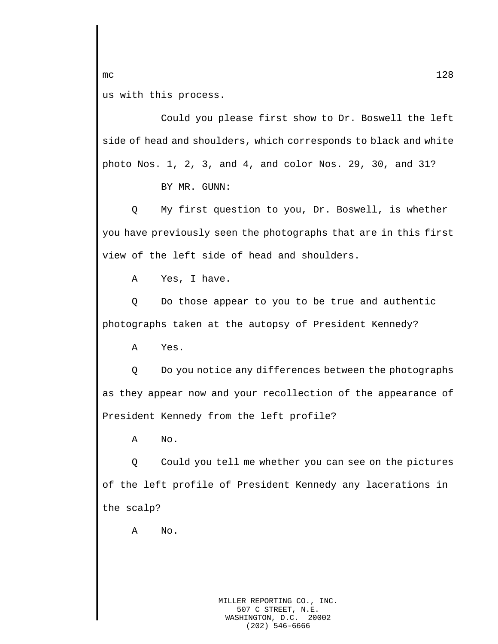us with this process.

Could you please first show to Dr. Boswell the left side of head and shoulders, which corresponds to black and white photo Nos. 1, 2, 3, and 4, and color Nos. 29, 30, and 31?

BY MR. GUNN:

Q My first question to you, Dr. Boswell, is whether you have previously seen the photographs that are in this first view of the left side of head and shoulders.

A Yes, I have.

Q Do those appear to you to be true and authentic photographs taken at the autopsy of President Kennedy?

A Yes.

Q Do you notice any differences between the photographs as they appear now and your recollection of the appearance of President Kennedy from the left profile?

A No.

Q Could you tell me whether you can see on the pictures of the left profile of President Kennedy any lacerations in the scalp?

A No.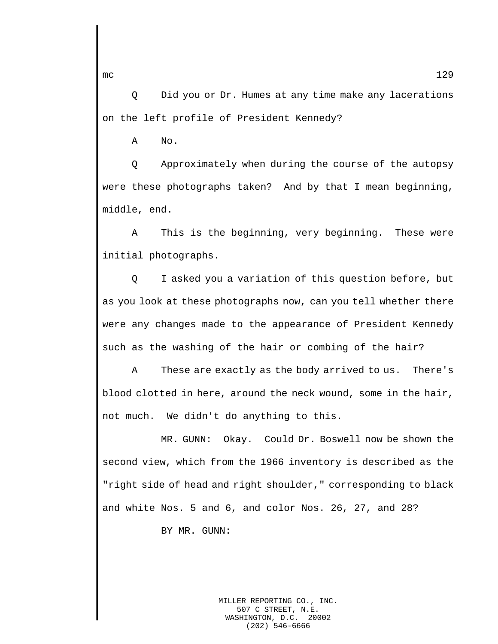Q Did you or Dr. Humes at any time make any lacerations on the left profile of President Kennedy?

A No.

Q Approximately when during the course of the autopsy were these photographs taken? And by that I mean beginning, middle, end.

A This is the beginning, very beginning. These were initial photographs.

Q I asked you a variation of this question before, but as you look at these photographs now, can you tell whether there were any changes made to the appearance of President Kennedy such as the washing of the hair or combing of the hair?

A These are exactly as the body arrived to us. There's blood clotted in here, around the neck wound, some in the hair, not much. We didn't do anything to this.

MR. GUNN: Okay. Could Dr. Boswell now be shown the second view, which from the 1966 inventory is described as the "right side of head and right shoulder," corresponding to black and white Nos. 5 and 6, and color Nos. 26, 27, and 28?

BY MR. GUNN:

MILLER REPORTING CO., INC. 507 C STREET, N.E.<br>SHINGTON, D.C. 20002 WASHINGTON, D.C. (202) 546-6666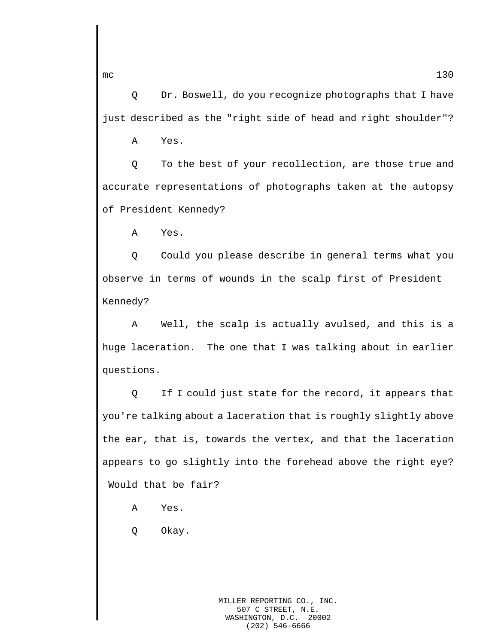Q Dr. Boswell, do you recognize photographs that I have just described as the "right side of head and right shoulder"?

A Yes.

Q To the best of your recollection, are those true and accurate representations of photographs taken at the autopsy of President Kennedy?

A Yes.

Q Could you please describe in general terms what you observe in terms of wounds in the scalp first of President Kennedy?

A Well, the scalp is actually avulsed, and this is a huge laceration. The one that I was talking about in earlier questions.

Q If I could just state for the record, it appears that you're talking about a laceration that is roughly slightly above the ear, that is, towards the vertex, and that the laceration appears to go slightly into the forehead above the right eye? Would that be fair?

- A Yes.
- Q Okay.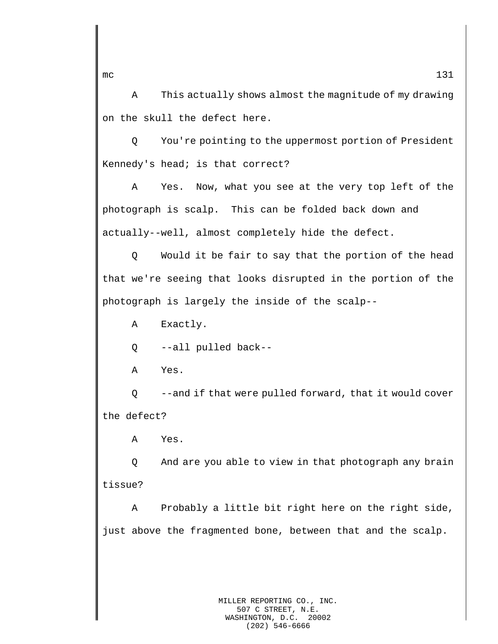A This actually shows almost the magnitude of my drawing on the skull the defect here.

Q You're pointing to the uppermost portion of President Kennedy's head; is that correct?

A Yes. Now, what you see at the very top left of the photograph is scalp. This can be folded back down and actually--well, almost completely hide the defect.

Q Would it be fair to say that the portion of the head that we're seeing that looks disrupted in the portion of the photograph is largely the inside of the scalp--

A Exactly.

Q --all pulled back--

A Yes.

Q --and if that were pulled forward, that it would cover the defect?

A Yes.

Q And are you able to view in that photograph any brain tissue?

A Probably a little bit right here on the right side, just above the fragmented bone, between that and the scalp.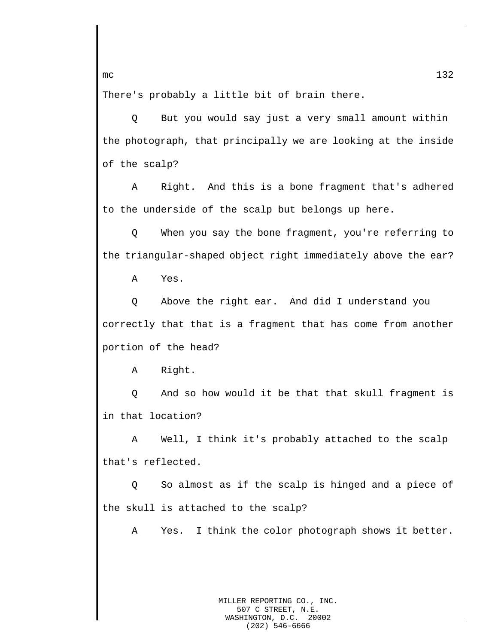There's probably a little bit of brain there.

Q But you would say just a very small amount within the photograph, that principally we are looking at the inside of the scalp?

A Right. And this is a bone fragment that's adhered to the underside of the scalp but belongs up here.

Q When you say the bone fragment, you're referring to the triangular-shaped object right immediately above the ear?

A Yes.

Q Above the right ear. And did I understand you correctly that that is a fragment that has come from another portion of the head?

A Right.

Q And so how would it be that that skull fragment is in that location?

A Well, I think it's probably attached to the scalp that's reflected.

Q So almost as if the scalp is hinged and a piece of the skull is attached to the scalp?

A Yes. I think the color photograph shows it better.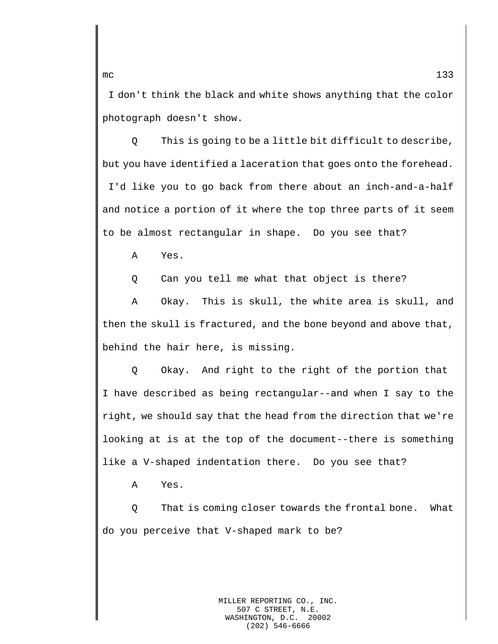I don't think the black and white shows anything that the color photograph doesn't show.

Q This is going to be a little bit difficult to describe, but you have identified a laceration that goes onto the forehead. I'd like you to go back from there about an inch-and-a-half and notice a portion of it where the top three parts of it seem to be almost rectangular in shape. Do you see that?

A Yes.

Q Can you tell me what that object is there?

A Okay. This is skull, the white area is skull, and then the skull is fractured, and the bone beyond and above that, behind the hair here, is missing.

Q Okay. And right to the right of the portion that I have described as being rectangular--and when I say to the right, we should say that the head from the direction that we're looking at is at the top of the document--there is something like a V-shaped indentation there. Do you see that?

A Yes.

Q That is coming closer towards the frontal bone. What do you perceive that V-shaped mark to be?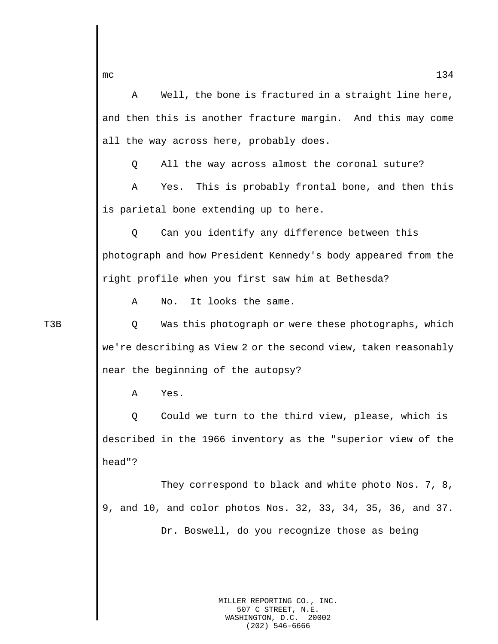mc  $134$ A Well, the bone is fractured in a straight line here, and then this is another fracture margin. And this may come all the way across here, probably does. Q All the way across almost the coronal suture? A Yes. This is probably frontal bone, and then this is parietal bone extending up to here. Q Can you identify any difference between this photograph and how President Kennedy's body appeared from the right profile when you first saw him at Bethesda? A No. It looks the same. T3B Q Was this photograph or were these photographs, which we're describing as View 2 or the second view, taken reasonably near the beginning of the autopsy? A Yes. Q Could we turn to the third view, please, which is described in the 1966 inventory as the "superior view of the head"? They correspond to black and white photo Nos. 7, 8, 9, and 10, and color photos Nos. 32, 33, 34, 35, 36, and 37. Dr. Boswell, do you recognize those as being

> MILLER REPORTING CO., INC. 507 C STREET, N.E.<br>SHINGTON, D.C. 20002 WASHINGTON, D.C. (202) 546-6666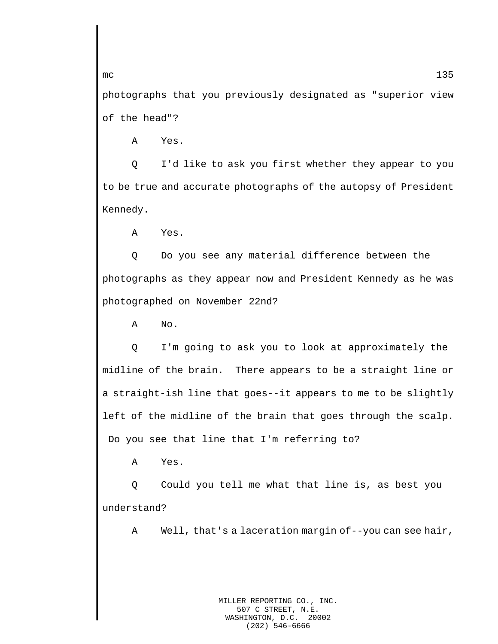photographs that you previously designated as "superior view of the head"?

A Yes.

Q I'd like to ask you first whether they appear to you to be true and accurate photographs of the autopsy of President Kennedy.

A Yes.

Q Do you see any material difference between the photographs as they appear now and President Kennedy as he was photographed on November 22nd?

A No.

Q I'm going to ask you to look at approximately the midline of the brain. There appears to be a straight line or a straight-ish line that goes--it appears to me to be slightly left of the midline of the brain that goes through the scalp. Do you see that line that I'm referring to?

A Yes.

Q Could you tell me what that line is, as best you understand?

A Well, that's a laceration margin of--you can see hair,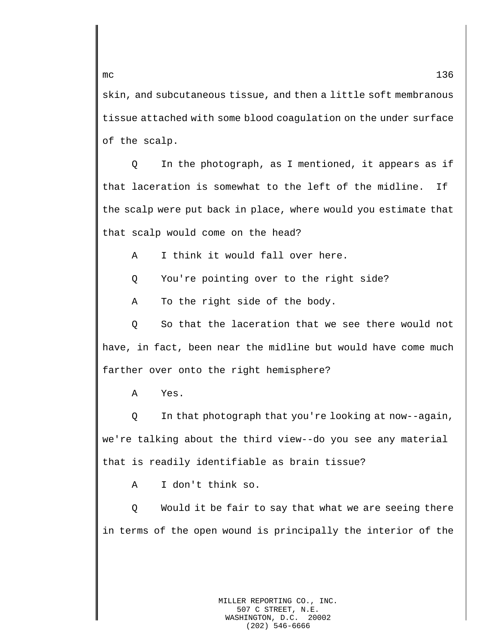skin, and subcutaneous tissue, and then a little soft membranous tissue attached with some blood coagulation on the under surface of the scalp.

Q In the photograph, as I mentioned, it appears as if that laceration is somewhat to the left of the midline. If the scalp were put back in place, where would you estimate that that scalp would come on the head?

A I think it would fall over here.

Q You're pointing over to the right side?

A To the right side of the body.

Q So that the laceration that we see there would not have, in fact, been near the midline but would have come much farther over onto the right hemisphere?

A Yes.

Q In that photograph that you're looking at now--again, we're talking about the third view--do you see any material that is readily identifiable as brain tissue?

A I don't think so.

Q Would it be fair to say that what we are seeing there in terms of the open wound is principally the interior of the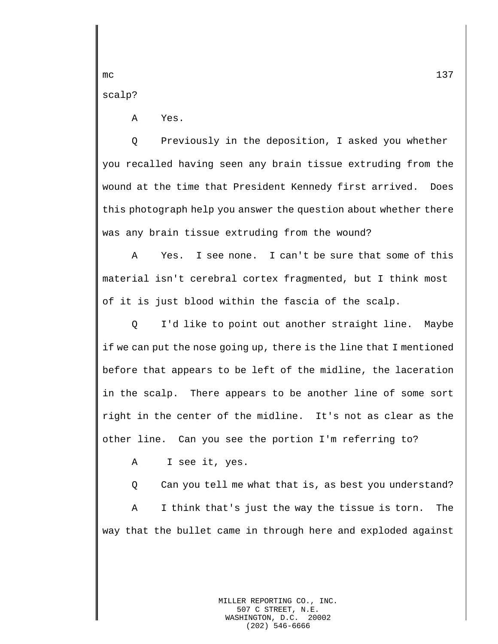scalp?

A Yes.

Q Previously in the deposition, I asked you whether you recalled having seen any brain tissue extruding from the wound at the time that President Kennedy first arrived. Does this photograph help you answer the question about whether there was any brain tissue extruding from the wound?

A Yes. I see none. I can't be sure that some of this material isn't cerebral cortex fragmented, but I think most of it is just blood within the fascia of the scalp.

Q I'd like to point out another straight line. Maybe if we can put the nose going up, there is the line that I mentioned before that appears to be left of the midline, the laceration in the scalp. There appears to be another line of some sort right in the center of the midline. It's not as clear as the other line. Can you see the portion I'm referring to?

A I see it, yes.

Q Can you tell me what that is, as best you understand?

A I think that's just the way the tissue is torn. The way that the bullet came in through here and exploded against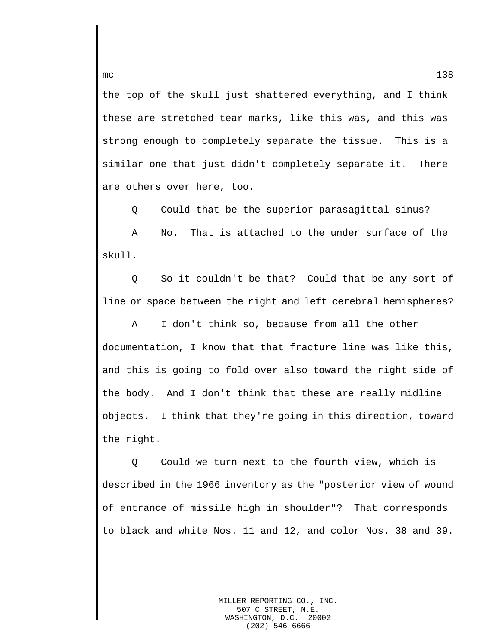the top of the skull just shattered everything, and I think these are stretched tear marks, like this was, and this was strong enough to completely separate the tissue. This is a similar one that just didn't completely separate it. There are others over here, too.

Q Could that be the superior parasagittal sinus?

A No. That is attached to the under surface of the skull.

Q So it couldn't be that? Could that be any sort of line or space between the right and left cerebral hemispheres?

A I don't think so, because from all the other documentation, I know that that fracture line was like this, and this is going to fold over also toward the right side of the body. And I don't think that these are really midline objects. I think that they're going in this direction, toward the right.

Q Could we turn next to the fourth view, which is described in the 1966 inventory as the "posterior view of wound of entrance of missile high in shoulder"? That corresponds to black and white Nos. 11 and 12, and color Nos. 38 and 39.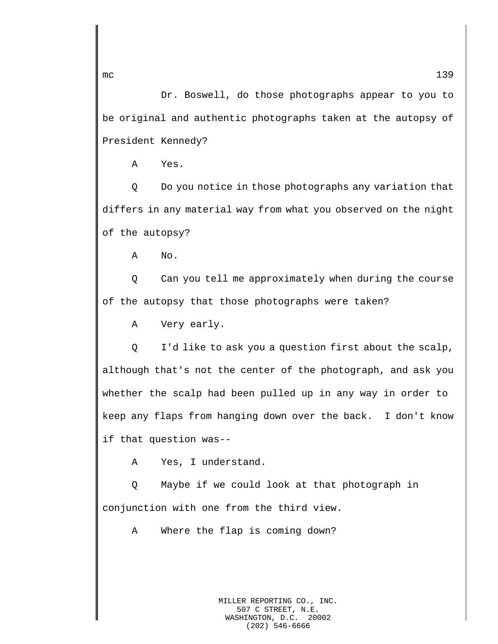Dr. Boswell, do those photographs appear to you to be original and authentic photographs taken at the autopsy of President Kennedy?

A Yes.

Q Do you notice in those photographs any variation that differs in any material way from what you observed on the night of the autopsy?

A No.

Q Can you tell me approximately when during the course of the autopsy that those photographs were taken?

A Very early.

Q I'd like to ask you a question first about the scalp, although that's not the center of the photograph, and ask you whether the scalp had been pulled up in any way in order to keep any flaps from hanging down over the back. I don't know if that question was--

A Yes, I understand.

Q Maybe if we could look at that photograph in conjunction with one from the third view.

A Where the flap is coming down?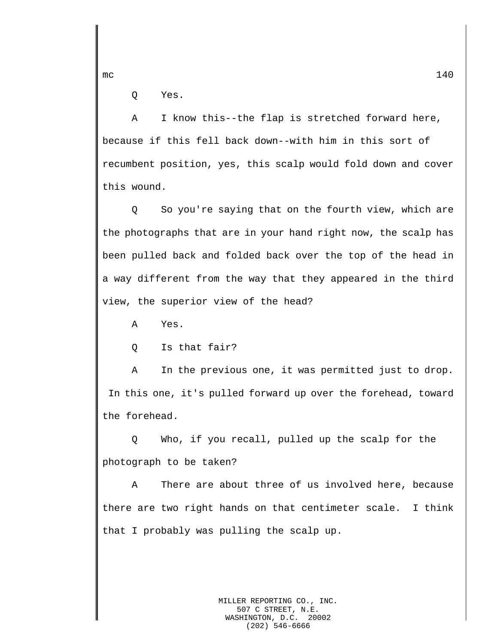Q Yes.

A I know this--the flap is stretched forward here, because if this fell back down--with him in this sort of recumbent position, yes, this scalp would fold down and cover this wound.

Q So you're saying that on the fourth view, which are the photographs that are in your hand right now, the scalp has been pulled back and folded back over the top of the head in a way different from the way that they appeared in the third view, the superior view of the head?

A Yes.

Q Is that fair?

A In the previous one, it was permitted just to drop. In this one, it's pulled forward up over the forehead, toward the forehead.

Q Who, if you recall, pulled up the scalp for the photograph to be taken?

A There are about three of us involved here, because there are two right hands on that centimeter scale. I think that I probably was pulling the scalp up.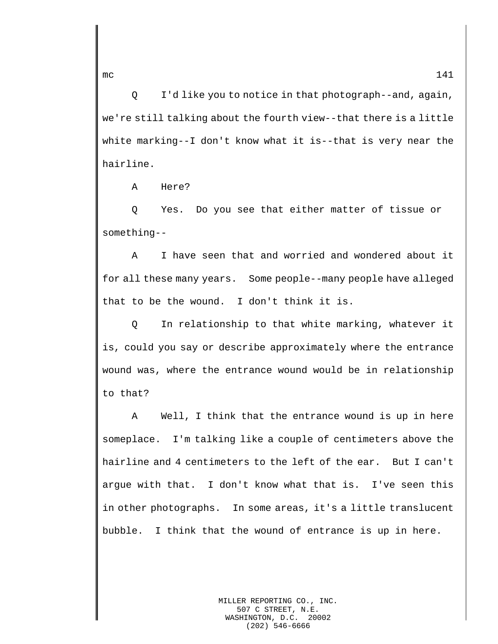Q I'd like you to notice in that photograph--and, again, we're still talking about the fourth view--that there is a little white marking--I don't know what it is--that is very near the hairline.

A Here?

Q Yes. Do you see that either matter of tissue or something--

A I have seen that and worried and wondered about it for all these many years. Some people--many people have alleged that to be the wound. I don't think it is.

Q In relationship to that white marking, whatever it is, could you say or describe approximately where the entrance wound was, where the entrance wound would be in relationship to that?

A Well, I think that the entrance wound is up in here someplace. I'm talking like a couple of centimeters above the hairline and 4 centimeters to the left of the ear. But I can't argue with that. I don't know what that is. I've seen this in other photographs. In some areas, it's a little translucent bubble. I think that the wound of entrance is up in here.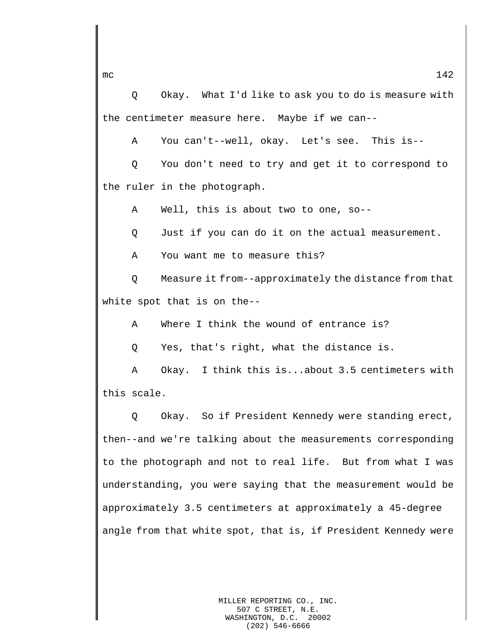Q Okay. What I'd like to ask you to do is measure with the centimeter measure here. Maybe if we can--

A You can't--well, okay. Let's see. This is--

Q You don't need to try and get it to correspond to the ruler in the photograph.

A Well, this is about two to one, so--

Q Just if you can do it on the actual measurement.

A You want me to measure this?

Q Measure it from--approximately the distance from that white spot that is on the--

A Where I think the wound of entrance is?

Q Yes, that's right, what the distance is.

A Okay. I think this is...about 3.5 centimeters with this scale.

Q Okay. So if President Kennedy were standing erect, then--and we're talking about the measurements corresponding to the photograph and not to real life. But from what I was understanding, you were saying that the measurement would be approximately 3.5 centimeters at approximately a 45-degree angle from that white spot, that is, if President Kennedy were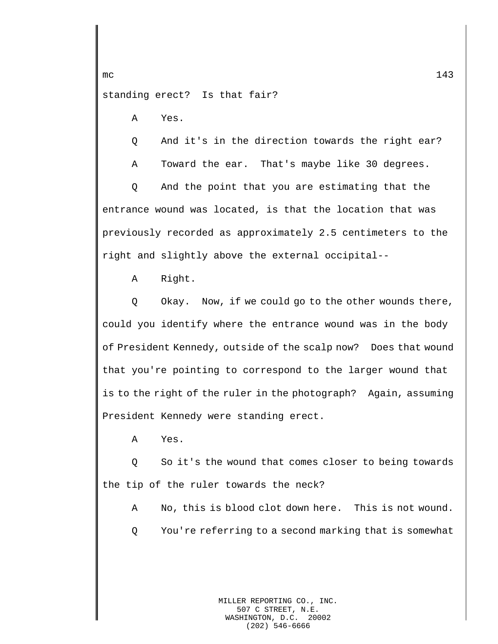standing erect? Is that fair?

A Yes.

Q And it's in the direction towards the right ear?

A Toward the ear. That's maybe like 30 degrees.

Q And the point that you are estimating that the entrance wound was located, is that the location that was previously recorded as approximately 2.5 centimeters to the right and slightly above the external occipital--

A Right.

Q Okay. Now, if we could go to the other wounds there, could you identify where the entrance wound was in the body of President Kennedy, outside of the scalp now? Does that wound that you're pointing to correspond to the larger wound that is to the right of the ruler in the photograph? Again, assuming President Kennedy were standing erect.

A Yes.

Q So it's the wound that comes closer to being towards the tip of the ruler towards the neck?

A No, this is blood clot down here. This is not wound.

Q You're referring to a second marking that is somewhat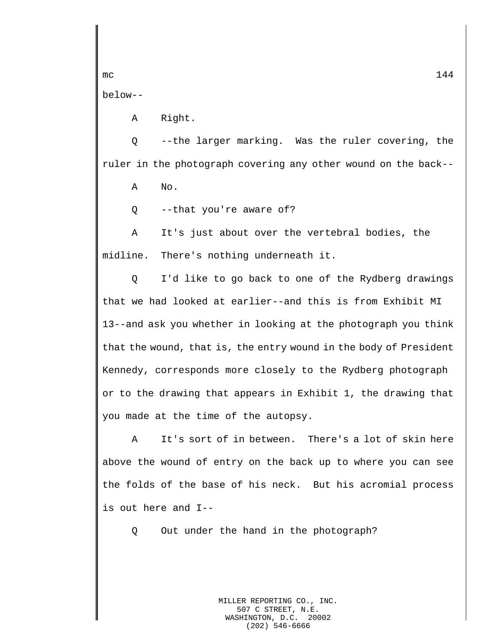below--

A Right.

Q --the larger marking. Was the ruler covering, the ruler in the photograph covering any other wound on the back--

A No.

Q --that you're aware of?

A It's just about over the vertebral bodies, the midline. There's nothing underneath it.

Q I'd like to go back to one of the Rydberg drawings that we had looked at earlier--and this is from Exhibit MI 13--and ask you whether in looking at the photograph you think that the wound, that is, the entry wound in the body of President Kennedy, corresponds more closely to the Rydberg photograph or to the drawing that appears in Exhibit 1, the drawing that you made at the time of the autopsy.

A It's sort of in between. There's a lot of skin here above the wound of entry on the back up to where you can see the folds of the base of his neck. But his acromial process is out here and I--

Q Out under the hand in the photograph?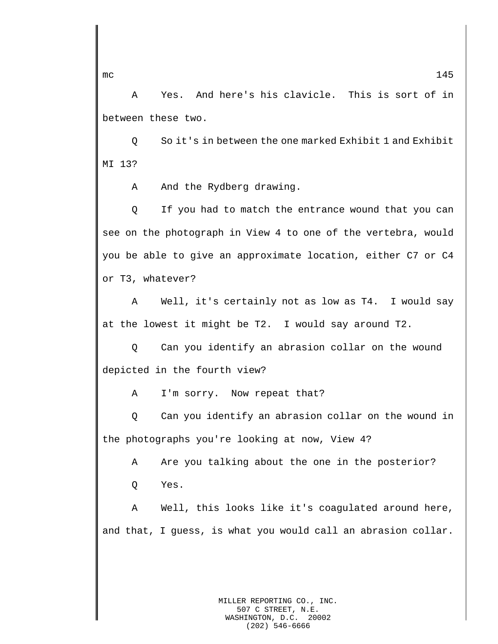A Yes. And here's his clavicle. This is sort of in between these two.

Q So it's in between the one marked Exhibit 1 and Exhibit MI 13?

A And the Rydberg drawing.

Q If you had to match the entrance wound that you can see on the photograph in View 4 to one of the vertebra, would you be able to give an approximate location, either C7 or C4 or T3, whatever?

A Well, it's certainly not as low as T4. I would say at the lowest it might be T2. I would say around T2.

Q Can you identify an abrasion collar on the wound depicted in the fourth view?

A I'm sorry. Now repeat that?

Q Can you identify an abrasion collar on the wound in the photographs you're looking at now, View 4?

A Are you talking about the one in the posterior?

Q Yes.

A Well, this looks like it's coagulated around here, and that, I guess, is what you would call an abrasion collar.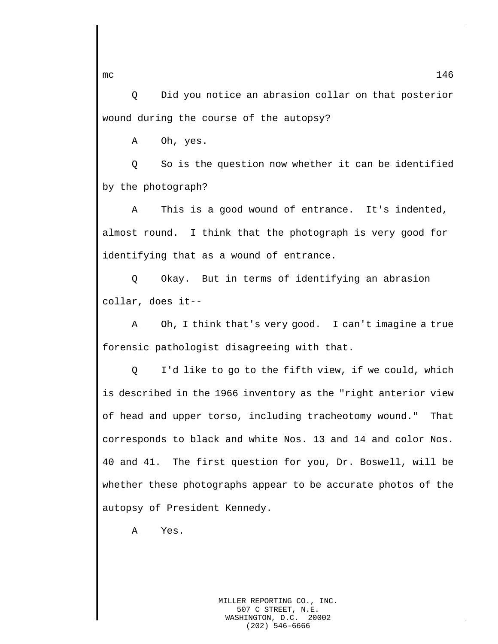Q Did you notice an abrasion collar on that posterior wound during the course of the autopsy?

A Oh, yes.

Q So is the question now whether it can be identified by the photograph?

A This is a good wound of entrance. It's indented, almost round. I think that the photograph is very good for identifying that as a wound of entrance.

Q Okay. But in terms of identifying an abrasion collar, does it--

A Oh, I think that's very good. I can't imagine a true forensic pathologist disagreeing with that.

Q I'd like to go to the fifth view, if we could, which is described in the 1966 inventory as the "right anterior view of head and upper torso, including tracheotomy wound." That corresponds to black and white Nos. 13 and 14 and color Nos. 40 and 41. The first question for you, Dr. Boswell, will be whether these photographs appear to be accurate photos of the autopsy of President Kennedy.

A Yes.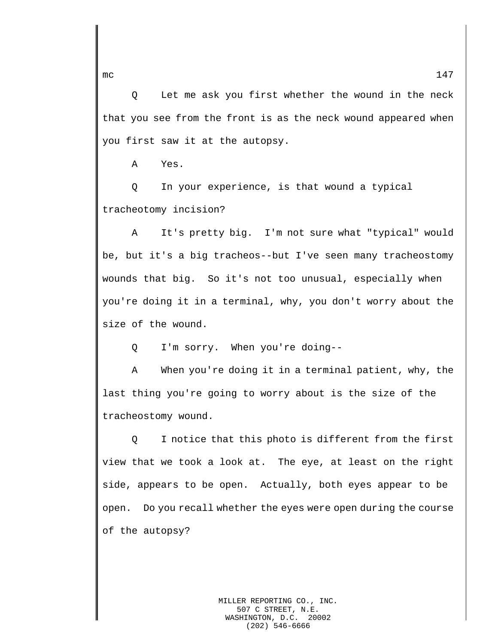Q Let me ask you first whether the wound in the neck that you see from the front is as the neck wound appeared when you first saw it at the autopsy.

A Yes.

Q In your experience, is that wound a typical tracheotomy incision?

A It's pretty big. I'm not sure what "typical" would be, but it's a big tracheos--but I've seen many tracheostomy wounds that big. So it's not too unusual, especially when you're doing it in a terminal, why, you don't worry about the size of the wound.

Q I'm sorry. When you're doing--

A When you're doing it in a terminal patient, why, the last thing you're going to worry about is the size of the tracheostomy wound.

Q I notice that this photo is different from the first view that we took a look at. The eye, at least on the right side, appears to be open. Actually, both eyes appear to be open. Do you recall whether the eyes were open during the course of the autopsy?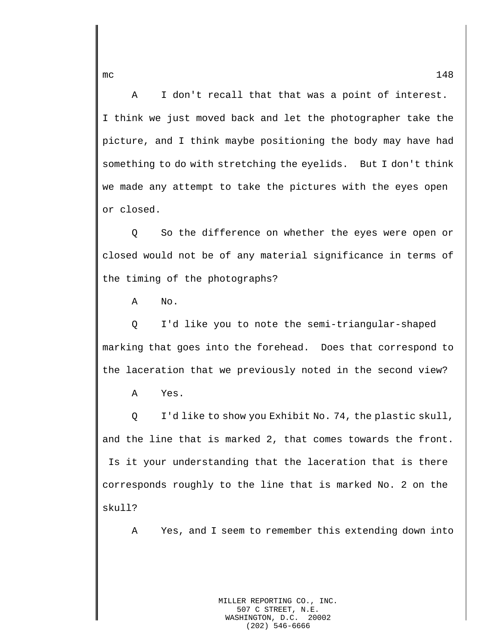A I don't recall that that was a point of interest. I think we just moved back and let the photographer take the picture, and I think maybe positioning the body may have had something to do with stretching the eyelids. But I don't think we made any attempt to take the pictures with the eyes open or closed.

Q So the difference on whether the eyes were open or closed would not be of any material significance in terms of the timing of the photographs?

A No.

Q I'd like you to note the semi-triangular-shaped marking that goes into the forehead. Does that correspond to the laceration that we previously noted in the second view?

A Yes.

Q I'd like to show you Exhibit No. 74, the plastic skull, and the line that is marked 2, that comes towards the front. Is it your understanding that the laceration that is there corresponds roughly to the line that is marked No. 2 on the skull?

A Yes, and I seem to remember this extending down into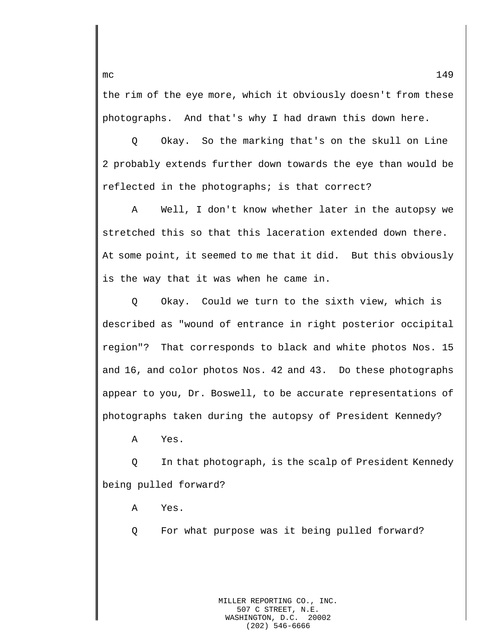the rim of the eye more, which it obviously doesn't from these photographs. And that's why I had drawn this down here.

Q Okay. So the marking that's on the skull on Line 2 probably extends further down towards the eye than would be reflected in the photographs; is that correct?

A Well, I don't know whether later in the autopsy we stretched this so that this laceration extended down there. At some point, it seemed to me that it did. But this obviously is the way that it was when he came in.

Q Okay. Could we turn to the sixth view, which is described as "wound of entrance in right posterior occipital region"? That corresponds to black and white photos Nos. 15 and 16, and color photos Nos. 42 and 43. Do these photographs appear to you, Dr. Boswell, to be accurate representations of photographs taken during the autopsy of President Kennedy?

A Yes.

Q In that photograph, is the scalp of President Kennedy being pulled forward?

A Yes.

Q For what purpose was it being pulled forward?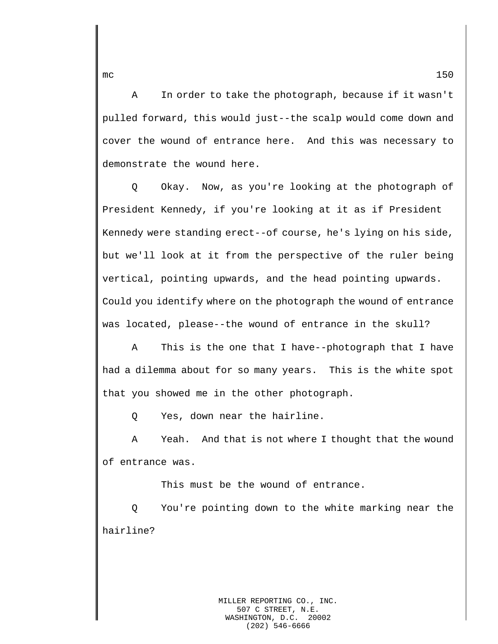A In order to take the photograph, because if it wasn't pulled forward, this would just--the scalp would come down and cover the wound of entrance here. And this was necessary to demonstrate the wound here.

Q Okay. Now, as you're looking at the photograph of President Kennedy, if you're looking at it as if President Kennedy were standing erect--of course, he's lying on his side, but we'll look at it from the perspective of the ruler being vertical, pointing upwards, and the head pointing upwards. Could you identify where on the photograph the wound of entrance was located, please--the wound of entrance in the skull?

A This is the one that I have--photograph that I have had a dilemma about for so many years. This is the white spot that you showed me in the other photograph.

Q Yes, down near the hairline.

A Yeah. And that is not where I thought that the wound of entrance was.

This must be the wound of entrance.

Q You're pointing down to the white marking near the hairline?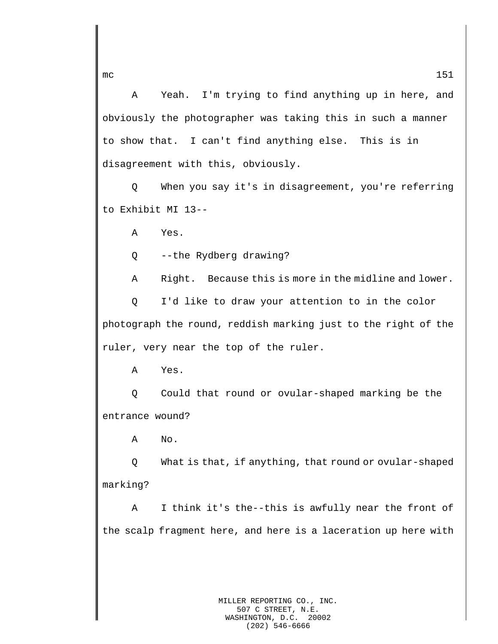A Yeah. I'm trying to find anything up in here, and obviously the photographer was taking this in such a manner to show that. I can't find anything else. This is in disagreement with this, obviously.

Q When you say it's in disagreement, you're referring to Exhibit MI 13--

A Yes.

Q --the Rydberg drawing?

A Right. Because this is more in the midline and lower.

Q I'd like to draw your attention to in the color photograph the round, reddish marking just to the right of the ruler, very near the top of the ruler.

A Yes.

Q Could that round or ovular-shaped marking be the entrance wound?

A No.

Q What is that, if anything, that round or ovular-shaped marking?

A I think it's the--this is awfully near the front of the scalp fragment here, and here is a laceration up here with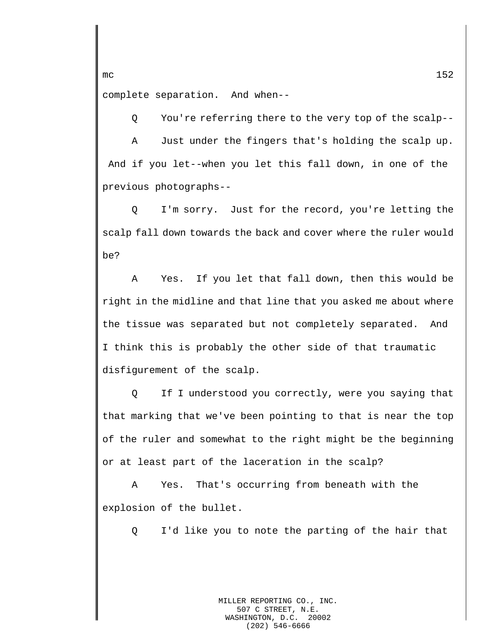complete separation. And when--

Q You're referring there to the very top of the scalp--

A Just under the fingers that's holding the scalp up. And if you let--when you let this fall down, in one of the previous photographs--

Q I'm sorry. Just for the record, you're letting the scalp fall down towards the back and cover where the ruler would be?

A Yes. If you let that fall down, then this would be right in the midline and that line that you asked me about where the tissue was separated but not completely separated. And I think this is probably the other side of that traumatic disfigurement of the scalp.

Q If I understood you correctly, were you saying that that marking that we've been pointing to that is near the top of the ruler and somewhat to the right might be the beginning or at least part of the laceration in the scalp?

A Yes. That's occurring from beneath with the explosion of the bullet.

Q I'd like you to note the parting of the hair that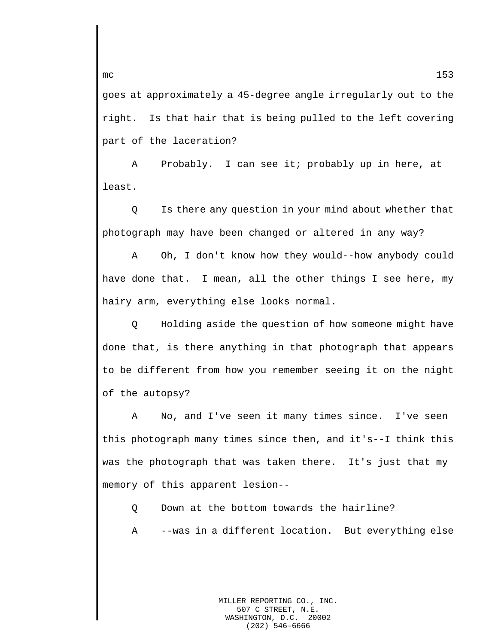goes at approximately a 45-degree angle irregularly out to the right. Is that hair that is being pulled to the left covering part of the laceration?

A Probably. I can see it; probably up in here, at least.

Q Is there any question in your mind about whether that photograph may have been changed or altered in any way?

A Oh, I don't know how they would--how anybody could have done that. I mean, all the other things I see here, my hairy arm, everything else looks normal.

Q Holding aside the question of how someone might have done that, is there anything in that photograph that appears to be different from how you remember seeing it on the night of the autopsy?

A No, and I've seen it many times since. I've seen this photograph many times since then, and it's--I think this was the photograph that was taken there. It's just that my memory of this apparent lesion--

- Q Down at the bottom towards the hairline?
- A --was in a different location. But everything else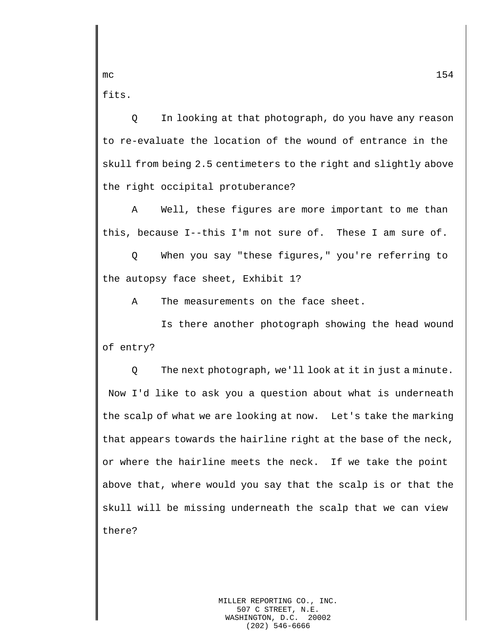fits.

Q In looking at that photograph, do you have any reason to re-evaluate the location of the wound of entrance in the skull from being 2.5 centimeters to the right and slightly above the right occipital protuberance?

A Well, these figures are more important to me than this, because I--this I'm not sure of. These I am sure of.

Q When you say "these figures," you're referring to the autopsy face sheet, Exhibit 1?

A The measurements on the face sheet.

Is there another photograph showing the head wound of entry?

Q The next photograph, we'll look at it in just a minute. Now I'd like to ask you a question about what is underneath the scalp of what we are looking at now. Let's take the marking that appears towards the hairline right at the base of the neck, or where the hairline meets the neck. If we take the point above that, where would you say that the scalp is or that the skull will be missing underneath the scalp that we can view there?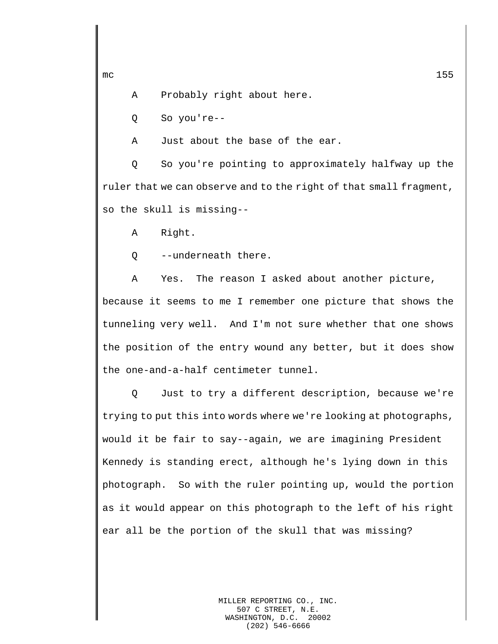A Probably right about here.

Q So you're--

A Just about the base of the ear.

Q So you're pointing to approximately halfway up the ruler that we can observe and to the right of that small fragment, so the skull is missing--

A Right.

Q --underneath there.

A Yes. The reason I asked about another picture, because it seems to me I remember one picture that shows the tunneling very well. And I'm not sure whether that one shows the position of the entry wound any better, but it does show the one-and-a-half centimeter tunnel.

Q Just to try a different description, because we're trying to put this into words where we're looking at photographs, would it be fair to say--again, we are imagining President Kennedy is standing erect, although he's lying down in this photograph. So with the ruler pointing up, would the portion as it would appear on this photograph to the left of his right ear all be the portion of the skull that was missing?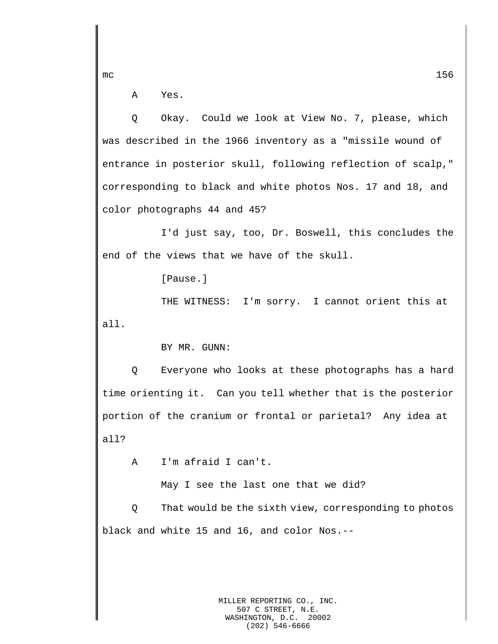A Yes.

Q Okay. Could we look at View No. 7, please, which was described in the 1966 inventory as a "missile wound of entrance in posterior skull, following reflection of scalp," corresponding to black and white photos Nos. 17 and 18, and color photographs 44 and 45?

I'd just say, too, Dr. Boswell, this concludes the end of the views that we have of the skull.

[Pause.]

THE WITNESS: I'm sorry. I cannot orient this at all.

BY MR. GUNN:

Q Everyone who looks at these photographs has a hard time orienting it. Can you tell whether that is the posterior portion of the cranium or frontal or parietal? Any idea at all?

A I'm afraid I can't.

May I see the last one that we did?

Q That would be the sixth view, corresponding to photos black and white 15 and 16, and color Nos.--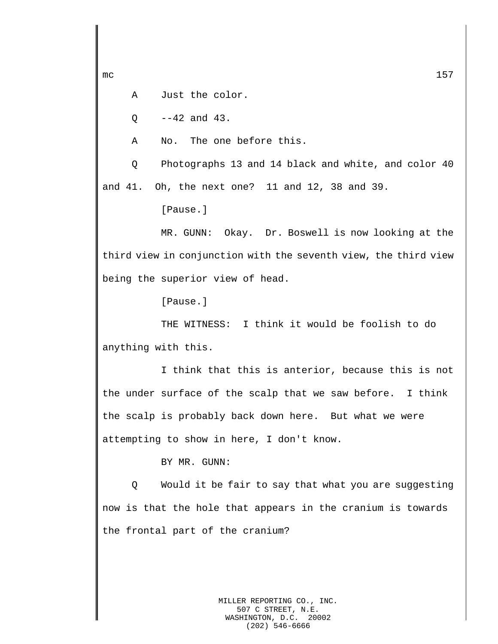A Just the color.

 $0 - -42$  and  $43$ .

A No. The one before this.

Q Photographs 13 and 14 black and white, and color 40 and 41. Oh, the next one? 11 and 12, 38 and 39.

[Pause.]

MR. GUNN: Okay. Dr. Boswell is now looking at the third view in conjunction with the seventh view, the third view being the superior view of head.

[Pause.]

THE WITNESS: I think it would be foolish to do anything with this.

I think that this is anterior, because this is not the under surface of the scalp that we saw before. I think the scalp is probably back down here. But what we were attempting to show in here, I don't know.

BY MR. GUNN:

Q Would it be fair to say that what you are suggesting now is that the hole that appears in the cranium is towards the frontal part of the cranium?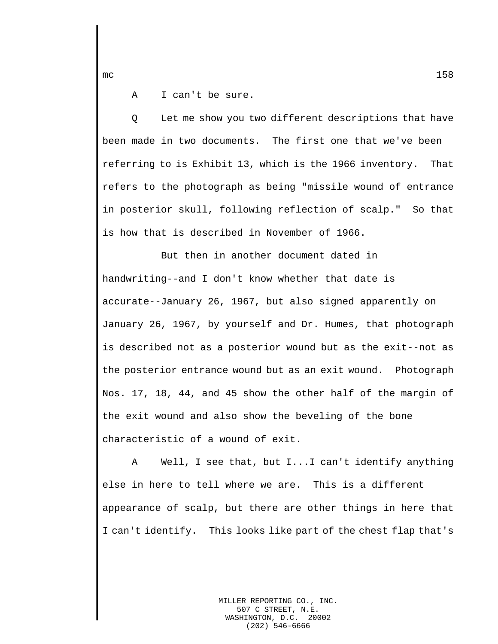A I can't be sure.

Q Let me show you two different descriptions that have been made in two documents. The first one that we've been referring to is Exhibit 13, which is the 1966 inventory. That refers to the photograph as being "missile wound of entrance in posterior skull, following reflection of scalp." So that is how that is described in November of 1966.

But then in another document dated in handwriting--and I don't know whether that date is accurate--January 26, 1967, but also signed apparently on January 26, 1967, by yourself and Dr. Humes, that photograph is described not as a posterior wound but as the exit--not as the posterior entrance wound but as an exit wound. Photograph Nos. 17, 18, 44, and 45 show the other half of the margin of the exit wound and also show the beveling of the bone characteristic of a wound of exit.

A Well, I see that, but I...I can't identify anything else in here to tell where we are. This is a different appearance of scalp, but there are other things in here that I can't identify. This looks like part of the chest flap that's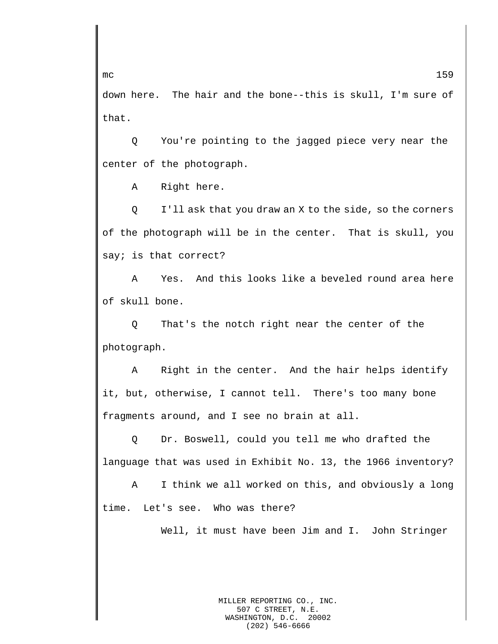down here. The hair and the bone--this is skull, I'm sure of that.

Q You're pointing to the jagged piece very near the center of the photograph.

A Right here.

Q I'll ask that you draw an X to the side, so the corners of the photograph will be in the center. That is skull, you say; is that correct?

A Yes. And this looks like a beveled round area here of skull bone.

Q That's the notch right near the center of the photograph.

A Right in the center. And the hair helps identify it, but, otherwise, I cannot tell. There's too many bone fragments around, and I see no brain at all.

Q Dr. Boswell, could you tell me who drafted the language that was used in Exhibit No. 13, the 1966 inventory?

A I think we all worked on this, and obviously a long time. Let's see. Who was there?

Well, it must have been Jim and I. John Stringer

MILLER REPORTING CO., INC. 507 C STREET, N.E. WASHINGTON, D.C. 20002 (202) 546-6666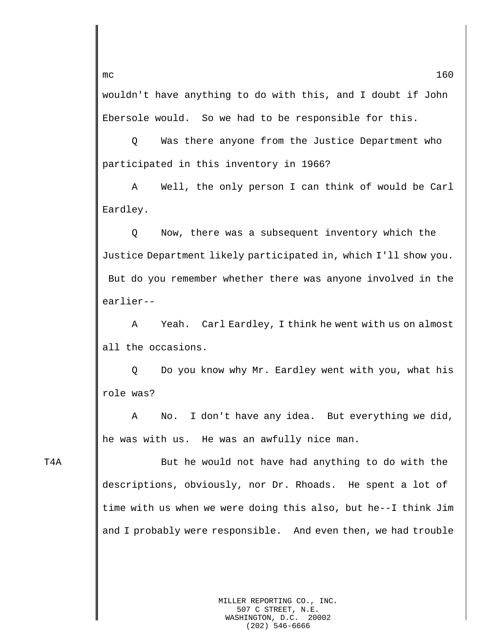wouldn't have anything to do with this, and I doubt if John Ebersole would. So we had to be responsible for this.

Q Was there anyone from the Justice Department who participated in this inventory in 1966?

A Well, the only person I can think of would be Carl Eardley.

Q Now, there was a subsequent inventory which the Justice Department likely participated in, which I'll show you. But do you remember whether there was anyone involved in the earlier--

A Yeah. Carl Eardley, I think he went with us on almost all the occasions.

Q Do you know why Mr. Eardley went with you, what his role was?

A No. I don't have any idea. But everything we did, he was with us. He was an awfully nice man.

T4A **But he would not have had anything to do with the** descriptions, obviously, nor Dr. Rhoads. He spent a lot of time with us when we were doing this also, but he--I think Jim and I probably were responsible. And even then, we had trouble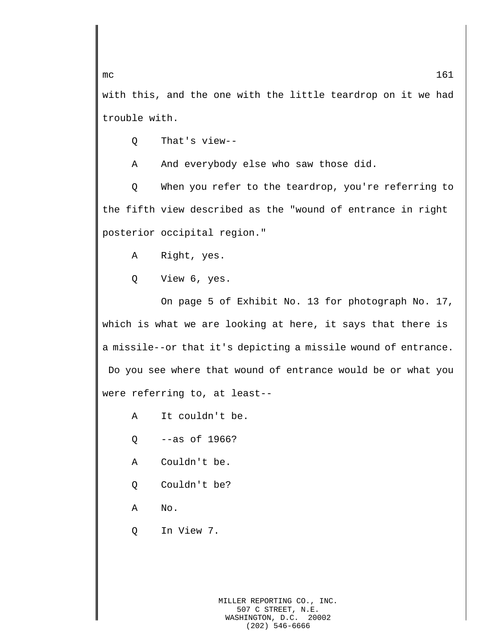with this, and the one with the little teardrop on it we had trouble with.

Q That's view--

A And everybody else who saw those did.

Q When you refer to the teardrop, you're referring to the fifth view described as the "wound of entrance in right posterior occipital region."

A Right, yes.

Q View 6, yes.

On page 5 of Exhibit No. 13 for photograph No. 17, which is what we are looking at here, it says that there is a missile--or that it's depicting a missile wound of entrance. Do you see where that wound of entrance would be or what you were referring to, at least--

- A It couldn't be.
- Q --as of 1966?
- A Couldn't be.
- Q Couldn't be?
- A No.
- Q In View 7.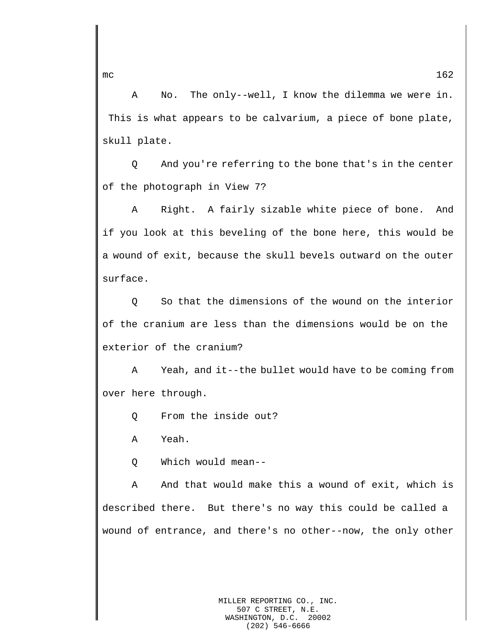A No. The only--well, I know the dilemma we were in. This is what appears to be calvarium, a piece of bone plate, skull plate.

Q And you're referring to the bone that's in the center of the photograph in View 7?

A Right. A fairly sizable white piece of bone. And if you look at this beveling of the bone here, this would be a wound of exit, because the skull bevels outward on the outer surface.

Q So that the dimensions of the wound on the interior of the cranium are less than the dimensions would be on the exterior of the cranium?

A Yeah, and it--the bullet would have to be coming from over here through.

Q From the inside out?

A Yeah.

Q Which would mean--

A And that would make this a wound of exit, which is described there. But there's no way this could be called a wound of entrance, and there's no other--now, the only other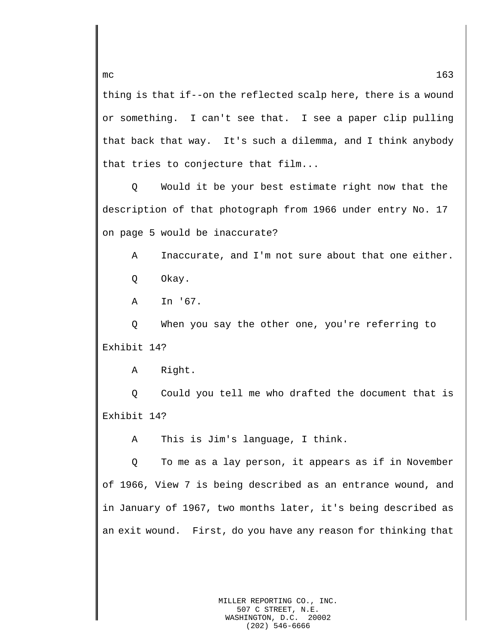thing is that if--on the reflected scalp here, there is a wound or something. I can't see that. I see a paper clip pulling that back that way. It's such a dilemma, and I think anybody that tries to conjecture that film...

Q Would it be your best estimate right now that the description of that photograph from 1966 under entry No. 17 on page 5 would be inaccurate?

A Inaccurate, and I'm not sure about that one either. Q Okay.

A In '67.

Q When you say the other one, you're referring to Exhibit 14?

A Right.

Q Could you tell me who drafted the document that is Exhibit 14?

A This is Jim's language, I think.

Q To me as a lay person, it appears as if in November of 1966, View 7 is being described as an entrance wound, and in January of 1967, two months later, it's being described as an exit wound. First, do you have any reason for thinking that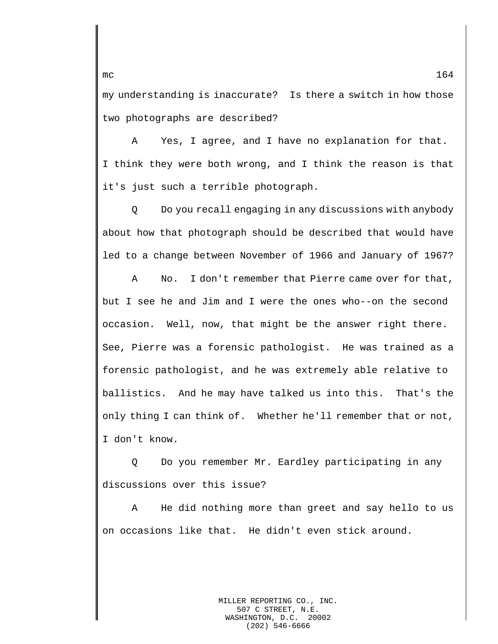my understanding is inaccurate? Is there a switch in how those two photographs are described?

A Yes, I agree, and I have no explanation for that. I think they were both wrong, and I think the reason is that it's just such a terrible photograph.

Q Do you recall engaging in any discussions with anybody about how that photograph should be described that would have led to a change between November of 1966 and January of 1967?

A No. I don't remember that Pierre came over for that, but I see he and Jim and I were the ones who--on the second occasion. Well, now, that might be the answer right there. See, Pierre was a forensic pathologist. He was trained as a forensic pathologist, and he was extremely able relative to ballistics. And he may have talked us into this. That's the only thing I can think of. Whether he'll remember that or not, I don't know.

Q Do you remember Mr. Eardley participating in any discussions over this issue?

A He did nothing more than greet and say hello to us on occasions like that. He didn't even stick around.

> MILLER REPORTING CO., INC. 507 C STREET, N.E.<br>SHINGTON, D.C. 20002 WASHINGTON, D.C. (202) 546-6666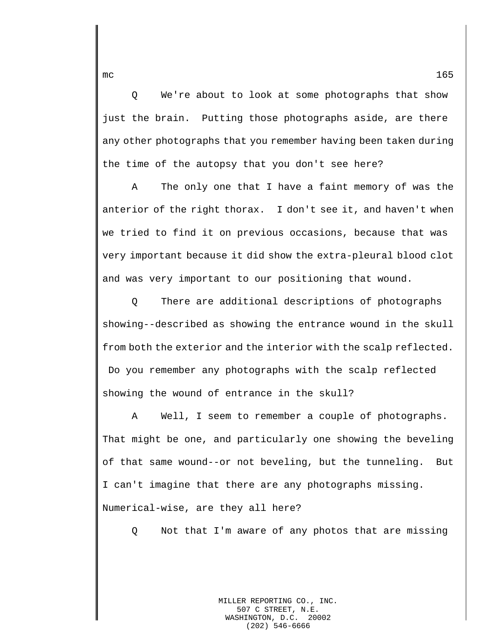Q We're about to look at some photographs that show just the brain. Putting those photographs aside, are there any other photographs that you remember having been taken during the time of the autopsy that you don't see here?

A The only one that I have a faint memory of was the anterior of the right thorax. I don't see it, and haven't when we tried to find it on previous occasions, because that was very important because it did show the extra-pleural blood clot and was very important to our positioning that wound.

Q There are additional descriptions of photographs showing--described as showing the entrance wound in the skull from both the exterior and the interior with the scalp reflected. Do you remember any photographs with the scalp reflected showing the wound of entrance in the skull?

A Well, I seem to remember a couple of photographs. That might be one, and particularly one showing the beveling of that same wound--or not beveling, but the tunneling. But I can't imagine that there are any photographs missing. Numerical-wise, are they all here?

Q Not that I'm aware of any photos that are missing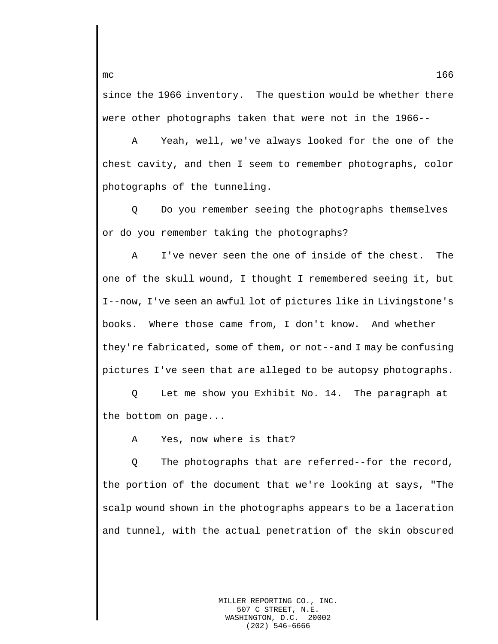since the 1966 inventory. The question would be whether there were other photographs taken that were not in the 1966--

A Yeah, well, we've always looked for the one of the chest cavity, and then I seem to remember photographs, color photographs of the tunneling.

Q Do you remember seeing the photographs themselves or do you remember taking the photographs?

A I've never seen the one of inside of the chest. The one of the skull wound, I thought I remembered seeing it, but I--now, I've seen an awful lot of pictures like in Livingstone's books. Where those came from, I don't know. And whether they're fabricated, some of them, or not--and I may be confusing pictures I've seen that are alleged to be autopsy photographs.

Q Let me show you Exhibit No. 14. The paragraph at the bottom on page...

A Yes, now where is that?

Q The photographs that are referred--for the record, the portion of the document that we're looking at says, "The scalp wound shown in the photographs appears to be a laceration and tunnel, with the actual penetration of the skin obscured

mc  $166$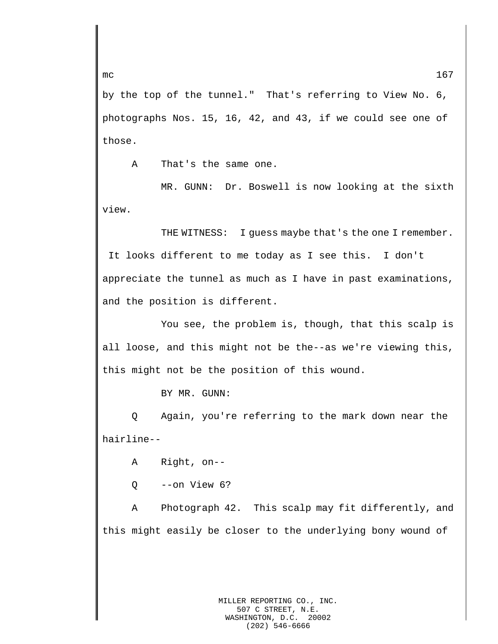by the top of the tunnel." That's referring to View No. 6, photographs Nos. 15, 16, 42, and 43, if we could see one of those.

A That's the same one.

MR. GUNN: Dr. Boswell is now looking at the sixth view.

THE WITNESS: I guess maybe that's the one I remember. It looks different to me today as I see this. I don't appreciate the tunnel as much as I have in past examinations, and the position is different.

You see, the problem is, though, that this scalp is all loose, and this might not be the--as we're viewing this, this might not be the position of this wound.

BY MR. GUNN:

Q Again, you're referring to the mark down near the hairline--

A Right, on--

 $O = -on$  View  $6$ ?

A Photograph 42. This scalp may fit differently, and this might easily be closer to the underlying bony wound of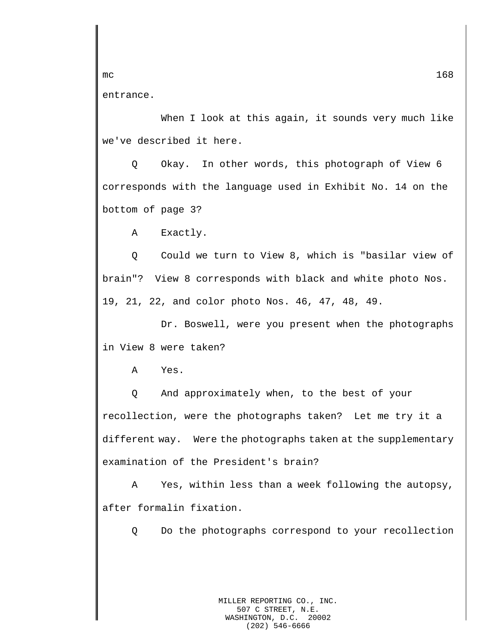entrance.

When I look at this again, it sounds very much like we've described it here.

Q Okay. In other words, this photograph of View 6 corresponds with the language used in Exhibit No. 14 on the bottom of page 3?

A Exactly.

Q Could we turn to View 8, which is "basilar view of brain"? View 8 corresponds with black and white photo Nos. 19, 21, 22, and color photo Nos. 46, 47, 48, 49.

Dr. Boswell, were you present when the photographs in View 8 were taken?

A Yes.

Q And approximately when, to the best of your recollection, were the photographs taken? Let me try it a different way. Were the photographs taken at the supplementary examination of the President's brain?

A Yes, within less than a week following the autopsy, after formalin fixation.

Q Do the photographs correspond to your recollection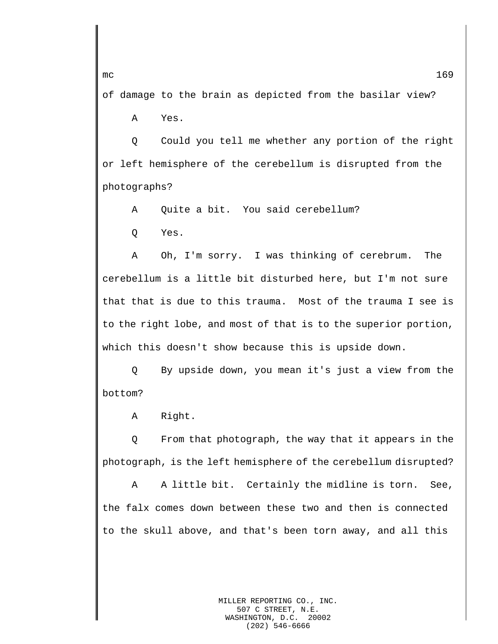of damage to the brain as depicted from the basilar view?

A Yes.

Q Could you tell me whether any portion of the right or left hemisphere of the cerebellum is disrupted from the photographs?

A Quite a bit. You said cerebellum?

Q Yes.

A Oh, I'm sorry. I was thinking of cerebrum. The cerebellum is a little bit disturbed here, but I'm not sure that that is due to this trauma. Most of the trauma I see is to the right lobe, and most of that is to the superior portion, which this doesn't show because this is upside down.

Q By upside down, you mean it's just a view from the bottom?

A Right.

Q From that photograph, the way that it appears in the photograph, is the left hemisphere of the cerebellum disrupted?

A A little bit. Certainly the midline is torn. See, the falx comes down between these two and then is connected to the skull above, and that's been torn away, and all this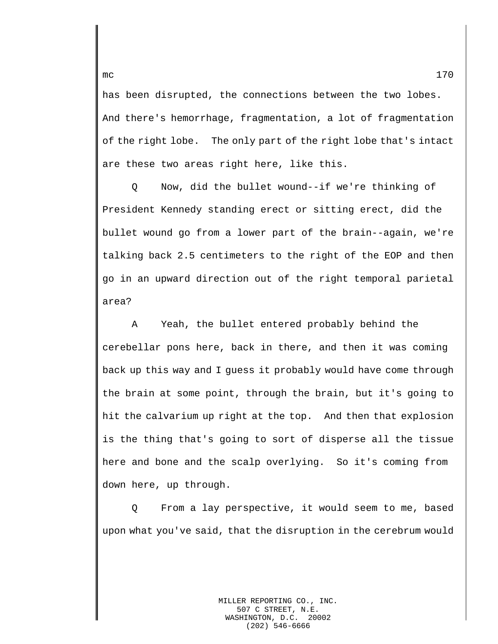has been disrupted, the connections between the two lobes. And there's hemorrhage, fragmentation, a lot of fragmentation of the right lobe. The only part of the right lobe that's intact are these two areas right here, like this.

Q Now, did the bullet wound--if we're thinking of President Kennedy standing erect or sitting erect, did the bullet wound go from a lower part of the brain--again, we're talking back 2.5 centimeters to the right of the EOP and then go in an upward direction out of the right temporal parietal area?

A Yeah, the bullet entered probably behind the cerebellar pons here, back in there, and then it was coming back up this way and I guess it probably would have come through the brain at some point, through the brain, but it's going to hit the calvarium up right at the top. And then that explosion is the thing that's going to sort of disperse all the tissue here and bone and the scalp overlying. So it's coming from down here, up through.

Q From a lay perspective, it would seem to me, based upon what you've said, that the disruption in the cerebrum would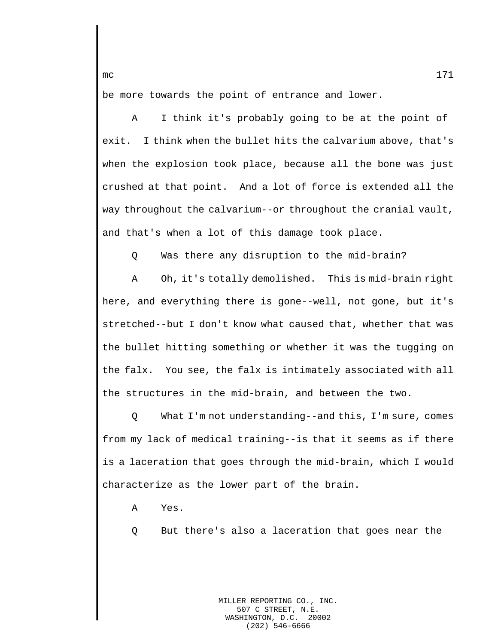be more towards the point of entrance and lower.

A I think it's probably going to be at the point of exit. I think when the bullet hits the calvarium above, that's when the explosion took place, because all the bone was just crushed at that point. And a lot of force is extended all the way throughout the calvarium--or throughout the cranial vault, and that's when a lot of this damage took place.

Q Was there any disruption to the mid-brain?

A Oh, it's totally demolished. This is mid-brain right here, and everything there is gone--well, not gone, but it's stretched--but I don't know what caused that, whether that was the bullet hitting something or whether it was the tugging on the falx. You see, the falx is intimately associated with all the structures in the mid-brain, and between the two.

Q What I'm not understanding--and this, I'm sure, comes from my lack of medical training--is that it seems as if there is a laceration that goes through the mid-brain, which I would characterize as the lower part of the brain.

A Yes.

Q But there's also a laceration that goes near the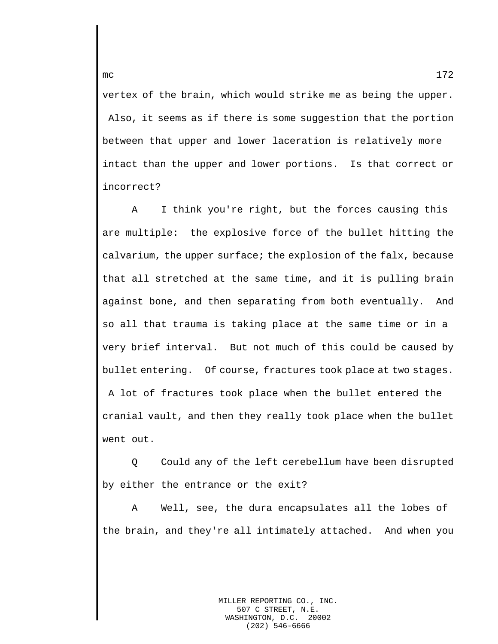vertex of the brain, which would strike me as being the upper. Also, it seems as if there is some suggestion that the portion between that upper and lower laceration is relatively more intact than the upper and lower portions. Is that correct or incorrect?

A I think you're right, but the forces causing this are multiple: the explosive force of the bullet hitting the calvarium, the upper surface; the explosion of the falx, because that all stretched at the same time, and it is pulling brain against bone, and then separating from both eventually. And so all that trauma is taking place at the same time or in a very brief interval. But not much of this could be caused by bullet entering. Of course, fractures took place at two stages. A lot of fractures took place when the bullet entered the cranial vault, and then they really took place when the bullet went out.

Q Could any of the left cerebellum have been disrupted by either the entrance or the exit?

A Well, see, the dura encapsulates all the lobes of the brain, and they're all intimately attached. And when you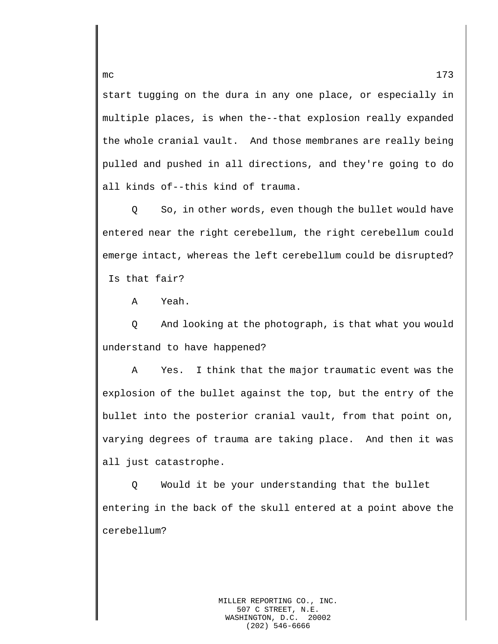start tugging on the dura in any one place, or especially in multiple places, is when the--that explosion really expanded the whole cranial vault. And those membranes are really being pulled and pushed in all directions, and they're going to do all kinds of--this kind of trauma.

Q So, in other words, even though the bullet would have entered near the right cerebellum, the right cerebellum could emerge intact, whereas the left cerebellum could be disrupted? Is that fair?

A Yeah.

Q And looking at the photograph, is that what you would understand to have happened?

A Yes. I think that the major traumatic event was the explosion of the bullet against the top, but the entry of the bullet into the posterior cranial vault, from that point on, varying degrees of trauma are taking place. And then it was all just catastrophe.

Q Would it be your understanding that the bullet entering in the back of the skull entered at a point above the cerebellum?

(202) 546-6666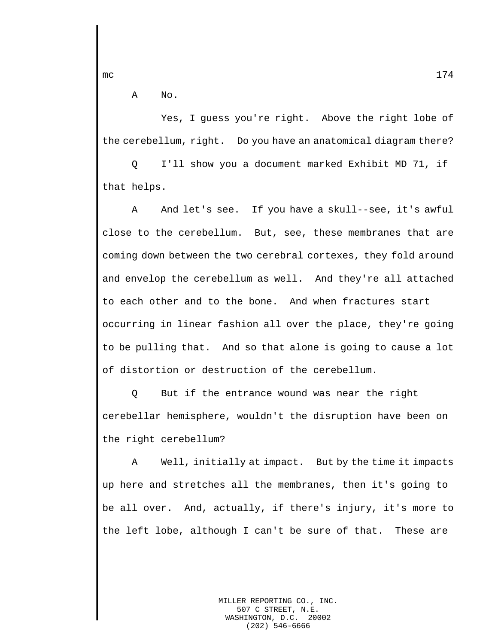A No.

Yes, I guess you're right. Above the right lobe of the cerebellum, right. Do you have an anatomical diagram there?

Q I'll show you a document marked Exhibit MD 71, if that helps.

A And let's see. If you have a skull--see, it's awful close to the cerebellum. But, see, these membranes that are coming down between the two cerebral cortexes, they fold around and envelop the cerebellum as well. And they're all attached to each other and to the bone. And when fractures start occurring in linear fashion all over the place, they're going to be pulling that. And so that alone is going to cause a lot of distortion or destruction of the cerebellum.

Q But if the entrance wound was near the right cerebellar hemisphere, wouldn't the disruption have been on the right cerebellum?

A Well, initially at impact. But by the time it impacts up here and stretches all the membranes, then it's going to be all over. And, actually, if there's injury, it's more to the left lobe, although I can't be sure of that. These are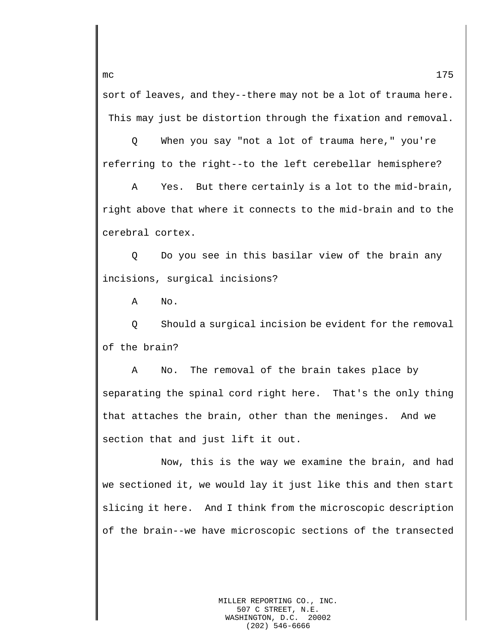sort of leaves, and they--there may not be a lot of trauma here. This may just be distortion through the fixation and removal.

Q When you say "not a lot of trauma here," you're referring to the right--to the left cerebellar hemisphere?

A Yes. But there certainly is a lot to the mid-brain, right above that where it connects to the mid-brain and to the cerebral cortex.

Q Do you see in this basilar view of the brain any incisions, surgical incisions?

A No.

Q Should a surgical incision be evident for the removal of the brain?

A No. The removal of the brain takes place by separating the spinal cord right here. That's the only thing that attaches the brain, other than the meninges. And we section that and just lift it out.

Now, this is the way we examine the brain, and had we sectioned it, we would lay it just like this and then start slicing it here. And I think from the microscopic description of the brain--we have microscopic sections of the transected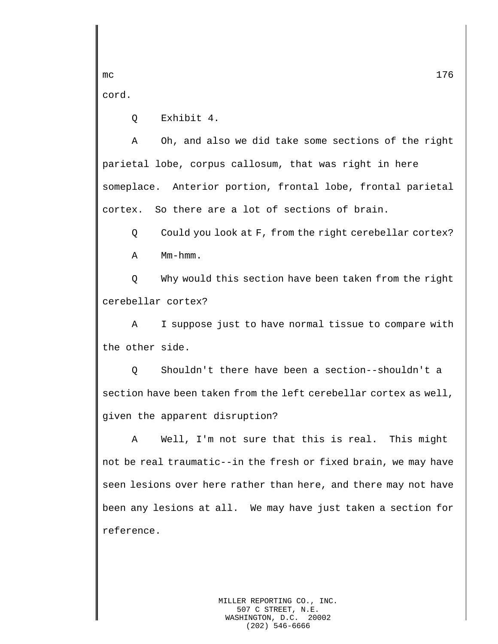cord.

Q Exhibit 4.

A Oh, and also we did take some sections of the right parietal lobe, corpus callosum, that was right in here someplace. Anterior portion, frontal lobe, frontal parietal cortex. So there are a lot of sections of brain.

Q Could you look at F, from the right cerebellar cortex?

A Mm-hmm.

Q Why would this section have been taken from the right cerebellar cortex?

A I suppose just to have normal tissue to compare with the other side.

Q Shouldn't there have been a section--shouldn't a section have been taken from the left cerebellar cortex as well, given the apparent disruption?

A Well, I'm not sure that this is real. This might not be real traumatic--in the fresh or fixed brain, we may have seen lesions over here rather than here, and there may not have been any lesions at all. We may have just taken a section for reference.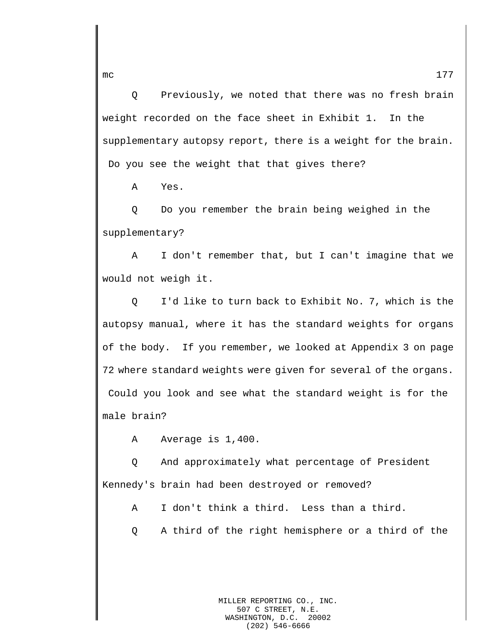Q Previously, we noted that there was no fresh brain weight recorded on the face sheet in Exhibit 1. In the supplementary autopsy report, there is a weight for the brain. Do you see the weight that that gives there?

A Yes.

Q Do you remember the brain being weighed in the supplementary?

A I don't remember that, but I can't imagine that we would not weigh it.

Q I'd like to turn back to Exhibit No. 7, which is the autopsy manual, where it has the standard weights for organs of the body. If you remember, we looked at Appendix 3 on page 72 where standard weights were given for several of the organs. Could you look and see what the standard weight is for the male brain?

A Average is 1,400.

Q And approximately what percentage of President Kennedy's brain had been destroyed or removed?

A I don't think a third. Less than a third.

Q A third of the right hemisphere or a third of the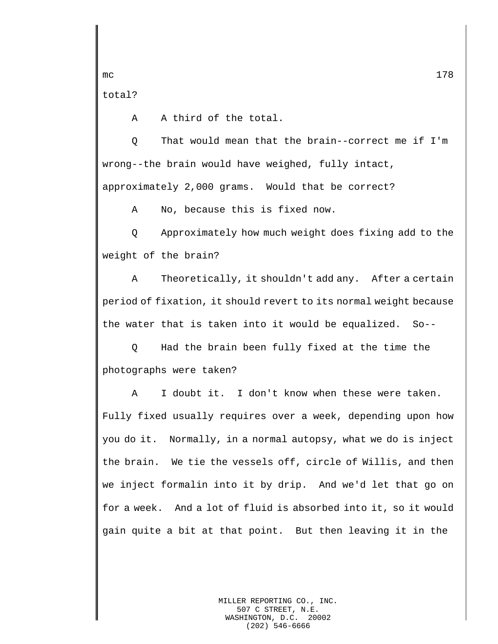total?

A A third of the total.

Q That would mean that the brain--correct me if I'm wrong--the brain would have weighed, fully intact,

approximately 2,000 grams. Would that be correct?

A No, because this is fixed now.

Q Approximately how much weight does fixing add to the weight of the brain?

A Theoretically, it shouldn't add any. After a certain period of fixation, it should revert to its normal weight because the water that is taken into it would be equalized. So--

Q Had the brain been fully fixed at the time the photographs were taken?

A I doubt it. I don't know when these were taken. Fully fixed usually requires over a week, depending upon how you do it. Normally, in a normal autopsy, what we do is inject the brain. We tie the vessels off, circle of Willis, and then we inject formalin into it by drip. And we'd let that go on for a week. And a lot of fluid is absorbed into it, so it would gain quite a bit at that point. But then leaving it in the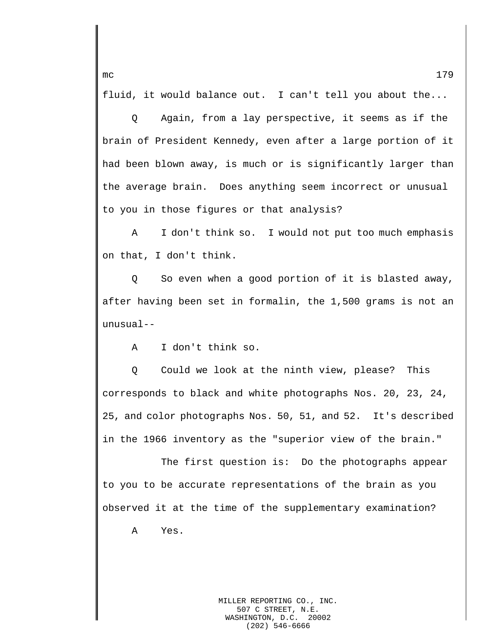fluid, it would balance out. I can't tell you about the...

Q Again, from a lay perspective, it seems as if the brain of President Kennedy, even after a large portion of it had been blown away, is much or is significantly larger than the average brain. Does anything seem incorrect or unusual to you in those figures or that analysis?

A I don't think so. I would not put too much emphasis on that, I don't think.

Q So even when a good portion of it is blasted away, after having been set in formalin, the 1,500 grams is not an unusual--

A I don't think so.

Q Could we look at the ninth view, please? This corresponds to black and white photographs Nos. 20, 23, 24, 25, and color photographs Nos. 50, 51, and 52. It's described in the 1966 inventory as the "superior view of the brain."

The first question is: Do the photographs appear to you to be accurate representations of the brain as you observed it at the time of the supplementary examination?

A Yes.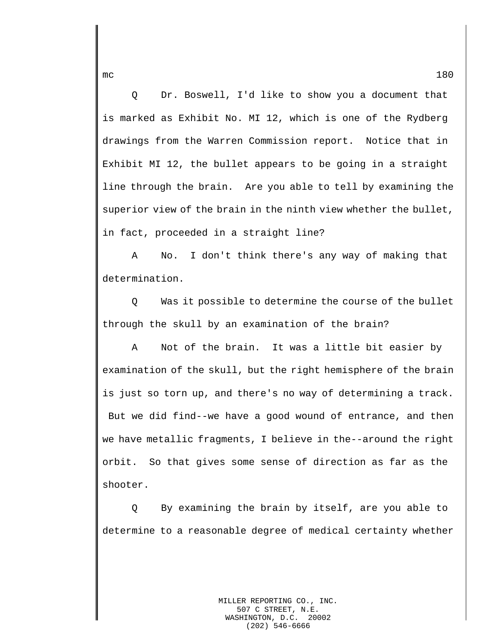Q Dr. Boswell, I'd like to show you a document that is marked as Exhibit No. MI 12, which is one of the Rydberg drawings from the Warren Commission report. Notice that in Exhibit MI 12, the bullet appears to be going in a straight line through the brain. Are you able to tell by examining the superior view of the brain in the ninth view whether the bullet, in fact, proceeded in a straight line?

A No. I don't think there's any way of making that determination.

Q Was it possible to determine the course of the bullet through the skull by an examination of the brain?

A Not of the brain. It was a little bit easier by examination of the skull, but the right hemisphere of the brain is just so torn up, and there's no way of determining a track. But we did find--we have a good wound of entrance, and then we have metallic fragments, I believe in the--around the right orbit. So that gives some sense of direction as far as the shooter.

Q By examining the brain by itself, are you able to determine to a reasonable degree of medical certainty whether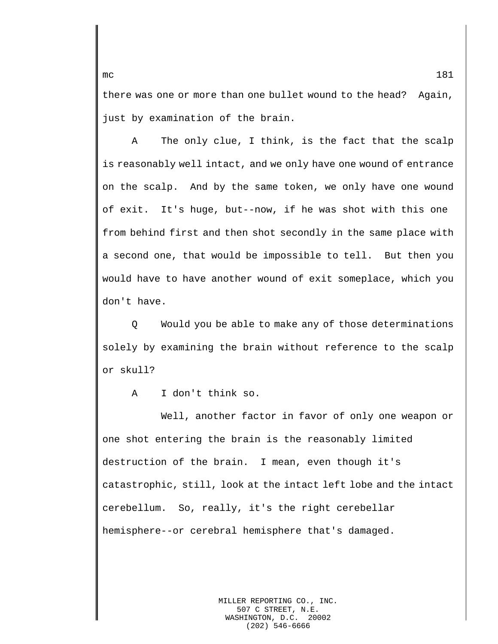there was one or more than one bullet wound to the head? Again, just by examination of the brain.

A The only clue, I think, is the fact that the scalp is reasonably well intact, and we only have one wound of entrance on the scalp. And by the same token, we only have one wound of exit. It's huge, but--now, if he was shot with this one from behind first and then shot secondly in the same place with a second one, that would be impossible to tell. But then you would have to have another wound of exit someplace, which you don't have.

Q Would you be able to make any of those determinations solely by examining the brain without reference to the scalp or skull?

A I don't think so.

Well, another factor in favor of only one weapon or one shot entering the brain is the reasonably limited destruction of the brain. I mean, even though it's catastrophic, still, look at the intact left lobe and the intact cerebellum. So, really, it's the right cerebellar hemisphere--or cerebral hemisphere that's damaged.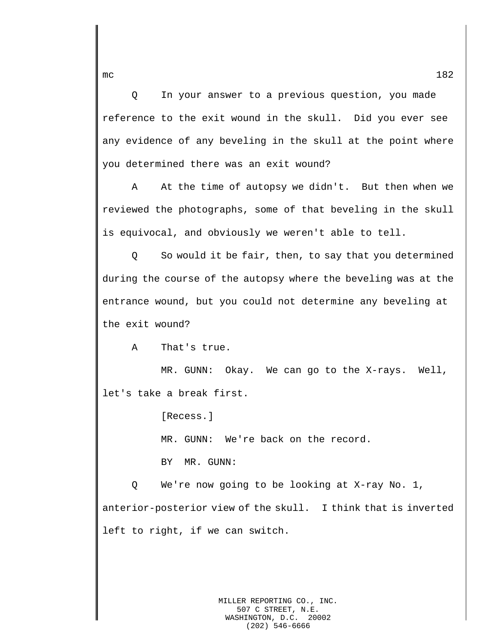Q In your answer to a previous question, you made reference to the exit wound in the skull. Did you ever see any evidence of any beveling in the skull at the point where you determined there was an exit wound?

A At the time of autopsy we didn't. But then when we reviewed the photographs, some of that beveling in the skull is equivocal, and obviously we weren't able to tell.

Q So would it be fair, then, to say that you determined during the course of the autopsy where the beveling was at the entrance wound, but you could not determine any beveling at the exit wound?

A That's true.

MR. GUNN: Okay. We can go to the X-rays. Well, let's take a break first.

[Recess.]

MR. GUNN: We're back on the record.

BY MR. GUNN:

Q We're now going to be looking at X-ray No. 1, anterior-posterior view of the skull. I think that is inverted left to right, if we can switch.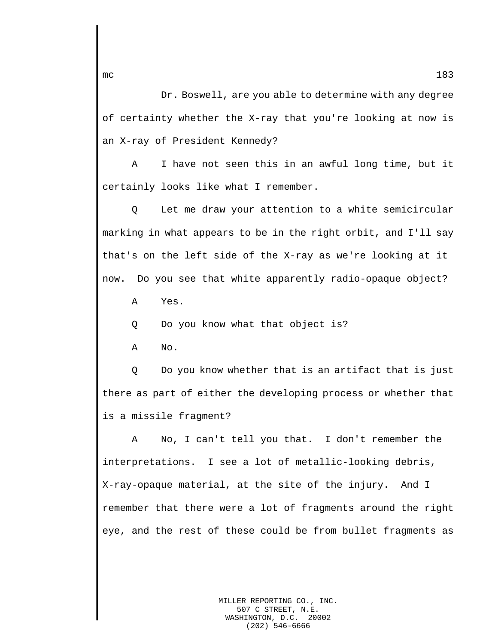Dr. Boswell, are you able to determine with any degree of certainty whether the X-ray that you're looking at now is an X-ray of President Kennedy?

A I have not seen this in an awful long time, but it certainly looks like what I remember.

Q Let me draw your attention to a white semicircular marking in what appears to be in the right orbit, and I'll say that's on the left side of the X-ray as we're looking at it now. Do you see that white apparently radio-opaque object?

A Yes.

Q Do you know what that object is?

A No.

Q Do you know whether that is an artifact that is just there as part of either the developing process or whether that is a missile fragment?

A No, I can't tell you that. I don't remember the interpretations. I see a lot of metallic-looking debris, X-ray-opaque material, at the site of the injury. And I remember that there were a lot of fragments around the right eye, and the rest of these could be from bullet fragments as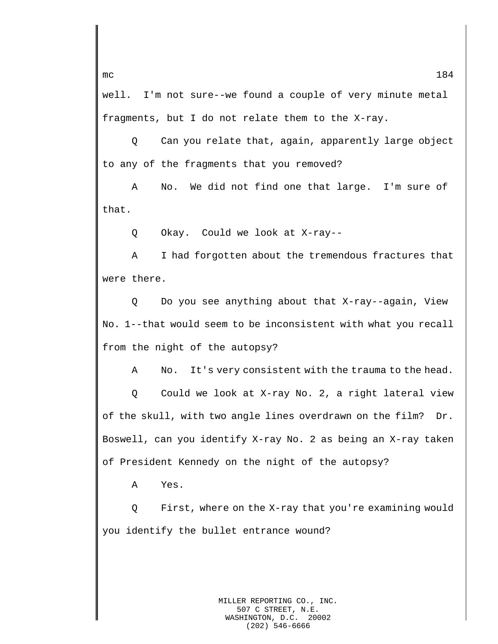well. I'm not sure--we found a couple of very minute metal fragments, but I do not relate them to the X-ray.

Q Can you relate that, again, apparently large object to any of the fragments that you removed?

A No. We did not find one that large. I'm sure of that.

Q Okay. Could we look at X-ray--

A I had forgotten about the tremendous fractures that were there.

Q Do you see anything about that X-ray--again, View No. 1--that would seem to be inconsistent with what you recall from the night of the autopsy?

A No. It's very consistent with the trauma to the head.

Q Could we look at X-ray No. 2, a right lateral view of the skull, with two angle lines overdrawn on the film? Dr. Boswell, can you identify X-ray No. 2 as being an X-ray taken of President Kennedy on the night of the autopsy?

A Yes.

Q First, where on the X-ray that you're examining would you identify the bullet entrance wound?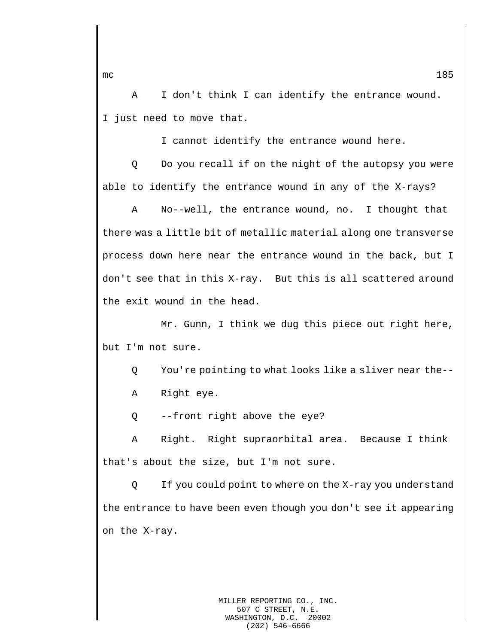A I don't think I can identify the entrance wound. I just need to move that.

I cannot identify the entrance wound here.

Q Do you recall if on the night of the autopsy you were able to identify the entrance wound in any of the X-rays?

A No--well, the entrance wound, no. I thought that there was a little bit of metallic material along one transverse process down here near the entrance wound in the back, but I don't see that in this X-ray. But this is all scattered around the exit wound in the head.

Mr. Gunn, I think we dug this piece out right here, but I'm not sure.

Q You're pointing to what looks like a sliver near the--

A Right eye.

Q --front right above the eye?

A Right. Right supraorbital area. Because I think that's about the size, but I'm not sure.

Q If you could point to where on the X-ray you understand the entrance to have been even though you don't see it appearing on the X-ray.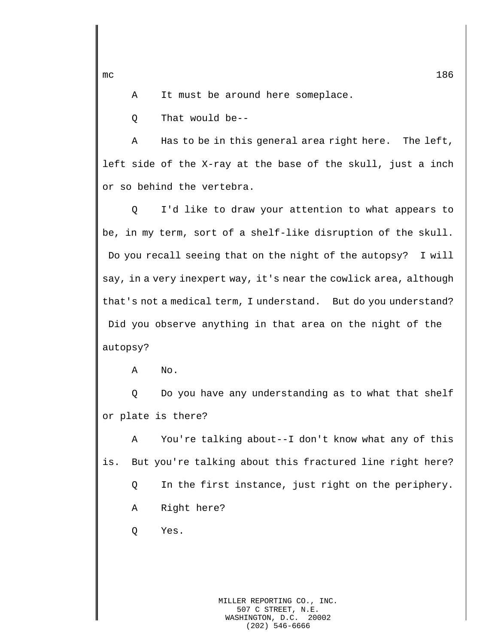A It must be around here someplace.

Q That would be--

A Has to be in this general area right here. The left, left side of the X-ray at the base of the skull, just a inch or so behind the vertebra.

Q I'd like to draw your attention to what appears to be, in my term, sort of a shelf-like disruption of the skull. Do you recall seeing that on the night of the autopsy? I will say, in a very inexpert way, it's near the cowlick area, although that's not a medical term, I understand. But do you understand? Did you observe anything in that area on the night of the autopsy?

A No.

Q Do you have any understanding as to what that shelf or plate is there?

A You're talking about--I don't know what any of this is. But you're talking about this fractured line right here?

Q In the first instance, just right on the periphery.

A Right here?

Q Yes.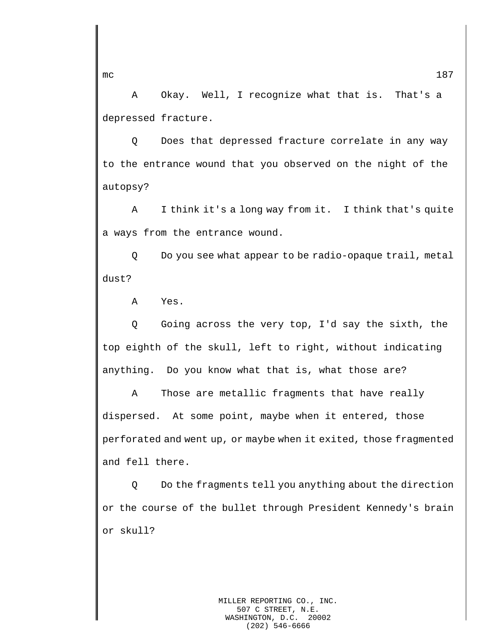A Okay. Well, I recognize what that is. That's a depressed fracture.

Q Does that depressed fracture correlate in any way to the entrance wound that you observed on the night of the autopsy?

A I think it's a long way from it. I think that's quite a ways from the entrance wound.

Q Do you see what appear to be radio-opaque trail, metal dust?

A Yes.

Q Going across the very top, I'd say the sixth, the top eighth of the skull, left to right, without indicating anything. Do you know what that is, what those are?

A Those are metallic fragments that have really dispersed. At some point, maybe when it entered, those perforated and went up, or maybe when it exited, those fragmented and fell there.

Q Do the fragments tell you anything about the direction or the course of the bullet through President Kennedy's brain or skull?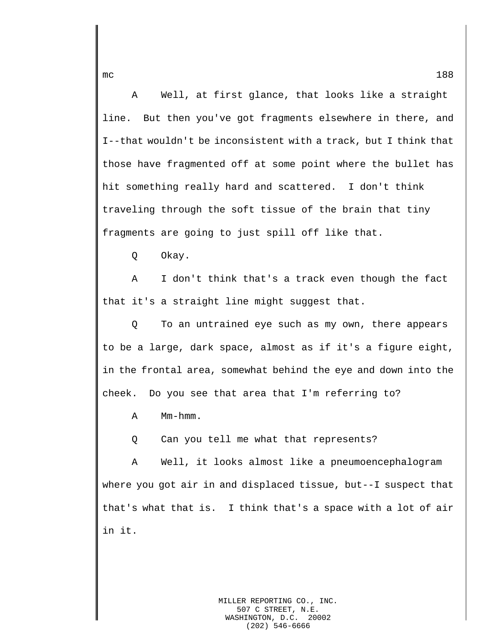A Well, at first glance, that looks like a straight line. But then you've got fragments elsewhere in there, and I--that wouldn't be inconsistent with a track, but I think that those have fragmented off at some point where the bullet has hit something really hard and scattered. I don't think traveling through the soft tissue of the brain that tiny fragments are going to just spill off like that.

Q Okay.

A I don't think that's a track even though the fact that it's a straight line might suggest that.

Q To an untrained eye such as my own, there appears to be a large, dark space, almost as if it's a figure eight, in the frontal area, somewhat behind the eye and down into the cheek. Do you see that area that I'm referring to?

A Mm-hmm.

Q Can you tell me what that represents?

A Well, it looks almost like a pneumoencephalogram where you got air in and displaced tissue, but--I suspect that that's what that is. I think that's a space with a lot of air in it.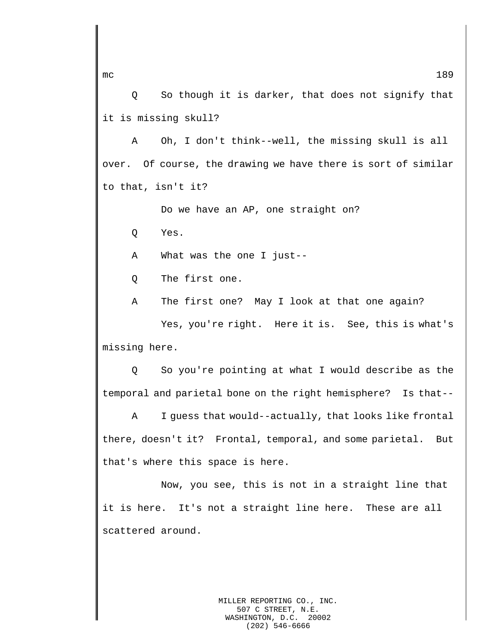Q So though it is darker, that does not signify that it is missing skull?

A Oh, I don't think--well, the missing skull is all over. Of course, the drawing we have there is sort of similar to that, isn't it?

Do we have an AP, one straight on?

Q Yes.

A What was the one I just--

Q The first one.

A The first one? May I look at that one again?

Yes, you're right. Here it is. See, this is what's missing here.

Q So you're pointing at what I would describe as the temporal and parietal bone on the right hemisphere? Is that--

A I guess that would--actually, that looks like frontal there, doesn't it? Frontal, temporal, and some parietal. But that's where this space is here.

Now, you see, this is not in a straight line that it is here. It's not a straight line here. These are all scattered around.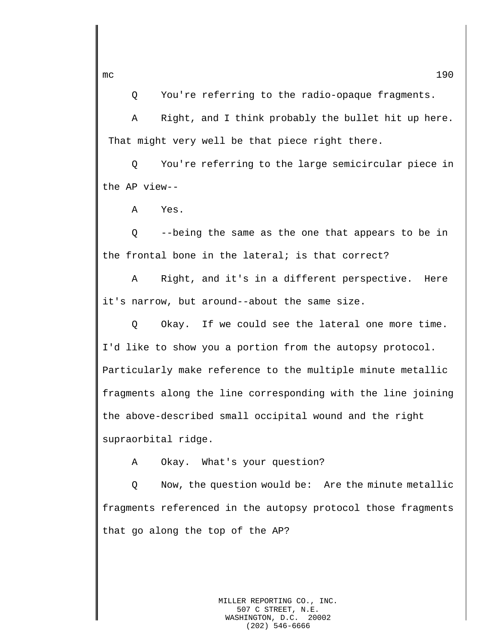Q You're referring to the radio-opaque fragments.

A Right, and I think probably the bullet hit up here. That might very well be that piece right there.

Q You're referring to the large semicircular piece in the AP view--

A Yes.

Q --being the same as the one that appears to be in the frontal bone in the lateral; is that correct?

A Right, and it's in a different perspective. Here it's narrow, but around--about the same size.

Q Okay. If we could see the lateral one more time. I'd like to show you a portion from the autopsy protocol. Particularly make reference to the multiple minute metallic fragments along the line corresponding with the line joining the above-described small occipital wound and the right supraorbital ridge.

A Okay. What's your question?

Q Now, the question would be: Are the minute metallic fragments referenced in the autopsy protocol those fragments that go along the top of the AP?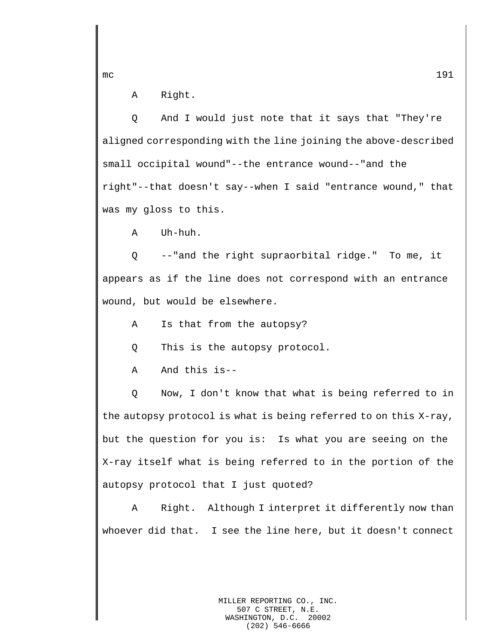A Right.

Q And I would just note that it says that "They're aligned corresponding with the line joining the above-described small occipital wound"--the entrance wound--"and the right"--that doesn't say--when I said "entrance wound," that was my gloss to this.

A Uh-huh.

Q --"and the right supraorbital ridge." To me, it appears as if the line does not correspond with an entrance wound, but would be elsewhere.

A Is that from the autopsy?

Q This is the autopsy protocol.

A And this is--

Q Now, I don't know that what is being referred to in the autopsy protocol is what is being referred to on this X-ray, but the question for you is: Is what you are seeing on the X-ray itself what is being referred to in the portion of the autopsy protocol that I just quoted?

A Right. Although I interpret it differently now than whoever did that. I see the line here, but it doesn't connect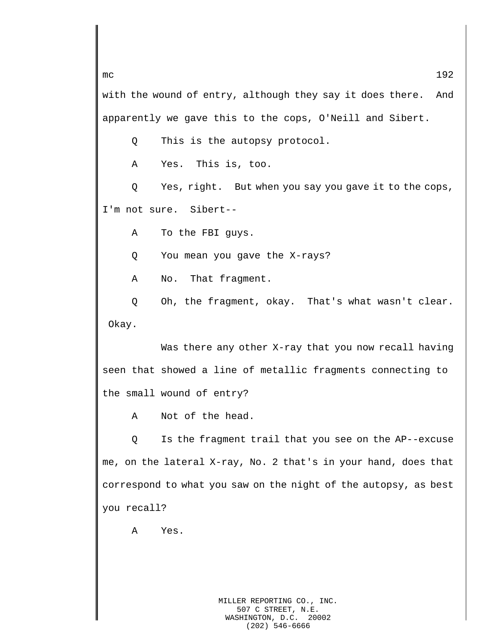with the wound of entry, although they say it does there. And apparently we gave this to the cops, O'Neill and Sibert.

Q This is the autopsy protocol.

A Yes. This is, too.

Q Yes, right. But when you say you gave it to the cops, I'm not sure. Sibert--

A To the FBI guys.

Q You mean you gave the X-rays?

A No. That fragment.

Q Oh, the fragment, okay. That's what wasn't clear. Okay.

Was there any other X-ray that you now recall having seen that showed a line of metallic fragments connecting to the small wound of entry?

A Not of the head.

Q Is the fragment trail that you see on the AP--excuse me, on the lateral X-ray, No. 2 that's in your hand, does that correspond to what you saw on the night of the autopsy, as best you recall?

A Yes.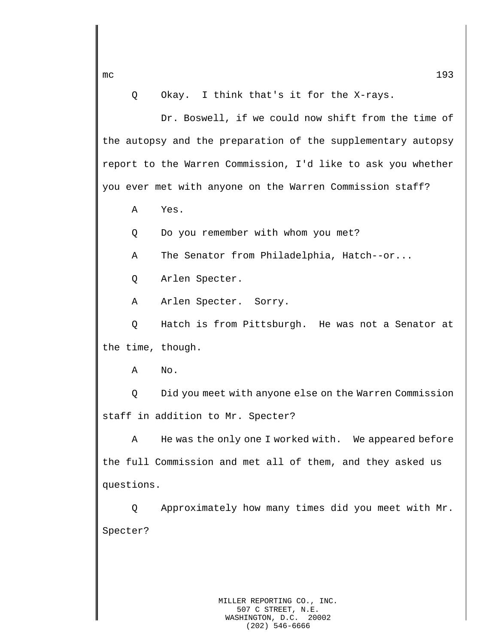Q Okay. I think that's it for the X-rays.

Dr. Boswell, if we could now shift from the time of the autopsy and the preparation of the supplementary autopsy report to the Warren Commission, I'd like to ask you whether you ever met with anyone on the Warren Commission staff?

A Yes.

Q Do you remember with whom you met?

A The Senator from Philadelphia, Hatch--or...

Q Arlen Specter.

A Arlen Specter. Sorry.

Q Hatch is from Pittsburgh. He was not a Senator at the time, though.

A No.

Q Did you meet with anyone else on the Warren Commission staff in addition to Mr. Specter?

A He was the only one I worked with. We appeared before the full Commission and met all of them, and they asked us questions.

Q Approximately how many times did you meet with Mr. Specter?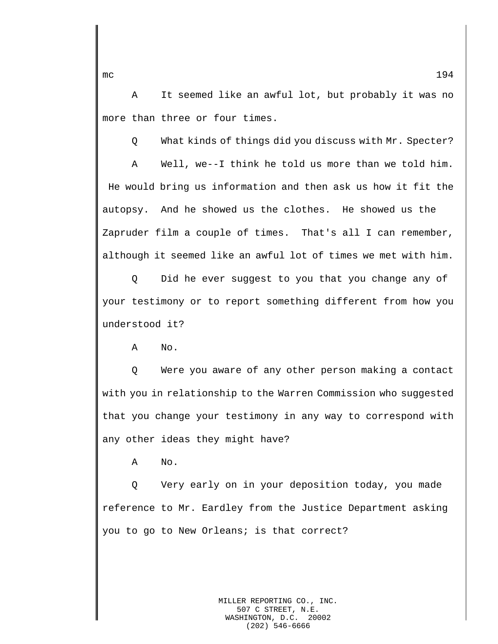A It seemed like an awful lot, but probably it was no more than three or four times.

Q What kinds of things did you discuss with Mr. Specter?

A Well, we--I think he told us more than we told him. He would bring us information and then ask us how it fit the autopsy. And he showed us the clothes. He showed us the Zapruder film a couple of times. That's all I can remember, although it seemed like an awful lot of times we met with him.

Q Did he ever suggest to you that you change any of your testimony or to report something different from how you understood it?

A No.

Q Were you aware of any other person making a contact with you in relationship to the Warren Commission who suggested that you change your testimony in any way to correspond with any other ideas they might have?

A No.

Q Very early on in your deposition today, you made reference to Mr. Eardley from the Justice Department asking you to go to New Orleans; is that correct?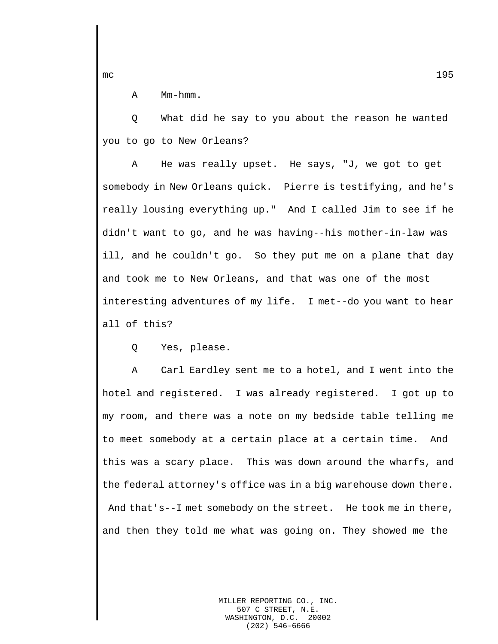A Mm-hmm.

Q What did he say to you about the reason he wanted you to go to New Orleans?

A He was really upset. He says, "J, we got to get somebody in New Orleans quick. Pierre is testifying, and he's really lousing everything up." And I called Jim to see if he didn't want to go, and he was having--his mother-in-law was ill, and he couldn't go. So they put me on a plane that day and took me to New Orleans, and that was one of the most interesting adventures of my life. I met--do you want to hear all of this?

Q Yes, please.

A Carl Eardley sent me to a hotel, and I went into the hotel and registered. I was already registered. I got up to my room, and there was a note on my bedside table telling me to meet somebody at a certain place at a certain time. And this was a scary place. This was down around the wharfs, and the federal attorney's office was in a big warehouse down there. And that's--I met somebody on the street. He took me in there, and then they told me what was going on. They showed me the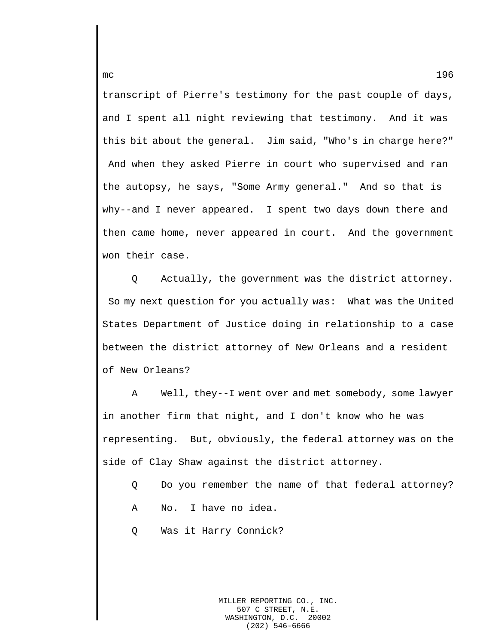transcript of Pierre's testimony for the past couple of days, and I spent all night reviewing that testimony. And it was this bit about the general. Jim said, "Who's in charge here?" And when they asked Pierre in court who supervised and ran the autopsy, he says, "Some Army general." And so that is why--and I never appeared. I spent two days down there and then came home, never appeared in court. And the government won their case.

Q Actually, the government was the district attorney. So my next question for you actually was: What was the United States Department of Justice doing in relationship to a case between the district attorney of New Orleans and a resident of New Orleans?

A Well, they--I went over and met somebody, some lawyer in another firm that night, and I don't know who he was representing. But, obviously, the federal attorney was on the side of Clay Shaw against the district attorney.

- Q Do you remember the name of that federal attorney?
- A No. I have no idea.
- Q Was it Harry Connick?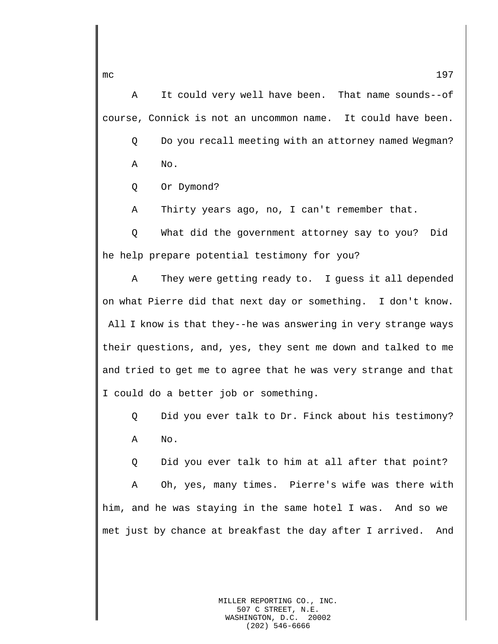A It could very well have been. That name sounds--of course, Connick is not an uncommon name. It could have been. Q Do you recall meeting with an attorney named Wegman? A No.

Q Or Dymond?

A Thirty years ago, no, I can't remember that.

Q What did the government attorney say to you? Did he help prepare potential testimony for you?

A They were getting ready to. I guess it all depended on what Pierre did that next day or something. I don't know. All I know is that they--he was answering in very strange ways their questions, and, yes, they sent me down and talked to me and tried to get me to agree that he was very strange and that I could do a better job or something.

Q Did you ever talk to Dr. Finck about his testimony? A No.

Q Did you ever talk to him at all after that point?

A Oh, yes, many times. Pierre's wife was there with him, and he was staying in the same hotel I was. And so we met just by chance at breakfast the day after I arrived. And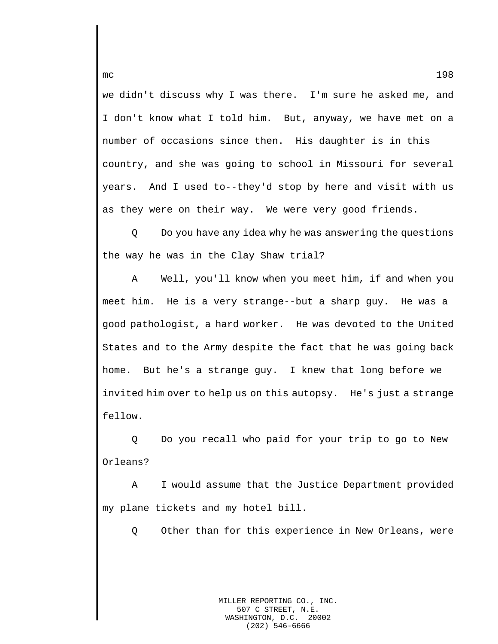we didn't discuss why I was there. I'm sure he asked me, and I don't know what I told him. But, anyway, we have met on a number of occasions since then. His daughter is in this country, and she was going to school in Missouri for several years. And I used to--they'd stop by here and visit with us as they were on their way. We were very good friends.

Q Do you have any idea why he was answering the questions the way he was in the Clay Shaw trial?

A Well, you'll know when you meet him, if and when you meet him. He is a very strange--but a sharp guy. He was a good pathologist, a hard worker. He was devoted to the United States and to the Army despite the fact that he was going back home. But he's a strange guy. I knew that long before we invited him over to help us on this autopsy. He's just a strange fellow.

Q Do you recall who paid for your trip to go to New Orleans?

A I would assume that the Justice Department provided my plane tickets and my hotel bill.

Q Other than for this experience in New Orleans, were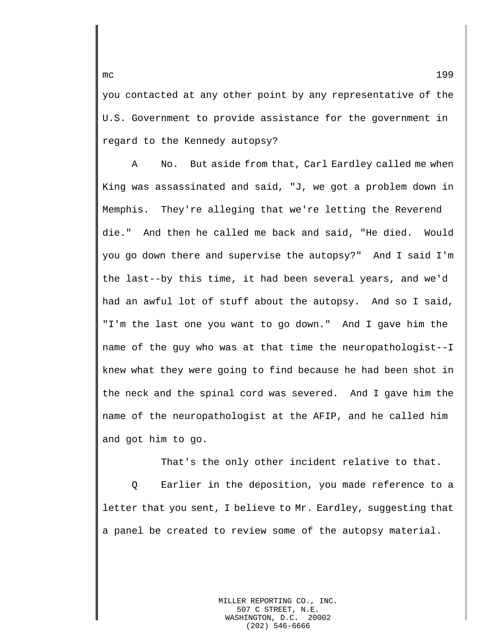you contacted at any other point by any representative of the U.S. Government to provide assistance for the government in regard to the Kennedy autopsy?

A No. But aside from that, Carl Eardley called me when King was assassinated and said, "J, we got a problem down in Memphis. They're alleging that we're letting the Reverend die." And then he called me back and said, "He died. Would you go down there and supervise the autopsy?" And I said I'm the last--by this time, it had been several years, and we'd had an awful lot of stuff about the autopsy. And so I said, "I'm the last one you want to go down." And I gave him the name of the guy who was at that time the neuropathologist--I knew what they were going to find because he had been shot in the neck and the spinal cord was severed. And I gave him the name of the neuropathologist at the AFIP, and he called him and got him to go.

That's the only other incident relative to that.

Q Earlier in the deposition, you made reference to a letter that you sent, I believe to Mr. Eardley, suggesting that a panel be created to review some of the autopsy material.

> MILLER REPORTING CO., INC. 507 C STREET, N.E.<br>SHINGTON, D.C. 20002 WASHINGTON, D.C. (202) 546-6666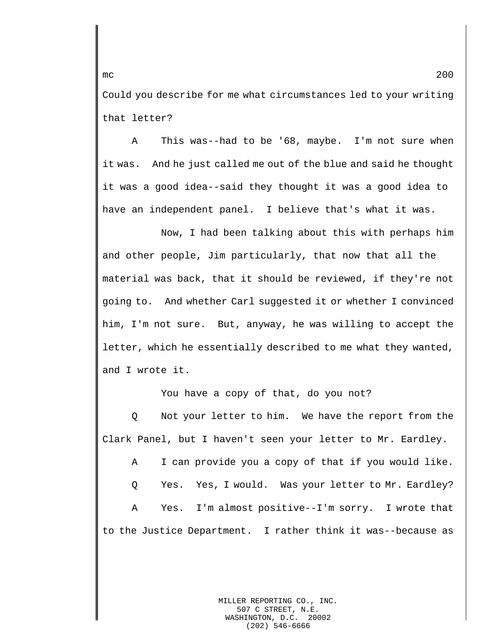Could you describe for me what circumstances led to your writing that letter?

A This was--had to be '68, maybe. I'm not sure when it was. And he just called me out of the blue and said he thought it was a good idea--said they thought it was a good idea to have an independent panel. I believe that's what it was.

Now, I had been talking about this with perhaps him and other people, Jim particularly, that now that all the material was back, that it should be reviewed, if they're not going to. And whether Carl suggested it or whether I convinced him, I'm not sure. But, anyway, he was willing to accept the letter, which he essentially described to me what they wanted, and I wrote it.

You have a copy of that, do you not?

Q Not your letter to him. We have the report from the Clark Panel, but I haven't seen your letter to Mr. Eardley.

A I can provide you a copy of that if you would like.

Q Yes. Yes, I would. Was your letter to Mr. Eardley?

A Yes. I'm almost positive--I'm sorry. I wrote that to the Justice Department. I rather think it was--because as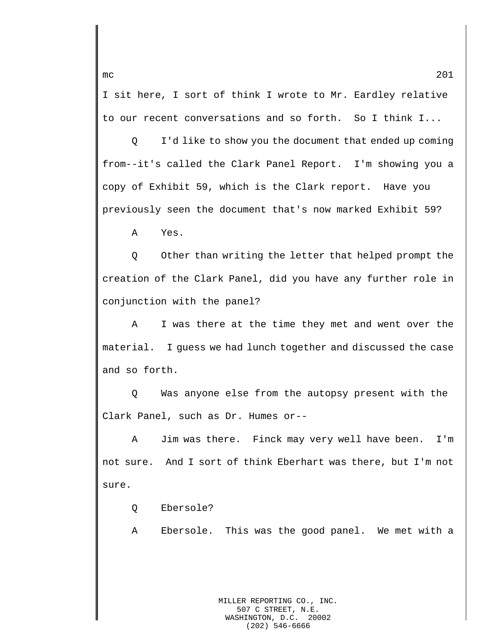I sit here, I sort of think I wrote to Mr. Eardley relative to our recent conversations and so forth. So I think I...

Q I'd like to show you the document that ended up coming from--it's called the Clark Panel Report. I'm showing you a copy of Exhibit 59, which is the Clark report. Have you previously seen the document that's now marked Exhibit 59?

A Yes.

Q Other than writing the letter that helped prompt the creation of the Clark Panel, did you have any further role in conjunction with the panel?

A I was there at the time they met and went over the material. I guess we had lunch together and discussed the case and so forth.

Q Was anyone else from the autopsy present with the Clark Panel, such as Dr. Humes or--

A Jim was there. Finck may very well have been. I'm not sure. And I sort of think Eberhart was there, but I'm not sure.

Q Ebersole?

A Ebersole. This was the good panel. We met with a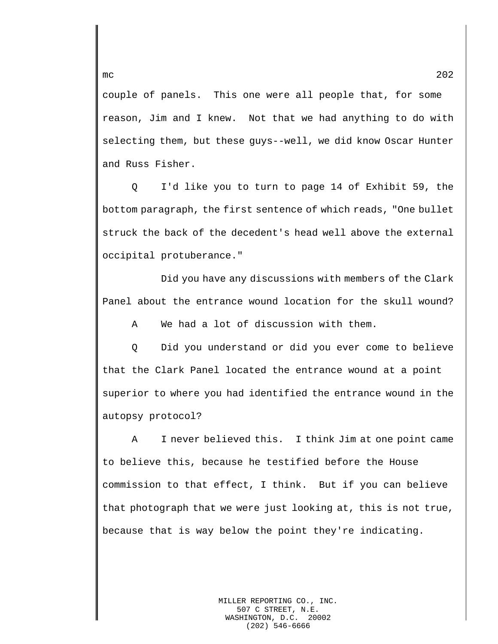couple of panels. This one were all people that, for some reason, Jim and I knew. Not that we had anything to do with selecting them, but these guys--well, we did know Oscar Hunter and Russ Fisher.

Q I'd like you to turn to page 14 of Exhibit 59, the bottom paragraph, the first sentence of which reads, "One bullet struck the back of the decedent's head well above the external occipital protuberance."

Did you have any discussions with members of the Clark Panel about the entrance wound location for the skull wound?

A We had a lot of discussion with them.

Q Did you understand or did you ever come to believe that the Clark Panel located the entrance wound at a point superior to where you had identified the entrance wound in the autopsy protocol?

A I never believed this. I think Jim at one point came to believe this, because he testified before the House commission to that effect, I think. But if you can believe that photograph that we were just looking at, this is not true, because that is way below the point they're indicating.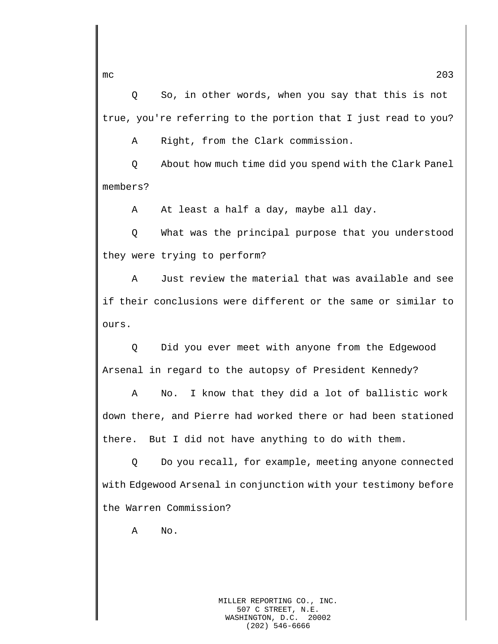Q So, in other words, when you say that this is not true, you're referring to the portion that I just read to you?

A Right, from the Clark commission.

Q About how much time did you spend with the Clark Panel members?

A At least a half a day, maybe all day.

Q What was the principal purpose that you understood they were trying to perform?

A Just review the material that was available and see if their conclusions were different or the same or similar to ours.

Q Did you ever meet with anyone from the Edgewood Arsenal in regard to the autopsy of President Kennedy?

A No. I know that they did a lot of ballistic work down there, and Pierre had worked there or had been stationed there. But I did not have anything to do with them.

Q Do you recall, for example, meeting anyone connected with Edgewood Arsenal in conjunction with your testimony before the Warren Commission?

A No.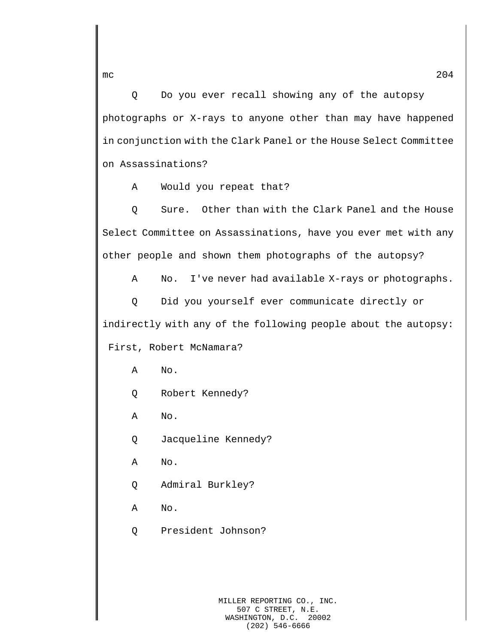Q Do you ever recall showing any of the autopsy photographs or X-rays to anyone other than may have happened in conjunction with the Clark Panel or the House Select Committee on Assassinations?

A Would you repeat that?

Q Sure. Other than with the Clark Panel and the House Select Committee on Assassinations, have you ever met with any other people and shown them photographs of the autopsy?

A No. I've never had available X-rays or photographs.

Q Did you yourself ever communicate directly or indirectly with any of the following people about the autopsy: First, Robert McNamara?

A No.

Q Robert Kennedy?

A No.

Q Jacqueline Kennedy?

A No.

Q Admiral Burkley?

A No.

Q President Johnson?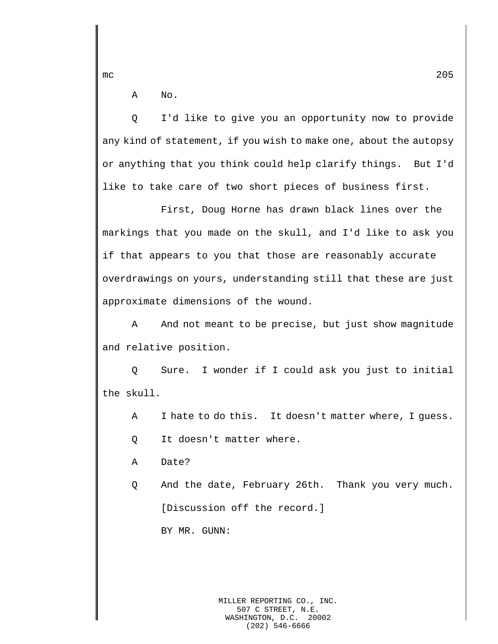A No.

Q I'd like to give you an opportunity now to provide any kind of statement, if you wish to make one, about the autopsy or anything that you think could help clarify things. But I'd like to take care of two short pieces of business first.

First, Doug Horne has drawn black lines over the markings that you made on the skull, and I'd like to ask you if that appears to you that those are reasonably accurate overdrawings on yours, understanding still that these are just approximate dimensions of the wound.

A And not meant to be precise, but just show magnitude and relative position.

Q Sure. I wonder if I could ask you just to initial the skull.

A I hate to do this. It doesn't matter where, I guess.

Q It doesn't matter where.

A Date?

Q And the date, February 26th. Thank you very much. [Discussion off the record.]

BY MR. GUNN:

MILLER REPORTING CO., INC. 507 C STREET, N.E. WASHINGTON, D.C. 20002 (202) 546-6666